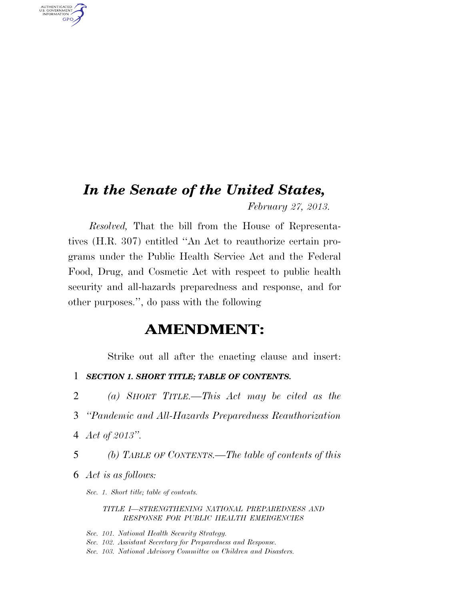# *In the Senate of the United States,*

*February 27, 2013.* 

*Resolved,* That the bill from the House of Representatives (H.R. 307) entitled ''An Act to reauthorize certain programs under the Public Health Service Act and the Federal Food, Drug, and Cosmetic Act with respect to public health security and all-hazards preparedness and response, and for other purposes.'', do pass with the following

# **AMENDMENT:**

Strike out all after the enacting clause and insert:

- 1 *SECTION 1. SHORT TITLE; TABLE OF CONTENTS.*
- 2 *(a) SHORT TITLE.—This Act may be cited as the*
- 3 *''Pandemic and All-Hazards Preparedness Reauthorization*
- 4 *Act of 2013''.*

AUTHENTICATED<br>U.S. GOVERNMENT<br>INFORMATION **GPO** 

- 5 *(b) TABLE OF CONTENTS.—The table of contents of this*
- 6 *Act is as follows:*

*Sec. 1. Short title; table of contents.* 

*TITLE I—STRENGTHENING NATIONAL PREPAREDNESS AND RESPONSE FOR PUBLIC HEALTH EMERGENCIES* 

*Sec. 101. National Health Security Strategy. Sec. 102. Assistant Secretary for Preparedness and Response. Sec. 103. National Advisory Committee on Children and Disasters.*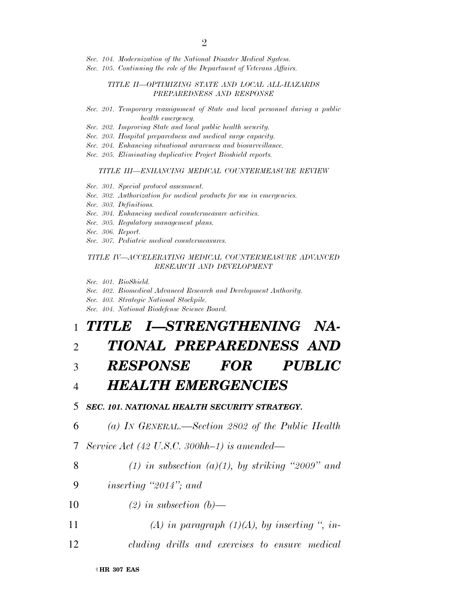*Sec. 104. Modernization of the National Disaster Medical System.* 

*Sec. 105. Continuing the role of the Department of Veterans Affairs.* 

### *TITLE II—OPTIMIZING STATE AND LOCAL ALL-HAZARDS PREPAREDNESS AND RESPONSE*

- *Sec. 201. Temporary reassignment of State and local personnel during a public health emergency.*
- *Sec. 202. Improving State and local public health security.*
- *Sec. 203. Hospital preparedness and medical surge capacity.*
- *Sec. 204. Enhancing situational awareness and biosurveillance.*
- *Sec. 205. Eliminating duplicative Project Bioshield reports.*

#### *TITLE III—ENHANCING MEDICAL COUNTERMEASURE REVIEW*

- *Sec. 301. Special protocol assessment.*
- *Sec. 302. Authorization for medical products for use in emergencies.*
- *Sec. 303. Definitions.*
- *Sec. 304. Enhancing medical countermeasure activities.*
- *Sec. 305. Regulatory management plans.*
- *Sec. 306. Report.*
- *Sec. 307. Pediatric medical countermeasures.*

#### *TITLE IV—ACCELERATING MEDICAL COUNTERMEASURE ADVANCED RESEARCH AND DEVELOPMENT*

- *Sec. 401. BioShield.*
- *Sec. 402. Biomedical Advanced Research and Development Authority.*
- *Sec. 403. Strategic National Stockpile.*
- *Sec. 404. National Biodefense Science Board.*

# 1 *TITLE I—STRENGTHENING NA-*

# 2 *TIONAL PREPAREDNESS AND*

## 3 *RESPONSE FOR PUBLIC*

## 4 *HEALTH EMERGENCIES*

- 5 *SEC. 101. NATIONAL HEALTH SECURITY STRATEGY.*
- 6 *(a) IN GENERAL.—Section 2802 of the Public Health*
- 7 *Service Act (42 U.S.C. 300hh–1) is amended—*
- 

### 8 *(1) in subsection (a)(1), by striking ''2009'' and*

- 9 *inserting ''2014''; and*
- 10 *(2) in subsection (b)—*
- 11 *(A) in paragraph (1)(A), by inserting '', in-*
- 12 *cluding drills and exercises to ensure medical*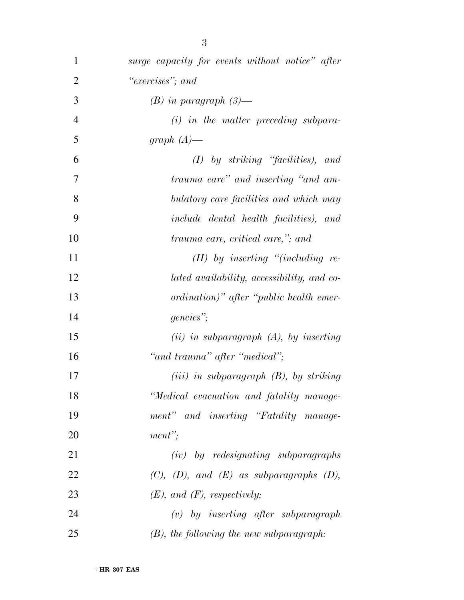| $\mathbf{1}$   | surge capacity for events without notice" after |
|----------------|-------------------------------------------------|
| $\overline{2}$ | "exercises"; and                                |
| 3              | $(B)$ in paragraph $(3)$ —                      |
| $\overline{4}$ | $(i)$ in the matter preceding subpara-          |
| 5              | graph $(A)$ —                                   |
| 6              | $(I)$ by striking "facilities), and             |
| 7              | trauma care" and inserting "and am-             |
| 8              | bulatory care facilities and which may          |
| 9              | <i>include dental health facilities</i> ), and  |
| 10             | trauma care, critical care,"; and               |
| 11             | $(II)$ by inserting "(including re-             |
| 12             | lated availability, accessibility, and co-      |
| 13             | ordination)" after "public health emer-         |
| 14             | gencies";                                       |
| 15             | $(ii)$ in subparagraph $(A)$ , by inserting     |
| 16             | "and trauma" after "medical";                   |
| 17             | $(iii)$ in subparagraph $(B)$ , by striking     |
| 18             | "Medical evacuation and fatality manage-        |
| 19             | ment" and inserting "Fatality manage-           |
| 20             | $ment$ ";                                       |
| 21             | $(iv)$ by redesignating subparagraphs           |
| 22             | $(C), (D), and (E)$ as subparagraphs $(D),$     |
| 23             | $(E)$ , and $(F)$ , respectively;               |
| 24             | $(v)$ by inserting after subparagraph           |
| 25             | $(B)$ , the following the new subparagraph:     |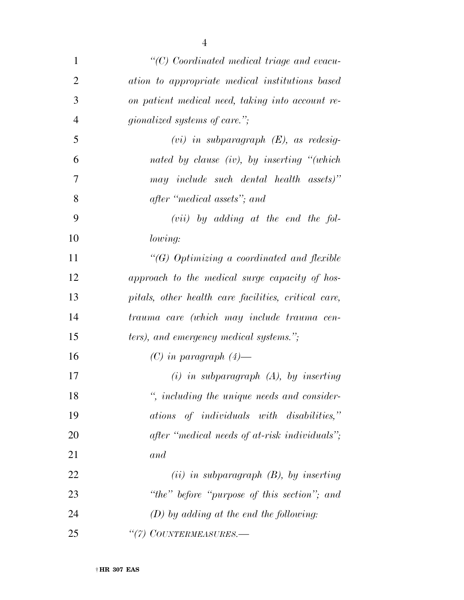| $\mathbf{1}$   | "(C) Coordinated medical triage and evacu-           |
|----------------|------------------------------------------------------|
| $\overline{2}$ | ation to appropriate medical institutions based      |
| 3              | on patient medical need, taking into account re-     |
| $\overline{4}$ | <i>gionalized systems of care.</i> ";                |
| 5              | $(vi)$ in subparagraph $(E)$ , as redesig-           |
| 6              | nated by clause (iv), by inserting "(which           |
| 7              | may include such dental health assets)"              |
| 8              | after "medical assets"; and                          |
| 9              | $(vii)$ by adding at the end the fol-                |
| 10             | lowing:                                              |
| 11             | " $(G)$ Optimizing a coordinated and flexible        |
| 12             | approach to the medical surge capacity of hos-       |
| 13             | pitals, other health care facilities, critical care, |
| 14             | trauma care (which may include trauma cen-           |
| 15             | ters), and emergency medical systems.";              |
| 16             | $(C)$ in paragraph $(4)$ —                           |
| 17             | $(i)$ in subparagraph $(A)$ , by inserting           |
| 18             | ", including the unique needs and consider-          |
| 19             | ations of individuals with disabilities,"            |
| 20             | after "medical needs of at-risk individuals";        |
| 21             | and                                                  |
| 22             | $(ii)$ in subparagraph $(B)$ , by inserting          |
| 23             | "the" before "purpose of this section"; and          |
| 24             | $(D)$ by adding at the end the following:            |
| 25             | "(7) COUNTERMEASURES.-                               |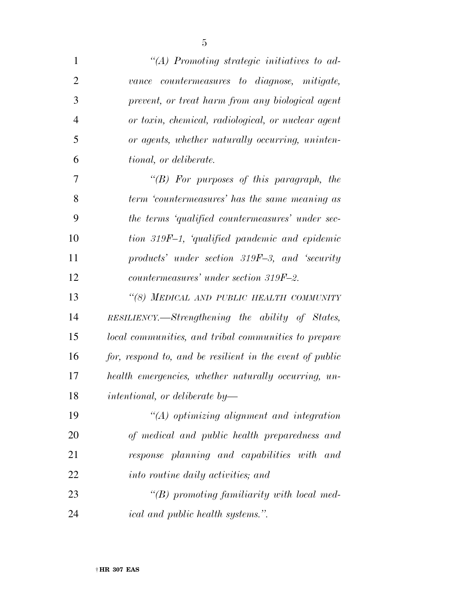| $\mathbf{1}$   | "(A) Promoting strategic initiatives to ad-              |
|----------------|----------------------------------------------------------|
| $\overline{2}$ | vance countermeasures to diagnose, mitigate,             |
| 3              | prevent, or treat harm from any biological agent         |
| $\overline{4}$ | or toxin, chemical, radiological, or nuclear agent       |
| 5              | or agents, whether naturally occurring, uninten-         |
| 6              | <i>tional, or deliberate.</i>                            |
| 7              | "(B) For purposes of this paragraph, the                 |
| 8              | term 'countermeasures' has the same meaning as           |
| 9              | the terms 'qualified countermeasures' under sec-         |
| 10             | tion 319F-1, 'qualified pandemic and epidemic            |
| 11             | products' under section 319F-3, and 'security            |
| 12             | countermeasures' under section 319F-2.                   |
| 13             | "(8) MEDICAL AND PUBLIC HEALTH COMMUNITY                 |
| 14             | RESILIENCY.—Strengthening the ability of States,         |
| 15             | local communities, and tribal communities to prepare     |
| 16             | for, respond to, and be resilient in the event of public |
| 17             | health emergencies, whether naturally occurring, un-     |
| 18             | $intentional, or\ deliberate\ by-$                       |
| 19             | $"(A)$ optimizing alignment and integration              |
| 20             | of medical and public health preparedness and            |
| 21             | response planning and capabilities with and              |
| 22             | into routine daily activities; and                       |
| 23             | "(B) promoting familiarity with local med-               |
| 24             | <i>ical and public health systems.</i> ".                |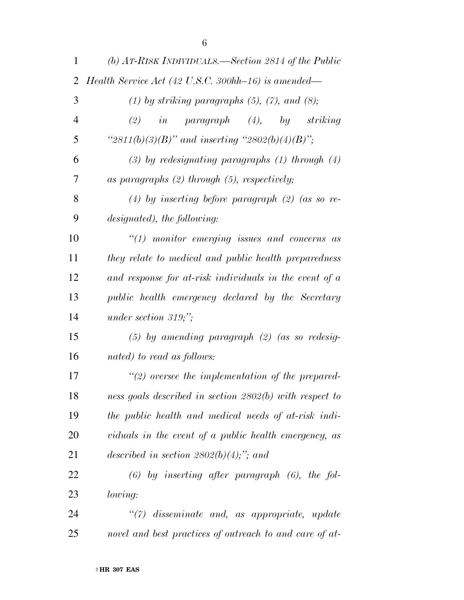| $\mathbf{1}$   | (b) $AT-RISK \text{ } INDIVIDUALS. \text{ }—Section \text{ } 2814 \text{ } of \text{ } the \text{ } Public$ |
|----------------|-------------------------------------------------------------------------------------------------------------|
| $\overline{2}$ | Health Service Act (42 U.S.C. 300hh-16) is amended—                                                         |
| 3              | $(1)$ by striking paragraphs $(5)$ , $(7)$ , and $(8)$ ;                                                    |
| $\overline{4}$ | $in$ paragraph $(4)$ , by striking<br>(2)                                                                   |
| 5              | " $2811(b)(3)(B)$ " and inserting " $2802(b)(4)(B)$ ";                                                      |
| 6              | $(3)$ by redesignating paragraphs $(1)$ through $(4)$                                                       |
| 7              | as paragraphs $(2)$ through $(5)$ , respectively;                                                           |
| 8              | $(4)$ by inserting before paragraph $(2)$ (as so re-                                                        |
| 9              | designated), the following:                                                                                 |
| 10             | $\lq(1)$ monitor emerging issues and concerns as                                                            |
| 11             | they relate to medical and public health preparedness                                                       |
| 12             | and response for at-risk individuals in the event of a                                                      |
| 13             | public health emergency declared by the Secretary                                                           |
| 14             | under section $319;$ ";                                                                                     |
| 15             | $(5)$ by amending paragraph $(2)$ (as so redesig-                                                           |
| 16             | nated) to read as follows:                                                                                  |
| 17             | $\lq(2)$ oversee the implementation of the prepared-                                                        |
| 18             | ness goals described in section 2802(b) with respect to                                                     |
| 19             | the public health and medical needs of at-risk indi-                                                        |
| 20             | viduals in the event of a public health emergency, as                                                       |
| 21             | described in section $2802(b)(4)$ ;"; and                                                                   |
| 22             | $(6)$ by inserting after paragraph $(6)$ , the fol-                                                         |
| 23             | <i>lowing:</i>                                                                                              |
| 24             | "(7) disseminate and, as appropriate, update                                                                |
| 25             | novel and best practices of outreach to and care of at-                                                     |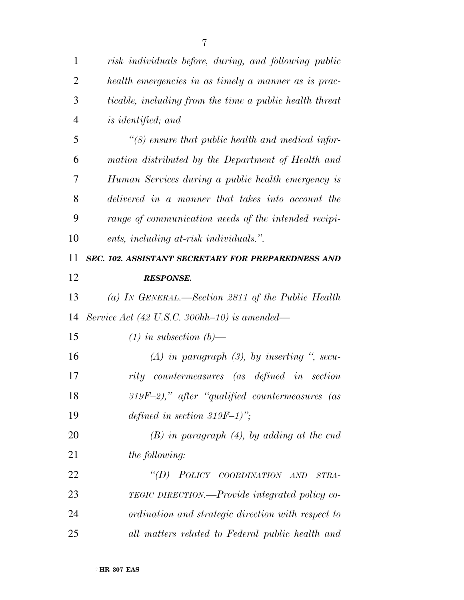| 1              | risk individuals before, during, and following public          |
|----------------|----------------------------------------------------------------|
| $\overline{2}$ | health emergencies in as timely a manner as is prac-           |
| 3              | <i>ticable, including from the time a public health threat</i> |
| $\overline{4}$ | <i>is identified</i> ; and                                     |
| 5              | $\lq(8)$ ensure that public health and medical infor-          |
| 6              | mation distributed by the Department of Health and             |
| 7              | Human Services during a public health emergency is             |
| 8              | delivered in a manner that takes into account the              |
| 9              | range of communication needs of the intended recipi-           |
| 10             | ents, including at-risk individuals.".                         |
| 11             | SEC. 102. ASSISTANT SECRETARY FOR PREPAREDNESS AND             |
| 12             | <b>RESPONSE.</b>                                               |
| 13             | (a) IN GENERAL.—Section 2811 of the Public Health              |
| 14             | Service Act (42 U.S.C. 300hh-10) is amended—                   |
| 15             | $(1)$ in subsection $(b)$ —                                    |
| 16             | $(A)$ in paragraph $(B)$ , by inserting ", secu-               |
| 17             | rity countermeasures (as defined in section                    |
| 18             | $319F-2)$ ," after "qualified countermeasures (as              |
| 19             | defined in section 319F-1)";                                   |
| 20             | $(B)$ in paragraph $(4)$ , by adding at the end                |
| 21             | <i>the following:</i>                                          |
| 22             | "(D) POLICY COORDINATION AND<br>STRA-                          |
| 23             | <b>TEGIC DIRECTION.—Provide integrated policy co-</b>          |
| 24             | ordination and strategic direction with respect to             |
| 25             | all matters related to Federal public health and               |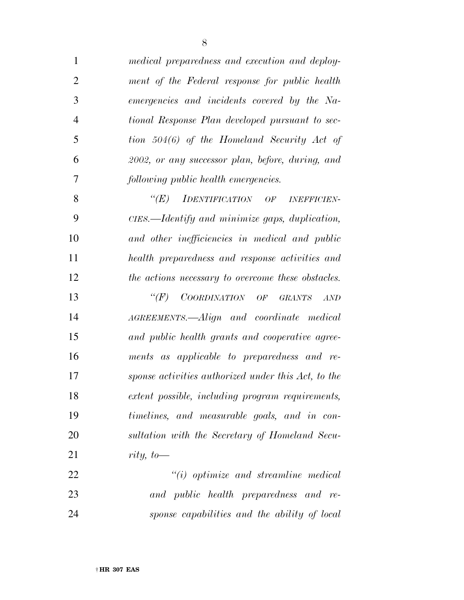| $\mathbf{1}$   | medical preparedness and execution and deploy-      |
|----------------|-----------------------------------------------------|
| $\overline{2}$ | ment of the Federal response for public health      |
| 3              | emergencies and incidents covered by the Na-        |
| $\overline{4}$ | tional Response Plan developed pursuant to sec-     |
| 5              | tion 504(6) of the Homeland Security Act of         |
| 6              | 2002, or any successor plan, before, during, and    |
| 7              | following public health emergencies.                |
| 8              | $\lq (E)$<br>IDENTIFICATION OF INEFFICIEN-          |
| 9              | CIES.—Identify and minimize gaps, duplication,      |
| 10             | and other inefficiencies in medical and public      |
| 11             | health preparedness and response activities and     |
| 12             | the actions necessary to overcome these obstacles.  |
| 13             | COORDINATION OF GRANTS<br>$\lq (F)$<br>AND          |
| 14             | AGREEMENTS.—Align and coordinate medical            |
| 15             | and public health grants and cooperative agree-     |
| 16             | ments as applicable to preparedness and re-         |
| 17             | sponse activities authorized under this Act, to the |
| 18             | extent possible, including program requirements,    |
| 19             | timelines, and measurable goals, and in con-        |
| 20             | sultation with the Secretary of Homeland Secu-      |
| 21             | rity, to-                                           |
| 22             | $"(i)$ optimize and streamline medical              |
| 23             | and public health preparedness and re-              |
| 24             | sponse capabilities and the ability of local        |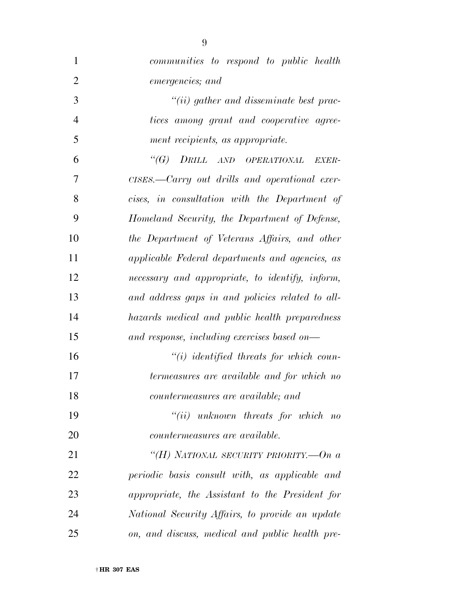| $\mathbf{1}$   | communities to respond to public health          |
|----------------|--------------------------------------------------|
| $\overline{2}$ | emergencies; and                                 |
| 3              | $``(ii)$ gather and disseminate best prac-       |
| $\overline{4}$ | tices among grant and cooperative agree-         |
| 5              | ment recipients, as appropriate.                 |
| 6              | "(G) DRILL AND OPERATIONAL<br><i>EXER-</i>       |
| 7              | CISES.—Carry out drills and operational exer-    |
| 8              | cises, in consultation with the Department of    |
| 9              | Homeland Security, the Department of Defense,    |
| 10             | the Department of Veterans Affairs, and other    |
| 11             | applicable Federal departments and agencies, as  |
| 12             | necessary and appropriate, to identify, inform,  |
| 13             | and address gaps in and policies related to all- |
| 14             | hazards medical and public health preparedness   |
| 15             | and response, including exercises based on—      |
| 16             | $``(i)$ identified threats for which coun-       |
| 17             | termeasures are available and for which no       |
| 18             | countermeasures are available; and               |
| 19             | $``(ii)$ unknown threats for which no            |
| 20             | <i>countermeasures are available.</i>            |
| 21             | "(H) NATIONAL SECURITY PRIORITY.— $On a$         |
| 22             | periodic basis consult with, as applicable and   |
| 23             | appropriate, the Assistant to the President for  |
| 24             | National Security Affairs, to provide an update  |
| 25             | on, and discuss, medical and public health pre-  |
|                |                                                  |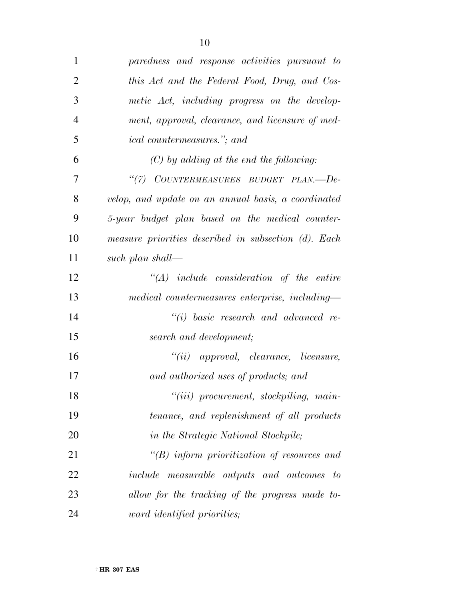| $\mathbf{1}$   | paredness and response activities pursuant to        |
|----------------|------------------------------------------------------|
| $\overline{2}$ | this Act and the Federal Food, Drug, and Cos-        |
| 3              | metic Act, including progress on the develop-        |
| $\overline{4}$ | ment, approval, clearance, and licensure of med-     |
| 5              | <i>ical countermeasures.</i> "; and                  |
| 6              | $(C)$ by adding at the end the following:            |
| 7              | "(7) COUNTERMEASURES BUDGET PLAN.--De-               |
| 8              | velop, and update on an annual basis, a coordinated  |
| 9              | 5-year budget plan based on the medical counter-     |
| 10             | measure priorities described in subsection (d). Each |
| 11             | such plan shall—                                     |
| 12             | $\lq\lq (A)$ include consideration of the entire     |
| 13             | medical countermeasures enterprise, including-       |
| 14             | $``(i)$ basic research and advanced re-              |
| 15             | search and development;                              |
| 16             | $``(ii)$ approval, clearance, licensure,             |
| 17             | and authorized uses of products; and                 |
| 18             | "(iii) procurement, stockpiling, main-               |
| 19             | tenance, and replenishment of all products           |
| 20             | in the Strategic National Stockpile;                 |
| 21             | $\lq\lq B$ inform prioritization of resources and    |
| 22             | include measurable outputs and outcomes<br>$-to$     |
| 23             | allow for the tracking of the progress made to-      |
| 24             | ward identified priorities;                          |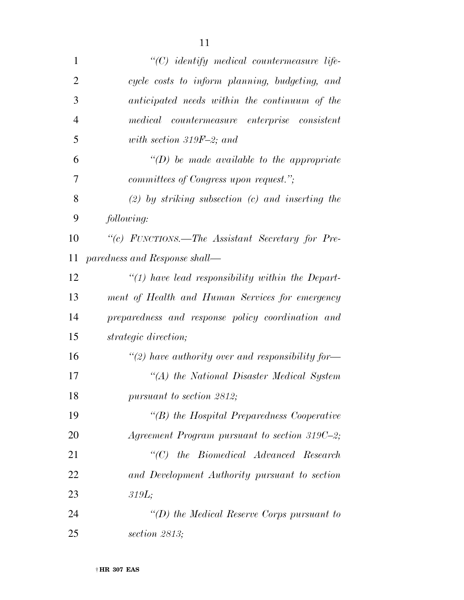| $\mathbf{1}$   | "(C) identify medical countermeasure life-           |
|----------------|------------------------------------------------------|
| $\overline{2}$ | cycle costs to inform planning, budgeting, and       |
| 3              | anticipated needs within the continuum of the        |
| $\overline{4}$ | medical countermeasure enterprise consistent         |
| 5              | with section 319F-2; and                             |
| 6              | $\lq (D)$ be made available to the appropriate       |
| 7              | committees of Congress upon request.";               |
| 8              | $(2)$ by striking subsection $(c)$ and inserting the |
| 9              | following:                                           |
| 10             | "(c) FUNCTIONS.—The Assistant Secretary for Pre-     |
| 11             | paredness and Response shall-                        |
| 12             | $\lq(1)$ have lead responsibility within the Depart- |
| 13             | ment of Health and Human Services for emergency      |
| 14             | preparedness and response policy coordination and    |
| 15             | strategic direction;                                 |
| 16             | "(2) have authority over and responsibility for-     |
| 17             | "(A) the National Disaster Medical System            |
| 18             | pursuant to section 2812;                            |
| 19             | $\lq\lq(B)$ the Hospital Preparedness Cooperative    |
| 20             | Agreement Program pursuant to section 319C-2;        |
| 21             | "(C) the Biomedical Advanced Research                |
| 22             | and Development Authority pursuant to section        |
| 23             | 319L;                                                |
| 24             | "(D) the Medical Reserve Corps pursuant to           |
| 25             | section $2813$ ;                                     |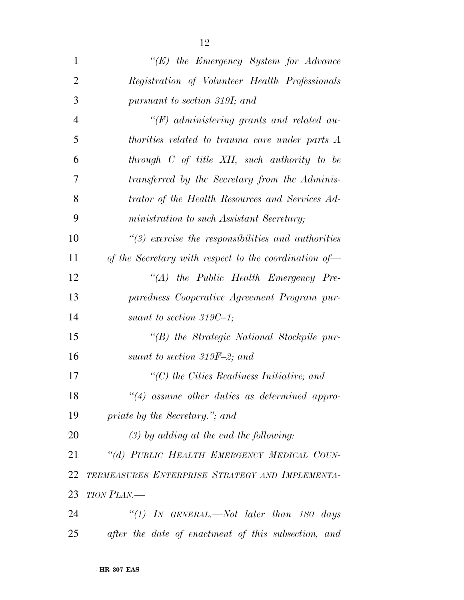| $\mathbf{1}$   | $\lq\lq (E)$ the Emergency System for Advance          |
|----------------|--------------------------------------------------------|
| $\overline{2}$ | Registration of Volunteer Health Professionals         |
| 3              | pursuant to section 319I; and                          |
| $\overline{4}$ | $H(F)$ administering grants and related au-            |
| 5              | thorities related to trauma care under parts A         |
| 6              | through $C$ of title XII, such authority to be         |
| 7              | transferred by the Secretary from the Adminis-         |
| 8              | trator of the Health Resources and Services Ad-        |
| 9              | ministration to such Assistant Secretary;              |
| 10             | $\lq(3)$ exercise the responsibilities and authorities |
| 11             | of the Secretary with respect to the coordination of-  |
| 12             | " $(A)$ the Public Health Emergency Pre-               |
| 13             | paredness Cooperative Agreement Program pur-           |
| 14             | suant to section 319C-1;                               |
| 15             | "(B) the Strategic National Stockpile pur-             |
| 16             | suant to section 319F-2; and                           |
| 17             | $\lq\lq C$ the Cities Readiness Initiative; and        |
| 18             | $\lq(4)$ assume other duties as determined appro-      |
| 19             | priate by the Secretary."; and                         |
| 20             | $(3)$ by adding at the end the following:              |
| 21             | "(d) PUBLIC HEALTH EMERGENCY MEDICAL COUN-             |
| 22             | TERMEASURES ENTERPRISE STRATEGY AND IMPLEMENTA-        |
| 23             | <b>TION PLAN.—</b>                                     |
| 24             | "(1) IN GENERAL.—Not later than $180$ days             |
| 25             | after the date of enactment of this subsection, and    |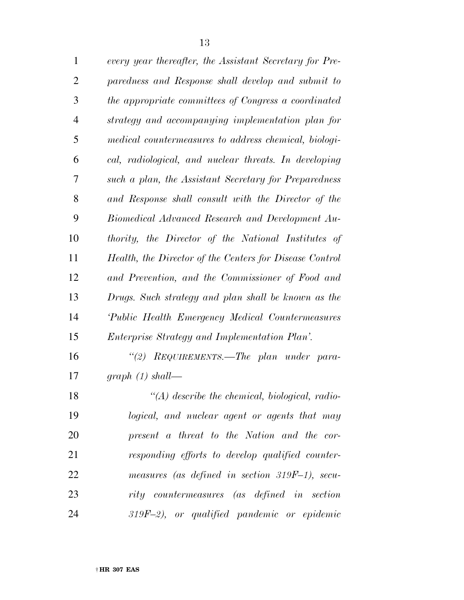| $\mathbf{1}$   | every year thereafter, the Assistant Secretary for Pre- |
|----------------|---------------------------------------------------------|
| $\mathfrak{2}$ | paredness and Response shall develop and submit to      |
| 3              | the appropriate committees of Congress a coordinated    |
| $\overline{4}$ | strategy and accompanying implementation plan for       |
| 5              | medical countermeasures to address chemical, biologi-   |
| 6              | cal, radiological, and nuclear threats. In developing   |
| 7              | such a plan, the Assistant Secretary for Preparedness   |
| 8              | and Response shall consult with the Director of the     |
| 9              | Biomedical Advanced Research and Development Au-        |
| 10             | thority, the Director of the National Institutes of     |
| 11             | Health, the Director of the Centers for Disease Control |
| 12             | and Prevention, and the Commissioner of Food and        |
| 13             | Drugs. Such strategy and plan shall be known as the     |
| 14             | Public Health Emergency Medical Countermeasures         |
| 15             | <i>Enterprise Strategy and Implementation Plan'.</i>    |
| 16             | "(2) REQUIREMENTS.—The plan under para-                 |
| 17             | graph $(1)$ shall—                                      |
| 18             | $\lq (A)$ describe the chemical, biological, radio-     |
| 19             | logical, and nuclear agent or agents that may           |
| 20             | present a threat to the Nation and the cor-             |
| 21             | responding efforts to develop qualified counter-        |
| 22             | measures (as defined in section 319F-1), secu-          |
| 23             | rity countermeasures (as defined in section             |
| 24             | $319F-2$ , or qualified pandemic or epidemic            |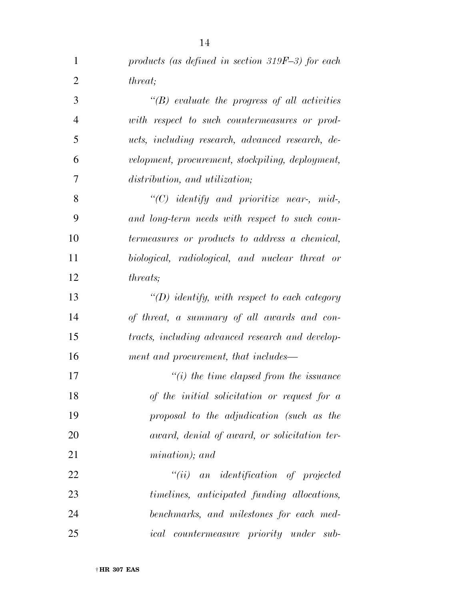| $\mathbf{1}$   | products (as defined in section $319F-3$ ) for each |
|----------------|-----------------------------------------------------|
| $\overline{2}$ | <i>threat</i> ;                                     |
| 3              | $\lq\lq(B)$ evaluate the progress of all activities |
| $\overline{4}$ | with respect to such countermeasures or prod-       |
| 5              | ucts, including research, advanced research, de-    |
| 6              | velopment, procurement, stockpiling, deployment,    |
| 7              | distribution, and utilization;                      |
| 8              | " $(C)$ identify and prioritize near-, mid-,        |
| 9              | and long-term needs with respect to such coun-      |
| 10             | termeasures or products to address a chemical,      |
| 11             | biological, radiological, and nuclear threat or     |
| 12             | <i>threats</i> ;                                    |
| 13             | "(D) identify, with respect to each category        |
| 14             | of threat, a summary of all awards and con-         |
| 15             | tracts, including advanced research and develop-    |
| 16             | ment and procurement, that includes—                |
| 17             | $\lq\lq(i)$ the time elapsed from the issuance      |
| 18             | of the initial solicitation or request for $a$      |
| 19             | proposal to the adjudication (such as the           |
| 20             | award, denial of award, or solicitation ter-        |
| 21             | mination); and                                      |
| 22             | $``(ii)$ an identification of projected             |
| 23             | timelines, anticipated funding allocations,         |
| 24             | benchmarks, and milestones for each med-            |
| 25             | <i>ical countermeasure priority under sub-</i>      |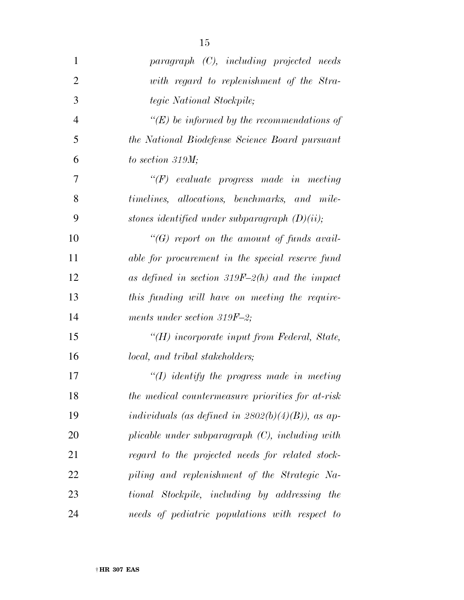| $\mathbf{1}$   | $paragnph$ $(C)$ , including projected needs         |
|----------------|------------------------------------------------------|
| $\overline{2}$ | with regard to replenishment of the Stra-            |
| 3              | tegic National Stockpile;                            |
| $\overline{4}$ | "(E) be informed by the recommendations of           |
| 5              | the National Biodefense Science Board pursuant       |
| 6              | to section $319M$ ;                                  |
| 7              | $\lq\lq(F)$ evaluate progress made in meeting        |
| 8              | timelines, allocations, benchmarks, and mile-        |
| 9              | stones identified under subparagraph $(D)(ii)$ ;     |
| 10             | $\lq\lq(G)$ report on the amount of funds avail-     |
| 11             | able for procurement in the special reserve fund     |
| 12             | as defined in section $319F-2(h)$ and the impact     |
| 13             | this funding will have on meeting the require-       |
| 14             | ments under section 319F-2;                          |
| 15             | "(H) incorporate input from Federal, State,          |
| 16             | local, and tribal stakeholders;                      |
| 17             | $\lq (I)$ identify the progress made in meeting      |
| 18             | the medical countermeasure priorities for at-risk    |
| 19             | individuals (as defined in $2802(b)(4)(B)$ ), as ap- |
| 20             | plicable under subparagraph $(C)$ , including with   |
| 21             | regard to the projected needs for related stock-     |
| 22             | piling and replenishment of the Strategic Na-        |
| 23             | tional Stockpile, including by addressing the        |
| 24             | needs of pediatric populations with respect to       |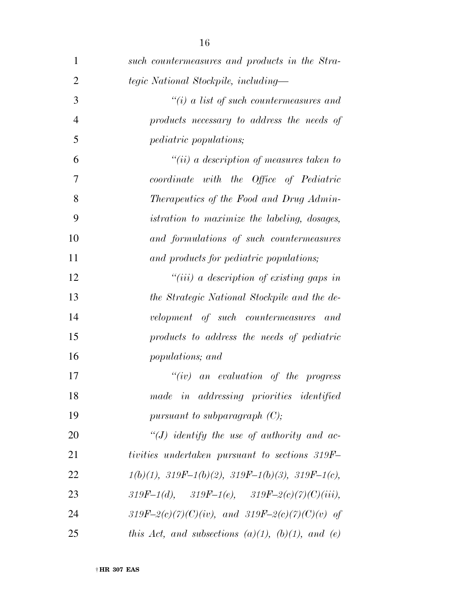| $\mathbf{1}$   | such countermeasures and products in the Stra-            |
|----------------|-----------------------------------------------------------|
| $\overline{2}$ | tegic National Stockpile, including—                      |
| 3              | $\lq\lq(i)$ a list of such countermeasures and            |
| $\overline{4}$ | products necessary to address the needs of                |
| 5              | <i>pediatric populations;</i>                             |
| 6              | $``(ii)$ a description of measures taken to               |
| 7              | coordinate with the Office of Pediatric                   |
| 8              | Therapeutics of the Food and Drug Admin-                  |
| 9              | <i>istration to maximize the labeling, dosages,</i>       |
| 10             | and formulations of such countermeasures                  |
| 11             | and products for pediatric populations;                   |
| 12             | "(iii) a description of existing gaps in                  |
| 13             | the Strategic National Stockpile and the de-              |
| 14             | velopment of such countermeasures and                     |
| 15             | products to address the needs of pediatric                |
| 16             | populations; and                                          |
| 17             | $``(iv)$ an evaluation of the progress                    |
| 18             | made in addressing priorities identified                  |
| 19             | pursuant to subparagraph $(C)$ ;                          |
| 20             | $\lq (J)$ identify the use of authority and ac-           |
| 21             | tivities undertaken pursuant to sections 319F-            |
| 22             | $1(b)(1), 319F-1(b)(2), 319F-1(b)(3), 319F-1(c),$         |
| 23             | 319F-1(d), 319F-1(e), 319F-2(c)(7)(C)(iii),               |
| 24             | 319F-2(c)(7)(C)(iv), and 319F-2(c)(7)(C)(v) of            |
| 25             | this Act, and subsections $(a)(1)$ , $(b)(1)$ , and $(e)$ |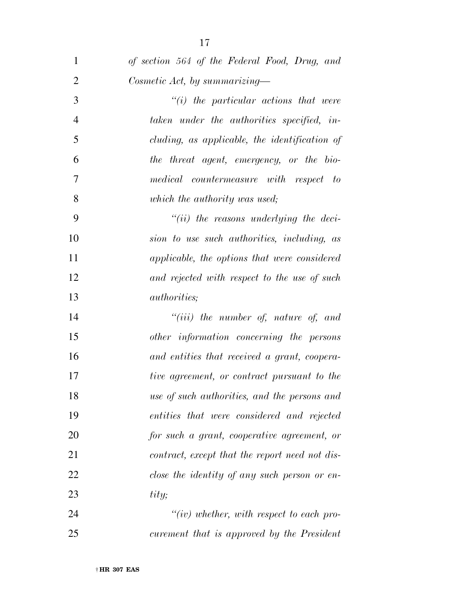| $\mathbf{1}$   | of section 564 of the Federal Food, Drug, and  |
|----------------|------------------------------------------------|
| $\overline{2}$ | Cosmetic Act, by summarizing—                  |
| 3              | $"(i)$ the particular actions that were        |
| $\overline{4}$ | taken under the authorities specified, in-     |
| 5              | cluding, as applicable, the identification of  |
| 6              | the threat agent, emergency, or the bio-       |
| 7              | medical countermeasure with respect to         |
| 8              | which the authority was used;                  |
| 9              | $``(ii)$ the reasons underlying the deci-      |
| 10             | sion to use such authorities, including, as    |
| 11             | applicable, the options that were considered   |
| 12             | and rejected with respect to the use of such   |
| 13             | <i>authorities</i> ;                           |
| 14             | $``(iii)$ the number of, nature of, and        |
| 15             | other information concerning the persons       |
| 16             | and entities that received a grant, coopera-   |
| 17             | tive agreement, or contract pursuant to the    |
| 18             | use of such authorities, and the persons and   |
| 19             | entities that were considered and rejected     |
| 20             | for such a grant, cooperative agreement, or    |
| 21             | contract, except that the report need not dis- |
| 22             | close the identity of any such person or en-   |
| 23             | tity;                                          |
| 24             | $``(iv)$ whether, with respect to each pro-    |
| 25             | curement that is approved by the President     |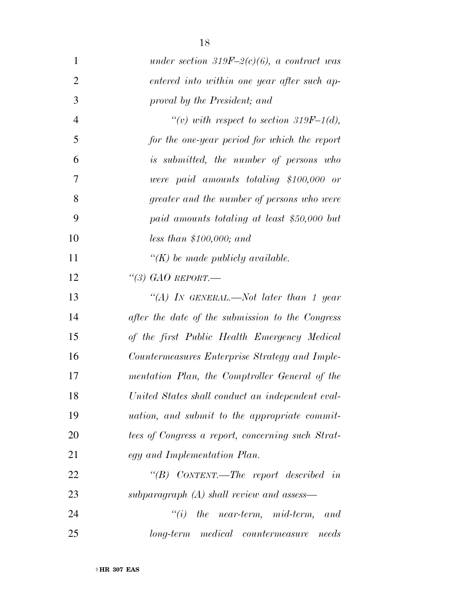| $\mathbf{1}$   | under section 319F-2(c)(6), a contract was           |
|----------------|------------------------------------------------------|
| 2              | entered into within one year after such ap-          |
| 3              | proval by the President; and                         |
| $\overline{4}$ | "(v) with respect to section 319F-1(d),              |
| 5              | for the one-year period for which the report         |
| 6              | is submitted, the number of persons who              |
| 7              | were paid amounts totaling \$100,000 or              |
| 8              | greater and the number of persons who were           |
| 9              | paid amounts totaling at least \$50,000 but          |
| 10             | less than \$100,000; and                             |
| 11             | $\lq (K)$ be made publicly available.                |
| 12             | "(3) GAO REPORT.—                                    |
| 13             | "(A) In GENERAL.—Not later than 1 year               |
| 14             | after the date of the submission to the Congress     |
| 15             | of the first Public Health Emergency Medical         |
| 16             | Countermeasures Enterprise Strategy and Imple-       |
| 17             | mentation Plan, the Comptroller General of the       |
| 18             | United States shall conduct an independent eval-     |
| 19             | <i>uation, and submit to the appropriate commit-</i> |
| 20             | tees of Congress a report, concerning such Strat-    |
| 21             | egy and Implementation Plan.                         |
| 22             | "(B) CONTENT.—The report described in                |
| 23             | subparagraph $(A)$ shall review and assess—          |
| 24             | $\lq\lq(i)$ the near-term, mid-term,<br>-and         |
| 25             | long-term medical countermeasure<br>needs            |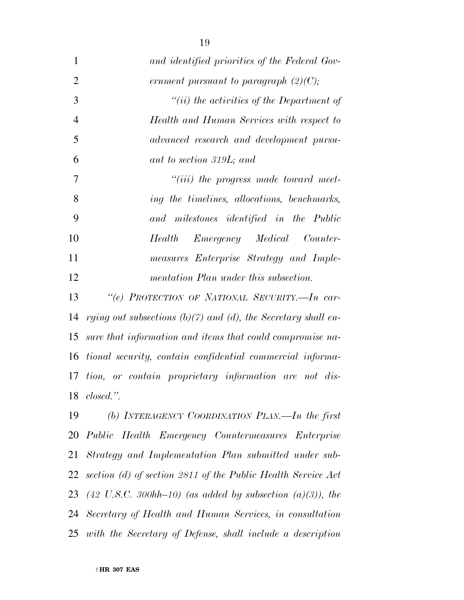| $\mathbf{1}$   | and identified priorities of the Federal Gov-                      |
|----------------|--------------------------------------------------------------------|
| $\overline{2}$ | ernment pursuant to paragraph $(2)(C)$ ;                           |
| 3              | "(ii) the activities of the Department of                          |
| $\overline{4}$ | Health and Human Services with respect to                          |
| 5              | advanced research and development pursu-                           |
| 6              | ant to section 319L; and                                           |
| $\overline{7}$ | $``(iii)$ the progress made toward meet-                           |
| 8              | ing the timelines, allocations, benchmarks,                        |
| 9              | and milestones identified in the Public                            |
| 10             | <i>Emergency Medical</i><br>Counter-<br><b>Health</b>              |
| 11             | measures Enterprise Strategy and Imple-                            |
| 12             | mentation Plan under this subsection.                              |
| 13             | "(e) PROTECTION OF NATIONAL SECURITY.-In car-                      |
| 14             | rying out subsections $(b)(7)$ and $(d)$ , the Secretary shall en- |
| 15             | sure that information and items that could compromise na-          |
| 16             | tional security, contain confidential commercial informa-          |
| 17             | tion, or contain proprietary information are not dis-              |
| 18             | $closed.$ ".                                                       |
| 19             | (b) INTERAGENCY COORDINATION PLAN.—In the first                    |
|                | 20 Public Health Emergency Countermeasures Enterprise              |

 *Public Health Emergency Countermeasures Enterprise Strategy and Implementation Plan submitted under sub- section (d) of section 2811 of the Public Health Service Act (42 U.S.C. 300hh–10) (as added by subsection (a)(3)), the Secretary of Health and Human Services, in consultation with the Secretary of Defense, shall include a description*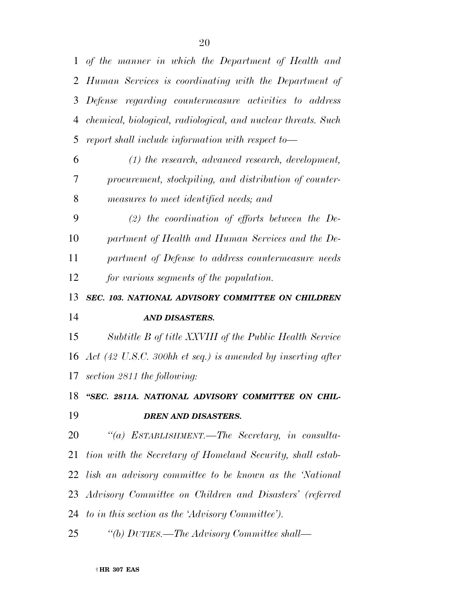*of the manner in which the Department of Health and Human Services is coordinating with the Department of Defense regarding countermeasure activities to address chemical, biological, radiological, and nuclear threats. Such report shall include information with respect to—* 

 *(1) the research, advanced research, development, procurement, stockpiling, and distribution of counter-measures to meet identified needs; and* 

 *(2) the coordination of efforts between the De- partment of Health and Human Services and the De- partment of Defense to address countermeasure needs for various segments of the population.* 

 *SEC. 103. NATIONAL ADVISORY COMMITTEE ON CHILDREN AND DISASTERS.* 

 *Subtitle B of title XXVIII of the Public Health Service Act (42 U.S.C. 300hh et seq.) is amended by inserting after section 2811 the following:* 

 *''SEC. 2811A. NATIONAL ADVISORY COMMITTEE ON CHIL-DREN AND DISASTERS.* 

 *''(a) ESTABLISHMENT.—The Secretary, in consulta- tion with the Secretary of Homeland Security, shall estab- lish an advisory committee to be known as the 'National Advisory Committee on Children and Disasters' (referred to in this section as the 'Advisory Committee'). ''(b) DUTIES.—The Advisory Committee shall—*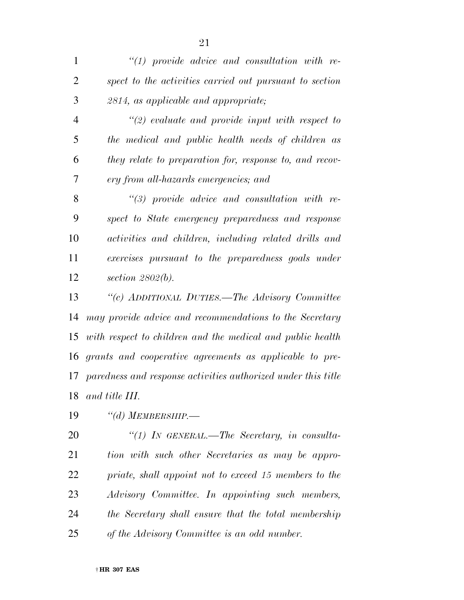| $\mathbf{1}$   | $"(1)$ provide advice and consultation with re-               |
|----------------|---------------------------------------------------------------|
| $\overline{2}$ | spect to the activities carried out pursuant to section       |
| 3              | 2814, as applicable and appropriate;                          |
| $\overline{4}$ | $\lq(2)$ evaluate and provide input with respect to           |
| 5              | the medical and public health needs of children as            |
| 6              | they relate to preparation for, response to, and recov-       |
| $\overline{7}$ | ery from all-hazards emergencies; and                         |
| 8              | $\lq(3)$ provide advice and consultation with re-             |
| 9              | spect to State emergency preparedness and response            |
| 10             | activities and children, including related drills and         |
| 11             | exercises pursuant to the preparedness goals under            |
| 12             | section $2802(b)$ .                                           |
| 13             | "(c) ADDITIONAL DUTIES.—The Advisory Committee                |
| 14             | may provide advice and recommendations to the Secretary       |
| 15             | with respect to children and the medical and public health    |
| 16             | grants and cooperative agreements as applicable to pre-       |
| 17             | paredness and response activities authorized under this title |
| 18             | and title III.                                                |
|                | $\cdots$                                                      |

*''(d) MEMBERSHIP.—* 

 *''(1) IN GENERAL.—The Secretary, in consulta- tion with such other Secretaries as may be appro- priate, shall appoint not to exceed 15 members to the Advisory Committee. In appointing such members, the Secretary shall ensure that the total membership of the Advisory Committee is an odd number.*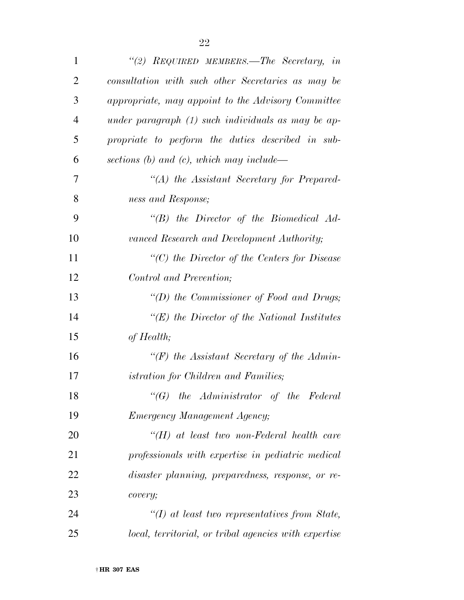| $\mathbf{1}$   | "(2) REQUIRED MEMBERS.—The Secretary, in              |
|----------------|-------------------------------------------------------|
| $\overline{2}$ | consultation with such other Secretaries as may be    |
| 3              | appropriate, may appoint to the Advisory Committee    |
| $\overline{4}$ | under paragraph $(1)$ such individuals as may be ap-  |
| 5              | propriate to perform the duties described in sub-     |
| 6              | sections (b) and (c), which may include—              |
| 7              | $\lq (A)$ the Assistant Secretary for Prepared-       |
| 8              | ness and Response;                                    |
| 9              | $\lq\lq B$ the Director of the Biomedical Ad-         |
| 10             | vanced Research and Development Authority;            |
| 11             | $\lq\lq C$ the Director of the Centers for Disease    |
| 12             | Control and Prevention;                               |
| 13             | "(D) the Commissioner of Food and Drugs;              |
| 14             | " $(E)$ the Director of the National Institutes       |
| 15             | of Health;                                            |
| 16             | " $(F)$ the Assistant Secretary of the Admin-         |
| 17             | <i>istration for Children and Families;</i>           |
| 18             | $\lq\lq(G)$ the Administrator of the Federal          |
| 19             | <b>Emergency Management Agency;</b>                   |
| 20             | $H(H)$ at least two non-Federal health care           |
| 21             | professionals with expertise in pediatric medical     |
| 22             | disaster planning, preparedness, response, or re-     |
| 23             | covery;                                               |
| 24             | $\lq (I)$ at least two representatives from State,    |
| 25             | local, territorial, or tribal agencies with expertise |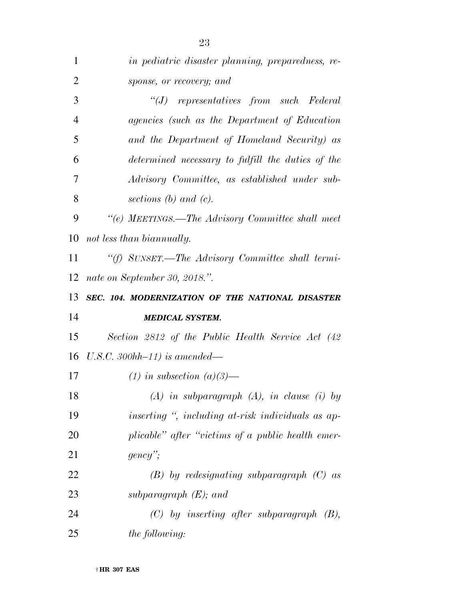| 1              | in pediatric disaster planning, preparedness, re-  |
|----------------|----------------------------------------------------|
| $\overline{2}$ | sponse, or recovery; and                           |
| 3              | $``(J)$ representatives from such Federal          |
| $\overline{4}$ | agencies (such as the Department of Education      |
| 5              | and the Department of Homeland Security) as        |
| 6              | determined necessary to fulfill the duties of the  |
| 7              | Advisory Committee, as established under sub-      |
| 8              | sections $(b)$ and $(c)$ .                         |
| 9              | "(e) MEETINGS.—The Advisory Committee shall meet   |
| 10             | not less than biannually.                          |
| 11             | "(f) SUNSET.—The Advisory Committee shall termi-   |
| 12             | nate on September 30, 2018.".                      |
|                |                                                    |
| 13             | SEC. 104. MODERNIZATION OF THE NATIONAL DISASTER   |
| 14             | <b>MEDICAL SYSTEM.</b>                             |
| 15             | Section 2812 of the Public Health Service Act (42) |
| 16             | U.S.C. 300hh-11) is amended—                       |
| 17             | $(1)$ in subsection $(a)(3)$ —                     |
| 18             | $(A)$ in subparagraph $(A)$ , in clause (i) by     |
| 19             | inserting ", including at-risk individuals as ap-  |
| 20             | plicable" after "victims of a public health emer-  |
| 21             | $\text{gency}$ ";                                  |
| 22             | $(B)$ by redesignating subparagraph $(C)$ as       |
| 23             | subparagraph $(E)$ ; and                           |
| 24             | $(C)$ by inserting after subparagraph $(B)$ ,      |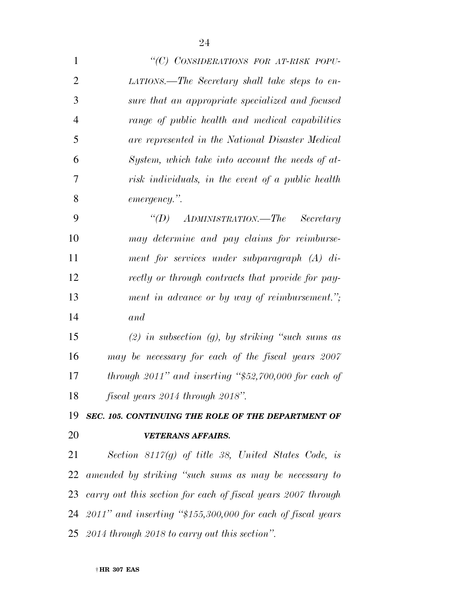| $\mathbf{1}$   | "(C) CONSIDERATIONS FOR AT-RISK POPU-                           |
|----------------|-----------------------------------------------------------------|
| $\overline{2}$ | LATIONS.—The Secretary shall take steps to en-                  |
| 3              | sure that an appropriate specialized and focused                |
| $\overline{4}$ | range of public health and medical capabilities                 |
| 5              | are represented in the National Disaster Medical                |
| 6              | System, which take into account the needs of at-                |
| 7              | risk individuals, in the event of a public health               |
| 8              | emergency.".                                                    |
| 9              | "(D) $\Delta$ DMINISTRATION.—The Secretary                      |
| 10             | may determine and pay claims for reimburse-                     |
| 11             | ment for services under subparagraph $(A)$ di-                  |
| 12             | rectly or through contracts that provide for pay-               |
| 13             | ment in advance or by way of reimbursement.";                   |
| 14             | and                                                             |
| 15             | $(2)$ in subsection $(g)$ , by striking "such sums as           |
| 16             | may be necessary for each of the fiscal years 2007              |
| 17             | through $2011$ " and inserting "\$52,700,000 for each of        |
| 18             | fiscal years 2014 through 2018".                                |
| 19             | SEC. 105. CONTINUING THE ROLE OF THE DEPARTMENT OF              |
| 20             | <b>VETERANS AFFAIRS.</b>                                        |
| 21             | Section 8117 $(g)$ of title 38, United States Code, is          |
|                | 22 amended by striking "such sums as may be necessary to        |
|                | 23 carry out this section for each of fiscal years 2007 through |
|                | 24 2011" and inserting "\$155,300,000 for each of fiscal years  |

*2014 through 2018 to carry out this section''.*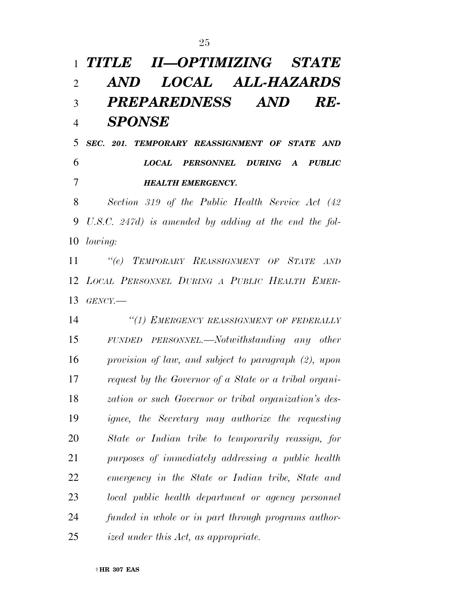*TITLE II—OPTIMIZING STATE AND LOCAL ALL-HAZARDS PREPAREDNESS AND RE- SPONSE SEC. 201. TEMPORARY REASSIGNMENT OF STATE AND LOCAL PERSONNEL DURING A PUBLIC HEALTH EMERGENCY. Section 319 of the Public Health Service Act (42 U.S.C. 247d) is amended by adding at the end the fol- lowing: ''(e) TEMPORARY REASSIGNMENT OF STATE AND LOCAL PERSONNEL DURING A PUBLIC HEALTH EMER- GENCY.— ''(1) EMERGENCY REASSIGNMENT OF FEDERALLY FUNDED PERSONNEL.—Notwithstanding any other provision of law, and subject to paragraph (2), upon request by the Governor of a State or a tribal organi- zation or such Governor or tribal organization's des- ignee, the Secretary may authorize the requesting State or Indian tribe to temporarily reassign, for purposes of immediately addressing a public health emergency in the State or Indian tribe, State and local public health department or agency personnel funded in whole or in part through programs author-ized under this Act, as appropriate.*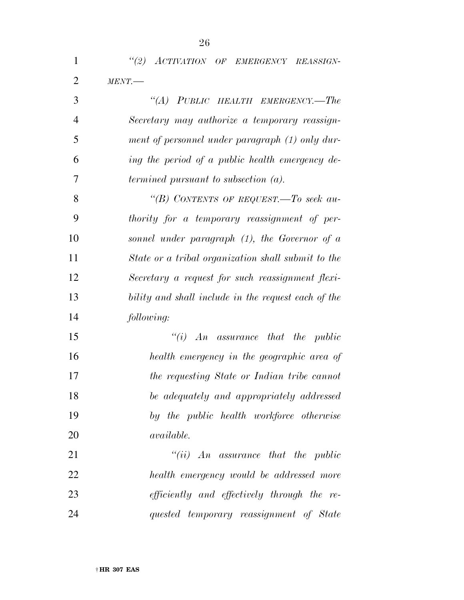*''(2) ACTIVATION OF EMERGENCY REASSIGN-MENT.—* 

| 3              | "(A) PUBLIC HEALTH EMERGENCY.—The                   |
|----------------|-----------------------------------------------------|
| $\overline{4}$ | Secretary may authorize a temporary reassign-       |
| 5              | ment of personnel under paragraph (1) only dur-     |
| 6              | ing the period of a public health emergency de-     |
| 7              | <i>termined pursuant to subsection (a).</i>         |
| 8              | "(B) CONTENTS OF REQUEST.—To seek au-               |
| 9              | thority for a temporary reassignment of per-        |
| 10             | sonnel under paragraph $(1)$ , the Governor of a    |
| 11             | State or a tribal organization shall submit to the  |
| 12             | Secretary a request for such reassignment flexi-    |
| 13             | bility and shall include in the request each of the |
| 14             | following:                                          |
| 15             | "(i) $An$ assurance that the public                 |
| 16             | health emergency in the geographic area of          |
| 17             | the requesting State or Indian tribe cannot         |
| 18             | be adequately and appropriately addressed           |
| 19             | by the public health workforce otherwise            |
| 20             | <i>available.</i>                                   |
| 21             | "(ii) $An$ assurance that the public                |
| 22             | health emergency would be addressed more            |
| 23             | <i>efficiently and effectively through the re-</i>  |
| 24             | quested temporary reassignment of State             |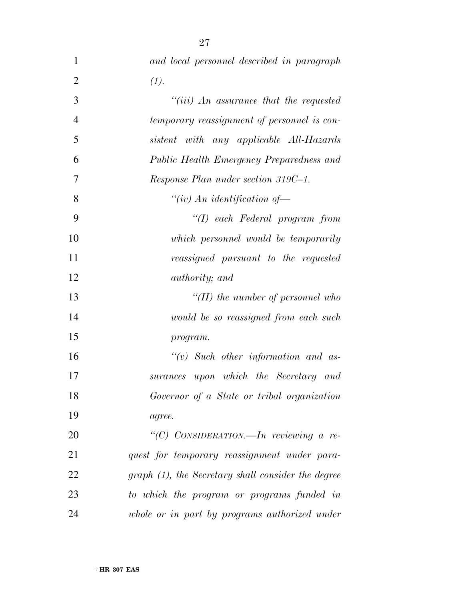| $\mathbf{1}$   | and local personnel described in paragraph         |
|----------------|----------------------------------------------------|
| $\overline{2}$ | (1).                                               |
| 3              | "(iii) An assurance that the requested             |
| $\overline{4}$ | temporary reassignment of personnel is con-        |
| 5              | sistent with any applicable All-Hazards            |
| 6              | Public Health Emergency Preparedness and           |
| 7              | Response Plan under section 319C-1.                |
| 8              | "(iv) An identification of-                        |
| 9              | $\lq (I)$ each Federal program from                |
| 10             | which personnel would be temporarily               |
| 11             | reassigned pursuant to the requested               |
| 12             | <i>authority</i> ; and                             |
| 13             | "(II) the number of personnel who                  |
| 14             | would be so reassigned from each such              |
| 15             | program.                                           |
| 16             | $``(v)$ Such other information and as-             |
| 17             | surances upon which the Secretary and              |
| 18             | Governor of a State or tribal organization         |
| 19             | agree.                                             |
| 20             | "(C) CONSIDERATION.—In reviewing a re-             |
| 21             | quest for temporary reassignment under para-       |
| 22             | graph (1), the Secretary shall consider the degree |
| 23             | to which the program or programs funded in         |
| 24             | whole or in part by programs authorized under      |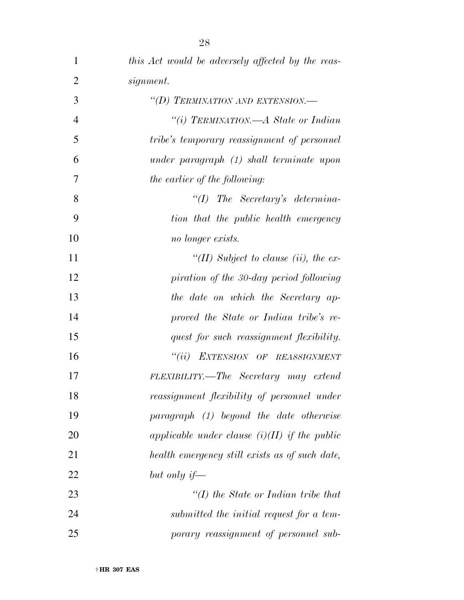| $\mathbf{1}$   | this Act would be adversely affected by the reas- |
|----------------|---------------------------------------------------|
| $\overline{2}$ | signment.                                         |
| 3              | "(D) TERMINATION AND EXTENSION.—                  |
| $\overline{4}$ | "(i) TERMINATION.—A State or Indian               |
| 5              | tribe's temporary reassignment of personnel       |
| 6              | under paragraph (1) shall terminate upon          |
| 7              | the earlier of the following:                     |
| 8              | $``(I)$ The Secretary's determina-                |
| 9              | tion that the public health emergency             |
| 10             | no longer exists.                                 |
| 11             | "(II) Subject to clause (ii), the ex-             |
| 12             | piration of the 30-day period following           |
| 13             | the date on which the Secretary ap-               |
| 14             | proved the State or Indian tribe's re-            |
| 15             | quest for such reassignment flexibility.          |
| 16             | "(ii) EXTENSION OF REASSIGNMENT                   |
| 17             | FLEXIBILITY.—The Secretary may extend             |
| 18             | reassignment flexibility of personnel under       |
| 19             | paragraph (1) beyond the date otherwise           |
| 20             | applicable under clause $(i)(II)$ if the public   |
| 21             | health emergency still exists as of such date,    |
| 22             | but only if—                                      |
| 23             | $\lq (I)$ the State or Indian tribe that          |
| 24             | submitted the initial request for a tem-          |
| 25             | porary reassignment of personnel sub-             |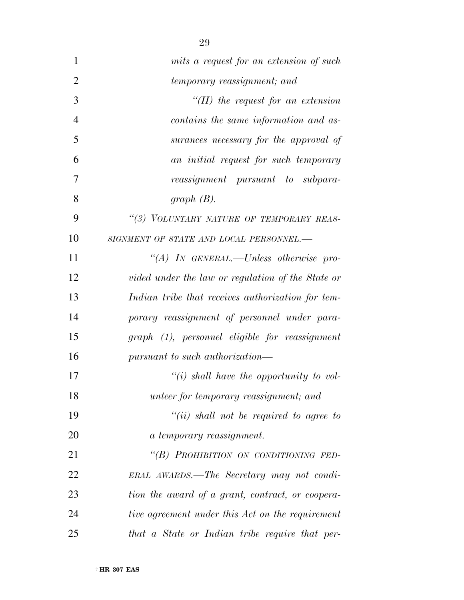| $\mathbf{1}$   | mits a request for an extension of such           |
|----------------|---------------------------------------------------|
| $\overline{2}$ | temporary reassignment; and                       |
| 3              | "(II) the request for an extension                |
| $\overline{4}$ | contains the same information and as-             |
| 5              | surances necessary for the approval of            |
| 6              | an initial request for such temporary             |
| 7              | reassignment pursuant to subpara-                 |
| 8              | graph $(B)$ .                                     |
| 9              | "(3) VOLUNTARY NATURE OF TEMPORARY REAS-          |
| 10             | SIGNMENT OF STATE AND LOCAL PERSONNEL.-           |
| 11             | "(A) IN GENERAL.—Unless otherwise pro-            |
| 12             | vided under the law or regulation of the State or |
| 13             | Indian tribe that receives authorization for tem- |
| 14             | porary reassignment of personnel under para-      |
| 15             | graph (1), personnel eligible for reassignment    |
| 16             | pursuant to such authorization—                   |
| 17             | "(i) shall have the opportunity to vol-           |
| 18             | <i>unteer for temporary reassignment; and</i>     |
| 19             | $``(ii)$ shall not be required to agree to        |
| 20             | a temporary reassignment.                         |
| 21             | "(B) PROHIBITION ON CONDITIONING FED-             |
| 22             | ERAL AWARDS.—The Secretary may not condi-         |
| 23             | tion the award of a grant, contract, or coopera-  |
| 24             | tive agreement under this Act on the requirement  |
| 25             | that a State or Indian tribe require that per-    |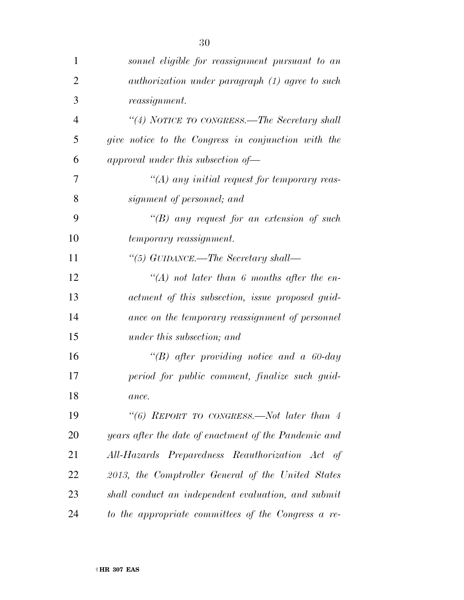| $\mathbf{1}$   | sonnel eligible for reassignment pursuant to an        |
|----------------|--------------------------------------------------------|
| $\overline{2}$ | <i>authorization under paragraph</i> (1) agree to such |
| 3              | <i>reassignment.</i>                                   |
| 4              | "(4) NOTICE TO CONGRESS.—The Secretary shall           |
| 5              | give notice to the Congress in conjunction with the    |
| 6              | approval under this subsection of $-$                  |
| 7              | $\lq (A)$ any initial request for temporary reas-      |
| 8              | signment of personnel; and                             |
| 9              | $\lq (B)$ any request for an extension of such         |
| 10             | temporary reassignment.                                |
| 11             | "(5) GUIDANCE.—The Secretary shall—                    |
| 12             | "(A) not later than 6 months after the en-             |
| 13             | actment of this subsection, issue proposed guid-       |
| 14             | ance on the temporary reassignment of personnel        |
| 15             | under this subsection; and                             |
| 16             | "(B) after providing notice and a $60$ -day            |
| 17             | period for public comment, finalize such guid-         |
| 18             | ance.                                                  |
| 19             | "(6) REPORT TO CONGRESS.—Not later than $4$            |
| 20             | years after the date of enactment of the Pandemic and  |
| 21             | All-Hazards Preparedness Reauthorization Act of        |
| 22             | 2013, the Comptroller General of the United States     |
| 23             | shall conduct an independent evaluation, and submit    |
| 24             | to the appropriate committees of the Congress a re-    |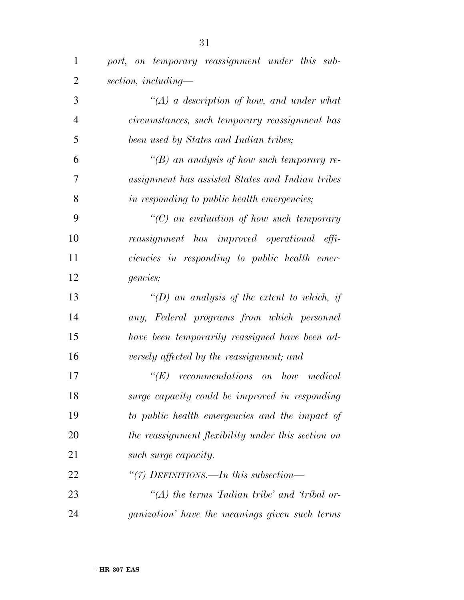| $\mathbf{1}$   | port, on temporary reassignment under this sub-       |
|----------------|-------------------------------------------------------|
| $\overline{2}$ | section, including-                                   |
| 3              | $\lq (A)$ a description of how, and under what        |
| $\overline{4}$ | circumstances, such temporary reassignment has        |
| 5              | been used by States and Indian tribes;                |
| 6              | "(B) an analysis of how such temporary re-            |
| 7              | assignment has assisted States and Indian tribes      |
| 8              | in responding to public health emergencies;           |
| 9              | $\lq\lq C$ an evaluation of how such temporary        |
| 10             | reassignment has improved operational effi-           |
| 11             | ciencies in responding to public health emer-         |
| 12             | <i>gencies</i> ;                                      |
| 13             | "(D) an analysis of the extent to which, if           |
| 14             | any, Federal programs from which personnel            |
| 15             | have been temporarily reassigned have been ad-        |
| 16             | versely affected by the reassignment; and             |
| 17             | $\lq (E)$<br>recommendations on how medical           |
| 18             | surge capacity could be improved in responding        |
| 19             | to public health emergencies and the impact of        |
| 20             | the reassignment flexibility under this section on    |
| 21             | such surge capacity.                                  |
| 22             | "(7) DEFINITIONS.—In this subsection—                 |
| 23             | $\lq (A)$ the terms Indian tribe' and 'tribal or-     |
| 24             | <i>ganization'</i> have the meanings given such terms |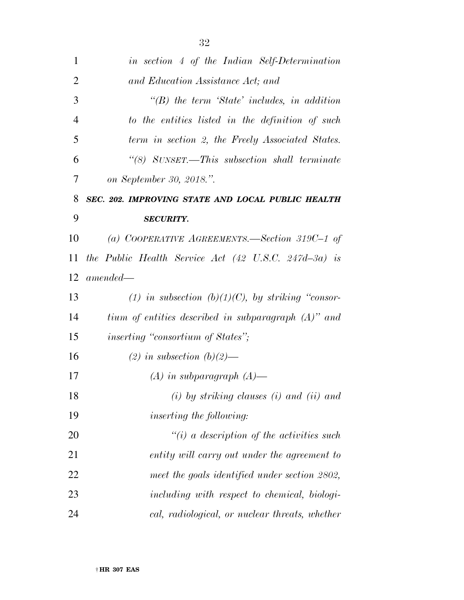| 1              | in section 4 of the Indian Self-Determination                     |
|----------------|-------------------------------------------------------------------|
| $\overline{2}$ | and Education Assistance Act; and                                 |
| 3              | $\lq\lq B$ the term 'State' includes, in addition                 |
| $\overline{4}$ | to the entities listed in the definition of such                  |
| 5              | term in section 2, the Freely Associated States.                  |
| 6              | "(8) SUNSET.—This subsection shall terminate                      |
| 7              | on September 30, 2018.".                                          |
| 8              | SEC. 202. IMPROVING STATE AND LOCAL PUBLIC HEALTH                 |
| 9              | <b>SECURITY.</b>                                                  |
| 10             | (a) COOPERATIVE AGREEMENTS.—Section 319C-1 of                     |
| 11             | the Public Health Service Act $(42 \text{ U.S.C. } 247d - 3a)$ is |
| 12             | $amended-$                                                        |
| 13             | (1) in subsection (b)(1)(C), by striking "consor-                 |
| 14             | tium of entities described in subparagraph $(A)$ " and            |
| 15             | <i>inserting "consortium of States"</i> ;                         |
| 16             | $(2)$ in subsection $(b)(2)$ —                                    |
| 17             | $(A)$ in subparagraph $(A)$ —                                     |
| 18             | $(i)$ by striking clauses $(i)$ and $(ii)$ and                    |
| 19             | <i>inserting the following:</i>                                   |
| 20             | $\lq\lq(i)$ a description of the activities such                  |
| 21             | entity will carry out under the agreement to                      |
| 22             | meet the goals identified under section 2802,                     |
| 23             | including with respect to chemical, biologi-                      |
| 24             | cal, radiological, or nuclear threats, whether                    |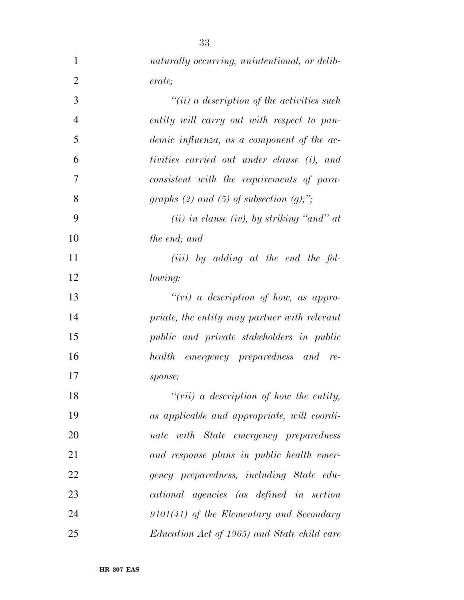| $\mathbf{1}$   | naturally occurring, unintentional, or delib- |
|----------------|-----------------------------------------------|
| $\overline{2}$ | erate;                                        |
| 3              | $``(ii)$ a description of the activities such |
| $\overline{4}$ | entity will carry out with respect to pan-    |
| 5              | demic influenza, as a component of the ac-    |
| 6              | tivities carried out under clause (i), and    |
| 7              | consistent with the requirements of para-     |
| 8              | graphs (2) and (5) of subsection $(g)$ ;";    |
| 9              | $(ii)$ in clause (iv), by striking "and" at   |
| 10             | <i>the end; and</i>                           |
| 11             | $(iii)$ by adding at the end the fol-         |
| 12             | lowing:                                       |
| 13             | $``(vi)$ a description of how, as appro-      |
| 14             | priate, the entity may partner with relevant  |
| 15             | public and private stakeholders in public     |
| 16             | health emergency preparedness and re-         |
| 17             | sponse;                                       |
| 18             | " $(vii)$ a description of how the entity,    |
| 19             | as applicable and appropriate, will coordi-   |
| 20             | nate with State emergency preparedness        |
| 21             | and response plans in public health emer-     |
| 22             | gency preparedness, including State edu-      |
| 23             | cational agencies (as defined in section      |
| 24             | $9101(41)$ of the Elementary and Secondary    |
| 25             | Education Act of 1965) and State child care   |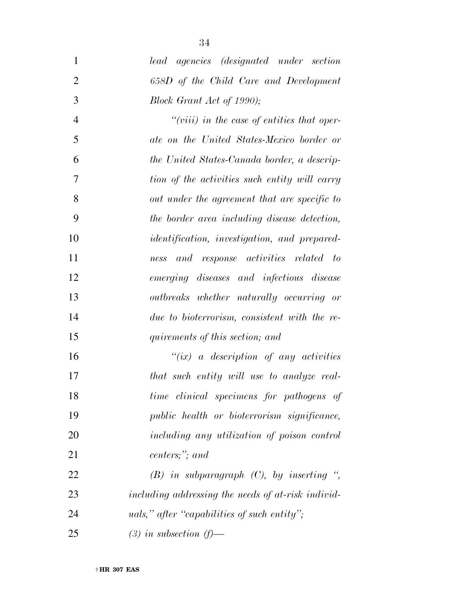*lead agencies (designated under section 658D of the Child Care and Development Block Grant Act of 1990); ''(viii) in the case of entities that oper- ate on the United States-Mexico border or the United States-Canada border, a descrip- tion of the activities such entity will carry out under the agreement that are specific to the border area including disease detection, identification, investigation, and prepared-ness and response activities related to* 

*emerging diseases and infectious disease* 

*outbreaks whether naturally occurring or* 

*due to bioterrorism, consistent with the re-*

*quirements of this section; and* 

 *''(ix) a description of any activities that such entity will use to analyze real- time clinical specimens for pathogens of public health or bioterrorism significance, including any utilization of poison control centers;''; and* 

 *(B) in subparagraph (C), by inserting '', including addressing the needs of at-risk individ- uals,'' after ''capabilities of such entity''; (3) in subsection (f)—*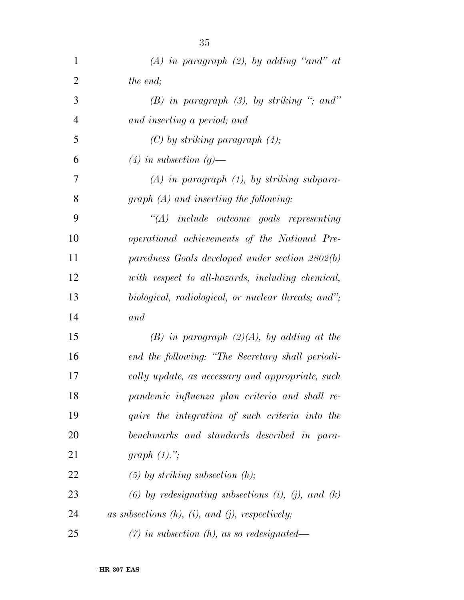| $\mathbf{1}$   | $(A)$ in paragraph $(2)$ , by adding "and" at            |
|----------------|----------------------------------------------------------|
| $\overline{2}$ | the end;                                                 |
| 3              | $(B)$ in paragraph $(3)$ , by striking "; and"           |
| $\overline{4}$ | and inserting a period; and                              |
| 5              | $(C)$ by striking paragraph $(4)$ ;                      |
| 6              | $(4)$ in subsection $(q)$ —                              |
| 7              | $(A)$ in paragraph $(1)$ , by striking subpara-          |
| 8              | $graph(A)$ and inserting the following:                  |
| 9              | $\lq\lq (A)$ include outcome goals representing          |
| 10             | operational achievements of the National Pre-            |
| 11             | paredness Goals developed under section 2802(b)          |
| 12             | with respect to all-hazards, including chemical,         |
| 13             | biological, radiological, or nuclear threats; and";      |
| 14             | and                                                      |
| 15             | $(B)$ in paragraph $(2)(A)$ , by adding at the           |
| 16             | end the following: "The Secretary shall periodi-         |
| 17             | cally update, as necessary and appropriate, such         |
| 18             | pandemic influenza plan criteria and shall re-           |
| 19             | quire the integration of such criteria into the          |
| 20             | benchmarks and standards described in para-              |
| 21             | graph $(1)$ .";                                          |
| 22             | $(5)$ by striking subsection $(h)$ ;                     |
| 23             | (6) by redesignating subsections (i), (j), and (k)       |
| 24             | as subsections $(h)$ , $(i)$ , and $(j)$ , respectively; |
| 25             | $(7)$ in subsection (h), as so redesignated—             |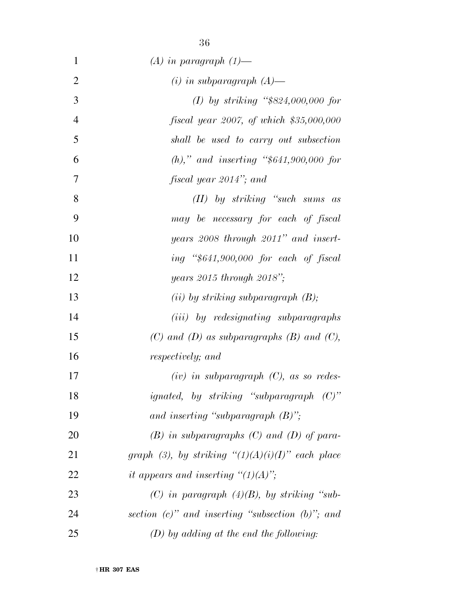| $\mathbf{1}$   | $(A)$ in paragraph $(1)$ —                             |
|----------------|--------------------------------------------------------|
| $\overline{2}$ | $(i)$ in subparagraph $(A)$ —                          |
| 3              | (I) by striking "\$824,000,000 for                     |
| $\overline{4}$ | $f is cal \ year \ 2007, \ of \ which \ \$35,000,000$  |
| 5              | shall be used to carry out subsection                  |
| 6              | (h)," and inserting " $$641,900,000$ for               |
| 7              | fiscal year 2014"; and                                 |
| 8              | $(II)$ by striking "such sums<br>as                    |
| 9              | may be necessary for each of fiscal                    |
| 10             | years 2008 through 2011" and insert-                   |
| 11             | ing "\$641,900,000 for each of fiscal                  |
| 12             | years $2015$ through $2018$ ";                         |
| 13             | $(ii)$ by striking subparagraph $(B)$ ;                |
| 14             | ( <i>iii</i> ) by redesignating subparagraphs          |
| 15             | $(C)$ and $(D)$ as subparagraphs $(B)$ and $(C)$ ,     |
| 16             | respectively; and                                      |
| 17             | $(iv)$ in subparagraph $(C)$ , as so redes-            |
| 18             | <i>ignated</i> , by striking "subparagraph $(C)$ "     |
| 19             | and inserting "subparagraph $(B)$ ";                   |
| 20             | $(B)$ in subparagraphs $(C)$ and $(D)$ of para-        |
| 21             | graph (3), by striking " $(1)(A)(i)(I)$ " each place   |
| 22             | it appears and inserting " $(1)(A)$ ";                 |
| 23             | (C) in paragraph $(4)(B)$ , by striking "sub-          |
| 24             | section $(c)$ " and inserting "subsection $(b)$ "; and |
| 25             | $(D)$ by adding at the end the following:              |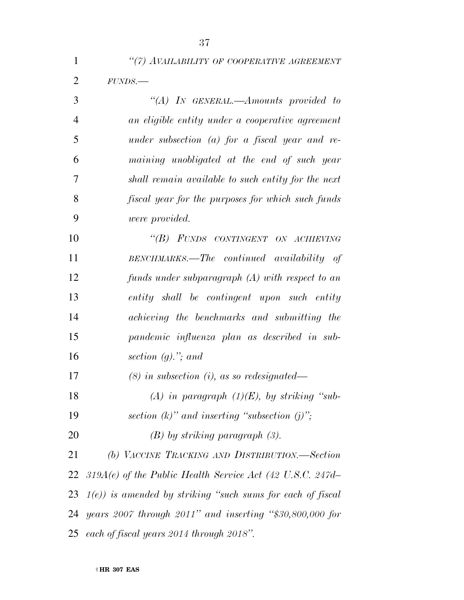|     | "(7) AVAILABILITY OF COOPERATIVE AGREEMENT         |
|-----|----------------------------------------------------|
| 2   | FUNDS.                                             |
| 3   | "(A) IN GENERAL.—Amounts provided to               |
| 4   | an eligible entity under a cooperative agreement   |
| - 5 | under subsection (a) for a fiscal year and re-     |
| 6   | maining unobligated at the end of such year        |
|     | shall remain available to such entity for the next |

| 8  | fiscal year for the purposes for which such funds |
|----|---------------------------------------------------|
| 9  | <i>were provided.</i>                             |
| 10 | "(B) FUNDS CONTINGENT ON ACHIEVING                |
| 11 | $BENCHMARKS.$ The continued availability of       |
| 12 | funds under subparagraph $(A)$ with respect to an |
| 13 | entity shall be contingent upon such entity       |
| 14 | achieving the benchmarks and submitting the       |
| 15 | pandemic influenza plan as described in sub-      |
| 16 | section $(g)$ ,"; and                             |

*(8) in subsection (i), as so redesignated—* 

 *(A) in paragraph (1)(E), by striking ''sub-section (k)'' and inserting ''subsection (j)'';* 

*(B) by striking paragraph (3).* 

 *(b) VACCINE TRACKING AND DISTRIBUTION.—Section 319A(e) of the Public Health Service Act (42 U.S.C. 247d– 1(e)) is amended by striking ''such sums for each of fiscal years 2007 through 2011'' and inserting ''\$30,800,000 for each of fiscal years 2014 through 2018''.*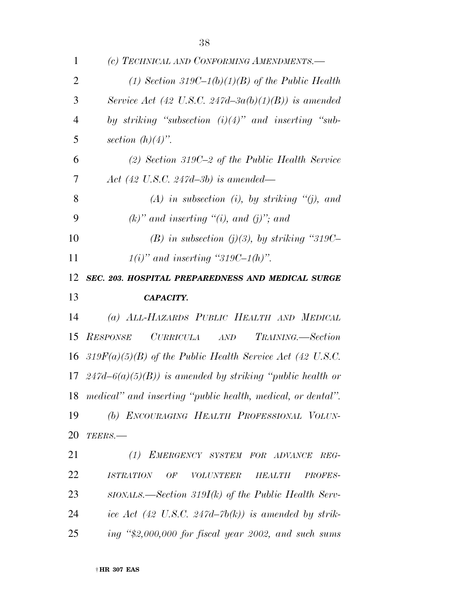| 1              | (c) TECHNICAL AND CONFORMING AMENDMENTS.-                              |
|----------------|------------------------------------------------------------------------|
| $\overline{2}$ | (1) Section 319C-1(b)(1)(B) of the Public Health                       |
| 3              | Service Act (42 U.S.C. 247d-3a(b)(1)(B)) is amended                    |
| $\overline{4}$ | by striking "subsection $(i)(4)$ " and inserting "sub-                 |
| 5              | section $(h)(4)$ ".                                                    |
| 6              | $(2)$ Section 319C-2 of the Public Health Service                      |
| 7              | Act (42 U.S.C. 247d-3b) is amended—                                    |
| 8              | $(A)$ in subsection (i), by striking "(j), and                         |
| 9              | $(k)$ " and inserting "(i), and (j)"; and                              |
| 10             | (B) in subsection (j)(3), by striking "319C-                           |
| 11             | $1(i)$ " and inserting "319C-1(h)".                                    |
| 12             | SEC. 203. HOSPITAL PREPAREDNESS AND MEDICAL SURGE                      |
| 13             | CAPACITY.                                                              |
| 14             | (a) ALL-HAZARDS PUBLIC HEALTH AND MEDICAL                              |
| 15             | CURRICULA AND<br>TRAINING.—Section<br><b>RESPONSE</b>                  |
|                | 16 319 $F(a)(5)(B)$ of the Public Health Service Act (42 U.S.C.        |
|                | 17 247d–6(a)(5)(B)) is amended by striking "public health or           |
|                | 18 medical" and inserting "public health, medical, or dental".         |
| 19             | (b) ENCOURAGING HEALTH PROFESSIONAL VOLUN-                             |
| 20             | TEERS.-                                                                |
| 21             | (1) EMERGENCY SYSTEM FOR ADVANCE<br>REG-                               |
| 22             | <b>ISTRATION</b><br>OF<br><b>VOLUNTEER</b><br>PROFES-<br><b>HEALTH</b> |
| 23             | $SIONALS$ —Section 319I(k) of the Public Health Serv-                  |
| 24             | ice Act (42 U.S.C. 247d–7b(k)) is amended by strik-                    |
| 25             | ing $\degree$ \$2,000,000 for fiscal year 2002, and such sums          |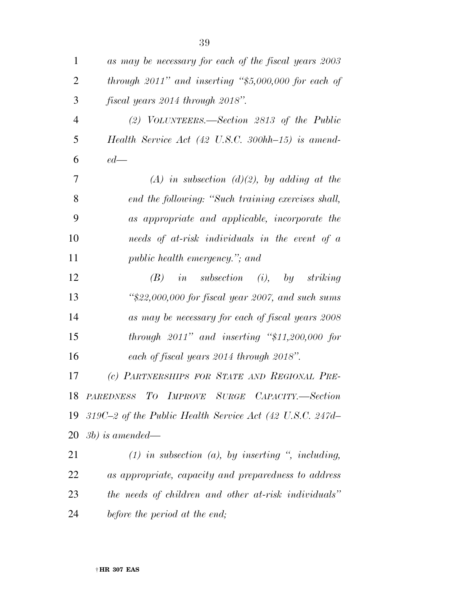| 1              | as may be necessary for each of the fiscal years 2003                  |
|----------------|------------------------------------------------------------------------|
| $\overline{2}$ | through $2011$ " and inserting "\$5,000,000 for each of                |
| 3              | fiscal years 2014 through 2018".                                       |
| $\overline{4}$ | (2) VOLUNTEERS.—Section 2813 of the Public                             |
| 5              | Health Service Act $(42 \text{ U.S.C. } 300 \text{hh} - 15)$ is amend- |
| 6              | $ed$ —                                                                 |
| 7              | $(A)$ in subsection $(d)(2)$ , by adding at the                        |
| 8              | end the following: "Such training exercises shall,                     |
| 9              | as appropriate and applicable, incorporate the                         |
| 10             | needs of at-risk individuals in the event of a                         |
| 11             | public health emergency."; and                                         |
| 12             | <i>in</i> subsection (i), by striking<br>(B)                           |
| 13             | " $22,000,000$ for fiscal year 2007, and such sums                     |
| 14             | as may be necessary for each of fiscal years 2008                      |
| 15             | through $2011$ " and inserting "\$11,200,000 for                       |
| 16             | each of fiscal years 2014 through 2018".                               |
| 17             | (c) PARTNERSHIPS FOR STATE AND REGIONAL PRE-                           |
|                | 18 PAREDNESS TO IMPROVE SURGE CAPACITY.-Section                        |
| 19             | 319C-2 of the Public Health Service Act (42 U.S.C. 247d-               |
|                | $20\;$ 3b) is amended—                                                 |
| 21             | $(1)$ in subsection $(a)$ , by inserting ", including,                 |
| 22             | as appropriate, capacity and preparedness to address                   |
| 23             | the needs of children and other at-risk individuals"                   |
| 24             | before the period at the end;                                          |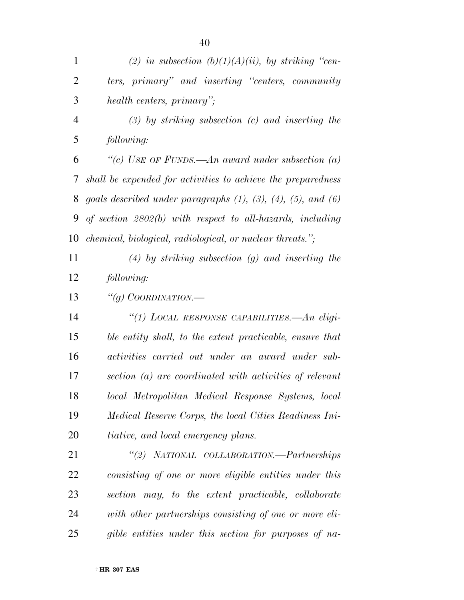| $\mathbf{1}$   | (2) in subsection $(b)(1)(A)(ii)$ , by striking "cen-                      |
|----------------|----------------------------------------------------------------------------|
| 2              | ters, primary" and inserting "centers, community                           |
| 3              | health centers, primary";                                                  |
| $\overline{4}$ | $(3)$ by striking subsection $(c)$ and inserting the                       |
| 5              | following:                                                                 |
| 6              | "(c) USE OF FUNDS.—An award under subsection (a)                           |
| 7              | shall be expended for activities to achieve the preparedness               |
| 8              | goals described under paragraphs $(1)$ , $(3)$ , $(4)$ , $(5)$ , and $(6)$ |
| 9              | of section $2802(b)$ with respect to all-hazards, including                |
| 10             | chemical, biological, radiological, or nuclear threats.";                  |
| 11             | $(4)$ by striking subsection $(g)$ and inserting the                       |
| 12             | following:                                                                 |
| 13             | "(g) COORDINATION.—                                                        |
| 14             | "(1) LOCAL RESPONSE CAPABILITIES.—An eligi-                                |
| 15             | ble entity shall, to the extent practicable, ensure that                   |
| 16             | activities carried out under an award under sub-                           |
| 17             | section (a) are coordinated with activities of relevant                    |
| 18             | local Metropolitan Medical Response Systems, local                         |
| 19             | Medical Reserve Corps, the local Cities Readiness Ini-                     |
| 20             | tiative, and local emergency plans.                                        |
| 21             | "(2) NATIONAL COLLABORATION.—Partnerships                                  |
| 22             | consisting of one or more eligible entities under this                     |
| 23             | section may, to the extent practicable, collaborate                        |
| 24             | with other partnerships consisting of one or more eli-                     |
| 25             | gible entities under this section for purposes of na-                      |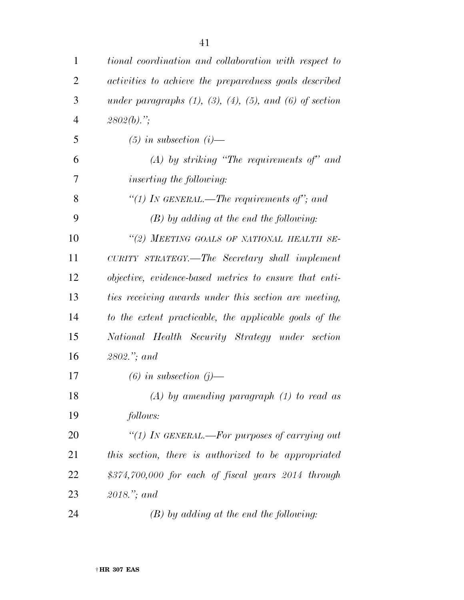| $\mathbf{1}$   | tional coordination and collaboration with respect to                 |
|----------------|-----------------------------------------------------------------------|
| $\overline{2}$ | activities to achieve the preparedness goals described                |
| 3              | under paragraphs $(1)$ , $(3)$ , $(4)$ , $(5)$ , and $(6)$ of section |
| $\overline{4}$ | $2802(b)$ .";                                                         |
| 5              | $(5)$ in subsection $(i)$ —                                           |
| 6              | $(A)$ by striking "The requirements of" and                           |
| 7              | <i>inserting the following:</i>                                       |
| 8              | "(1) IN GENERAL.—The requirements of"; and                            |
| 9              | $(B)$ by adding at the end the following:                             |
| 10             | "(2) MEETING GOALS OF NATIONAL HEALTH SE-                             |
| 11             | CURITY STRATEGY.—The Secretary shall implement                        |
| 12             | objective, evidence-based metrics to ensure that enti-                |
| 13             | ties receiving awards under this section are meeting,                 |
| 14             | to the extent practicable, the applicable goals of the                |
| 15             | National Health Security Strategy under section                       |
| 16             | $2802$ "; and                                                         |
| 17             | $(6)$ in subsection $(j)$ —                                           |
| 18             | $(A)$ by amending paragraph $(1)$ to read as                          |
| 19             | follows:                                                              |
| 20             | "(1) In GENERAL.—For purposes of carrying out                         |
| 21             | this section, there is authorized to be appropriated                  |
| 22             | $$374,700,000$ for each of fiscal years $2014$ through                |
| 23             | $2018$ ,"; and                                                        |
| 24             | $(B)$ by adding at the end the following:                             |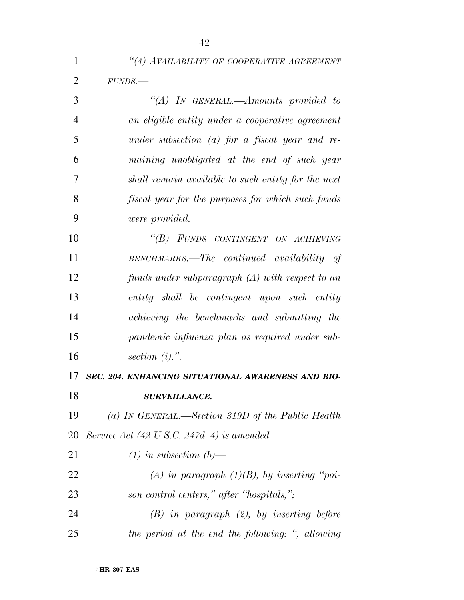|                | ₩                                                  |
|----------------|----------------------------------------------------|
| 1              | "(4) AVAILABILITY OF COOPERATIVE AGREEMENT         |
| $\overline{2}$ | FUNDS.                                             |
| 3              | "(A) IN GENERAL.—Amounts provided to               |
| $\overline{4}$ | an eligible entity under a cooperative agreement   |
| 5              | under subsection $(a)$ for a fiscal year and re-   |
| 6              | maining unobligated at the end of such year        |
| 7              | shall remain available to such entity for the next |
| 8              | fiscal year for the purposes for which such funds  |
| 9              | <i>were provided.</i>                              |
| 10             | "(B) FUNDS CONTINGENT ON ACHIEVING                 |
| 11             | BENCHMARKS.—The continued availability of          |
| 12             | funds under subparagraph $(A)$ with respect to an  |
| 13             | entity shall be contingent upon such entity        |
| 14             | achieving the benchmarks and submitting the        |
|                |                                                    |

 *pandemic influenza plan as required under sub-section (i).''.* 

 *SEC. 204. ENHANCING SITUATIONAL AWARENESS AND BIO- SURVEILLANCE. (a) IN GENERAL.—Section 319D of the Public Health Service Act (42 U.S.C. 247d–4) is amended—* 

 *(1) in subsection (b)— (A) in paragraph (1)(B), by inserting ''poi- son control centers,'' after ''hospitals,''; (B) in paragraph (2), by inserting before the period at the end the following: '', allowing*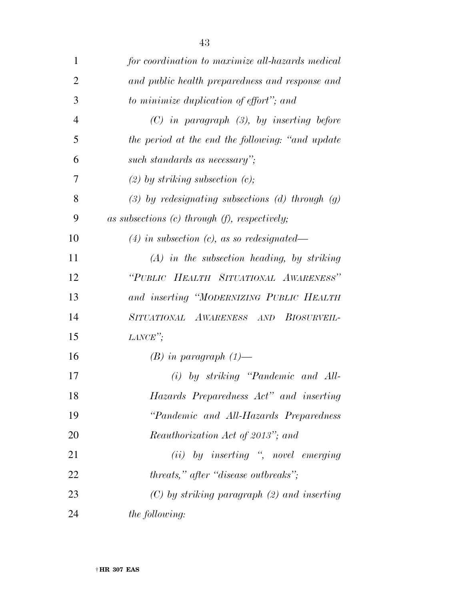| 1              | for coordination to maximize all-hazards medical       |
|----------------|--------------------------------------------------------|
| $\overline{2}$ | and public health preparedness and response and        |
| 3              | to minimize duplication of effort"; and                |
| $\overline{4}$ | $(C)$ in paragraph $(3)$ , by inserting before         |
| 5              | the period at the end the following: "and update"      |
| 6              | such standards as necessary";                          |
| 7              | $(2)$ by striking subsection $(c)$ ;                   |
| 8              | $(3)$ by redesignating subsections $(d)$ through $(g)$ |
| 9              | as subsections $(c)$ through $(f)$ , respectively;     |
| 10             | $(4)$ in subsection (c), as so redesignated—           |
| 11             | $(A)$ in the subsection heading, by striking           |
| 12             | "PUBLIC HEALTH SITUATIONAL AWARENESS"                  |
| 13             | and inserting "MODERNIZING PUBLIC HEALTH               |
| 14             | SITUATIONAL AWARENESS AND BIOSURVEIL-                  |
| 15             | $LANCE$ ";                                             |
| 16             | $(B)$ in paragraph $(1)$ —                             |
| 17             | (i) by striking "Pandemic and All-                     |
| 18             | Hazards Preparedness Act" and inserting                |
| 19             | "Pandemic and All-Hazards Preparedness                 |
| 20             | Reauthorization Act of 2013"; and                      |
| 21             | (ii) by inserting ", novel emerging                    |
| 22             | threats," after "disease outbreaks";                   |
| 23             | $(C)$ by striking paragraph $(2)$ and inserting        |
| 24             | <i>the following:</i>                                  |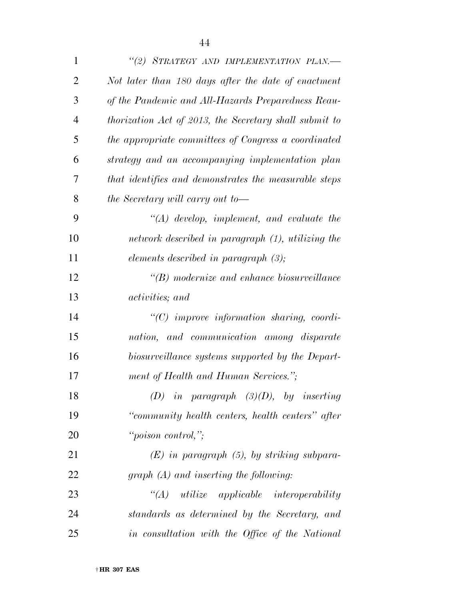| $\mathbf{1}$   | "(2) STRATEGY AND IMPLEMENTATION PLAN.-                |
|----------------|--------------------------------------------------------|
| $\overline{2}$ | Not later than 180 days after the date of enactment    |
| 3              | of the Pandemic and All-Hazards Preparedness Reau-     |
| $\overline{4}$ | thorization Act of 2013, the Secretary shall submit to |
| 5              | the appropriate committees of Congress a coordinated   |
| 6              | strategy and an accompanying implementation plan       |
| 7              | that identifies and demonstrates the measurable steps  |
| 8              | the Secretary will carry out to-                       |
| 9              | $\lq (A)$ develop, implement, and evaluate the         |
| 10             | network described in paragraph (1), utilizing the      |
| 11             | elements described in paragraph $(3)$ ;                |
| 12             | $\lq\lq(B)$ modernize and enhance biosurveillance      |
| 13             | activities; and                                        |
| 14             | $\lq$ (C) improve information sharing, coordi-         |
| 15             | nation, and communication among disparate              |
| 16             | biosurveillance systems supported by the Depart-       |
| 17             | ment of Health and Human Services.";                   |
| 18             | (D) in paragraph $(3)(D)$ , by inserting               |
| 19             | "community health centers, health centers" after       |
| 20             | "poison control,";                                     |
| 21             | $(E)$ in paragraph $(5)$ , by striking subpara-        |
| 22             | $graph(A)$ and inserting the following:                |
| 23             | $\lq\lq (A)$ utilize applicable interoperability       |
| 24             | standards as determined by the Secretary, and          |
| 25             | in consultation with the Office of the National        |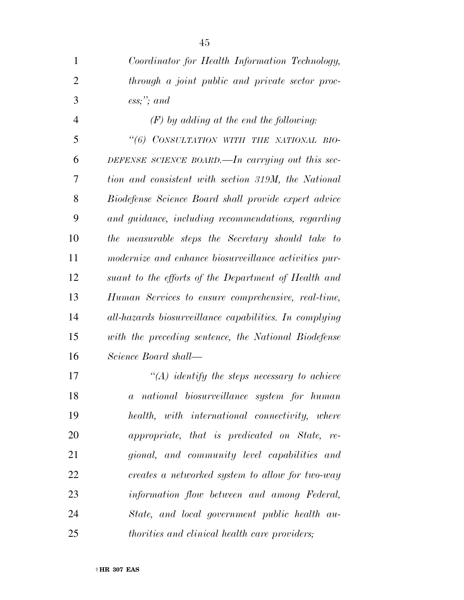| $\mathbf{1}$   | Coordinator for Health Information Technology,         |
|----------------|--------------------------------------------------------|
| $\overline{2}$ | through a joint public and private sector proc-        |
| 3              | $\mathit{ess};$ "; and                                 |
| $\overline{4}$ | $(F)$ by adding at the end the following:              |
| 5              | "(6) CONSULTATION WITH THE NATIONAL BIO-               |
| 6              | DEFENSE SCIENCE BOARD.—In carrying out this sec-       |
| 7              | tion and consistent with section 319M, the National    |
| 8              | Biodefense Science Board shall provide expert advice   |
| 9              | and guidance, including recommendations, regarding     |
| 10             | the measurable steps the Secretary should take to      |
| 11             | modernize and enhance biosurveillance activities pur-  |
| 12             | suant to the efforts of the Department of Health and   |
| 13             | Human Services to ensure comprehensive, real-time,     |
| 14             | all-hazards biosurveillance capabilities. In complying |
| 15             | with the preceding sentence, the National Biodefense   |
| 16             | Science Board shall—                                   |
| 17             | $\lq (A)$ identify the steps necessary to achieve      |
| 18             | a national biosurveillance system for human            |
| 19             | health, with international connectivity, where         |
| 20             | appropriate, that is predicated on State, re-          |
| 21             | gional, and community level capabilities and           |
| 22             | creates a networked system to allow for two-way        |
| 23             | information flow between and among Federal,            |
| 24             | State, and local government public health au-          |
| 25             | <i>thorities and clinical health care providers;</i>   |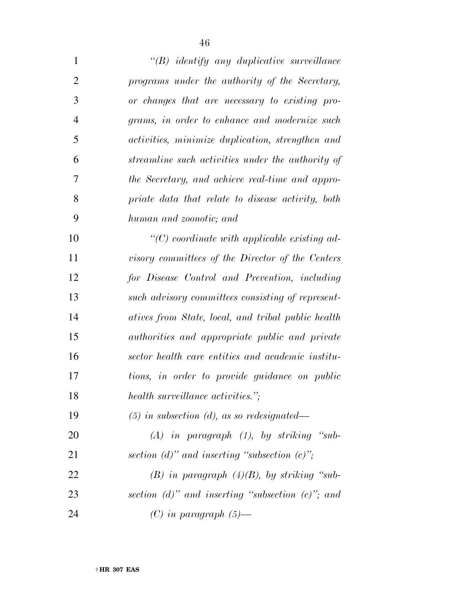| $\mathbf{1}$   | $\lq\lq B$ identify any duplicative surveillance               |
|----------------|----------------------------------------------------------------|
| $\overline{2}$ | programs under the authority of the Secretary,                 |
| 3              | or changes that are necessary to existing pro-                 |
| $\overline{4}$ | grams, in order to enhance and modernize such                  |
| 5              | activities, minimize duplication, strengthen and               |
| 6              | streamline such activities under the authority of              |
| 7              | the Secretary, and achieve real-time and appro-                |
| 8              | priate data that relate to disease activity, both              |
| 9              | human and zoonotic; and                                        |
| 10             | $\lq$ <sup>"</sup> (C) coordinate with applicable existing ad- |
| 11             | visory committees of the Director of the Centers               |
| 12             | for Disease Control and Prevention, including                  |
| 13             | such advisory committees consisting of represent-              |
| 14             | atives from State, local, and tribal public health             |
| 15             | <i>authorities and appropriate public and private</i>          |
| 16             | sector health care entities and academic institu-              |
| 17             | tions, in order to provide guidance on public                  |
| 18             | health surveillance activities.";                              |
| 19             | $(5)$ in subsection (d), as so redesignated—                   |
| 20             | $(A)$ in paragraph $(1)$ , by striking "sub-                   |
| 21             | section (d)" and inserting "subsection $(c)$ ";                |
| 22             | $(B)$ in paragraph $(4)(B)$ , by striking "sub-                |
| 23             | section (d)" and inserting "subsection $(c)$ "; and            |

*(C) in paragraph (5)—*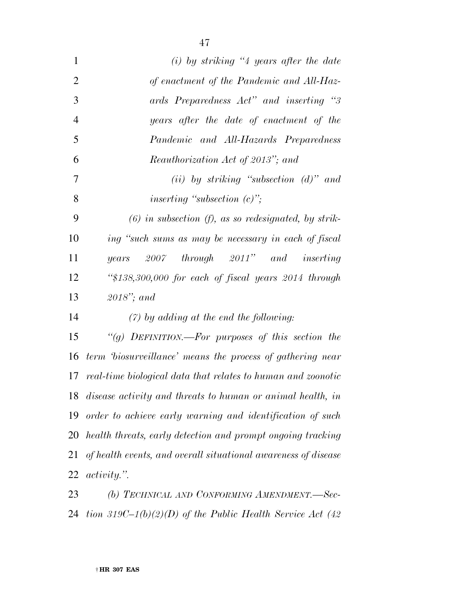| $\mathbf{1}$   | $(i)$ by striking "4 years after the date                       |
|----------------|-----------------------------------------------------------------|
| $\overline{2}$ | of enactment of the Pandemic and All-Haz-                       |
| 3              | ards Preparedness Act" and inserting "3                         |
| $\overline{4}$ | years after the date of enactment of the                        |
| 5              | Pandemic and All-Hazards Preparedness                           |
| 6              | <i>Reauthorization Act of 2013"; and</i>                        |
| 7              | (ii) by striking "subsection $(d)$ " and                        |
| 8              | inserting "subsection $(c)$ ";                                  |
| 9              | $(6)$ in subsection $(f)$ , as so redesignated, by strik-       |
| 10             | ing "such sums as may be necessary in each of fiscal            |
| 11             | $2007$ through $2011$ " and inserting<br>years                  |
| 12             | " $$138,300,000$ for each of fiscal years $2014$ through        |
| 13             | $2018$ "; and                                                   |
| 14             | $(7)$ by adding at the end the following:                       |
| 15             | "(g) DEFINITION.—For purposes of this section the               |
| 16             | term 'biosurveillance' means the process of gathering near      |
|                | 17 real-time biological data that relates to human and zoonotic |
|                | 18 disease activity and threats to human or animal health, in   |
| 19             | order to achieve early warning and identification of such       |
| 20             | health threats, early detection and prompt ongoing tracking     |
| 21             | of health events, and overall situational awareness of disease  |
| 22             | <i>activity.</i> "                                              |
|                |                                                                 |

 *(b) TECHNICAL AND CONFORMING AMENDMENT.—Sec-tion 319C–1(b)(2)(D) of the Public Health Service Act (42*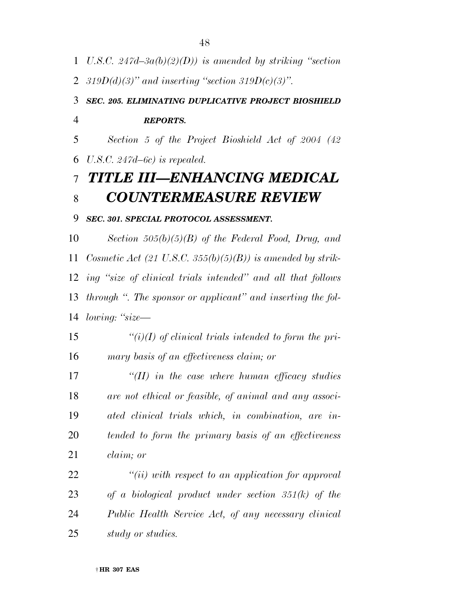- *U.S.C. 247d–3a(b)(2)(D)) is amended by striking ''section*
- *319D(d)(3)'' and inserting ''section 319D(c)(3)''.*

### *SEC. 205. ELIMINATING DUPLICATIVE PROJECT BIOSHIELD REPORTS.*

 *Section 5 of the Project Bioshield Act of 2004 (42 U.S.C. 247d–6c) is repealed.* 

# *TITLE III—ENHANCING MEDICAL COUNTERMEASURE REVIEW*

#### *SEC. 301. SPECIAL PROTOCOL ASSESSMENT.*

 *Section 505(b)(5)(B) of the Federal Food, Drug, and Cosmetic Act (21 U.S.C. 355(b)(5)(B)) is amended by strik- ing ''size of clinical trials intended'' and all that follows through ''. The sponsor or applicant'' and inserting the fol-lowing: ''size—* 

 *''(i)(I) of clinical trials intended to form the pri-mary basis of an effectiveness claim; or* 

 *''(II) in the case where human efficacy studies are not ethical or feasible, of animal and any associ- ated clinical trials which, in combination, are in- tended to form the primary basis of an effectiveness claim; or* 

 *''(ii) with respect to an application for approval of a biological product under section 351(k) of the Public Health Service Act, of any necessary clinical study or studies.*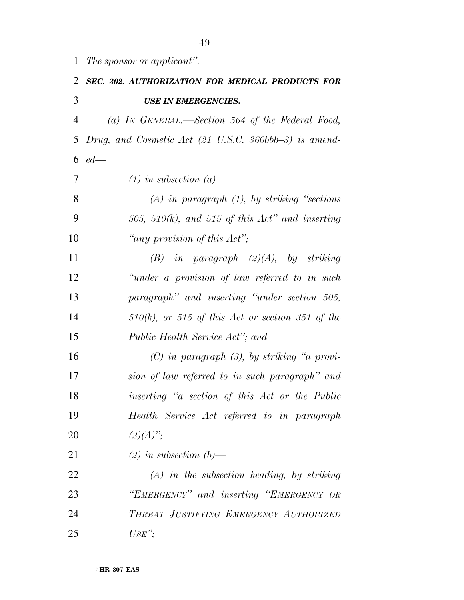*The sponsor or applicant''.* 

| 2              | <b>SEC. 302. AUTHORIZATION FOR MEDICAL PRODUCTS FOR</b>       |
|----------------|---------------------------------------------------------------|
| 3              | <b>USE IN EMERGENCIES.</b>                                    |
| $\overline{4}$ | (a) IN GENERAL.—Section 564 of the Federal Food,              |
| 5              | Drug, and Cosmetic Act (21 U.S.C. 360bbb-3) is amend-         |
| 6              | $ed$ —                                                        |
| 7              | $(1)$ in subsection $(a)$ —                                   |
| 8              | $(A)$ in paragraph $(1)$ , by striking "sections"             |
| 9              | 505, 510(k), and 515 of this $Act''$ and inserting            |
| 10             | "any provision of this $Act$ ";                               |
| 11             | $(B)$ in paragraph $(2)(A)$ , by striking                     |
| 12             | "under a provision of law referred to in such                 |
| 13             | paragraph" and inserting "under section 505,                  |
| 14             | $510(k)$ , or $515$ of this Act or section 351 of the         |
| 15             | Public Health Service Act"; and                               |
| 16             | $(C)$ in paragraph $(3)$ , by striking "a provi-              |
| 17             | sion of law referred to in such paragraph" and                |
| 18             | <i>inserting</i> " <i>a</i> section of this Act or the Public |
| 19             | Health Service Act referred to in paragraph                   |
| 20             | $(2)(A)$ ";                                                   |
| 21             | $(2)$ in subsection $(b)$ —                                   |
| 22             | $(A)$ in the subsection heading, by striking                  |
| 23             | "EMERGENCY" and inserting "EMERGENCY OR                       |
| 24             | THREAT JUSTIFYING EMERGENCY AUTHORIZED                        |
| 25             | $USE$ ";                                                      |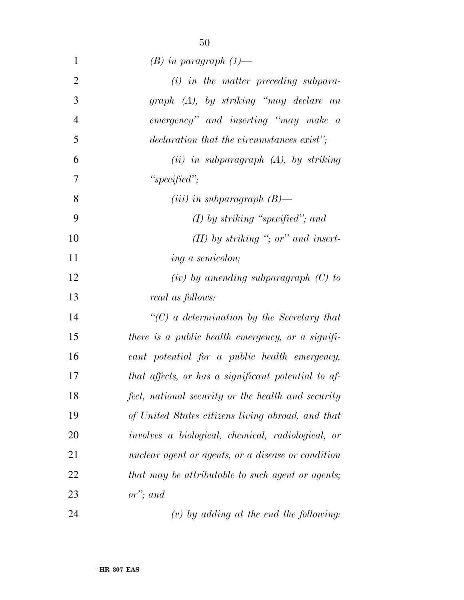| $\mathbf{1}$   | $(B)$ in paragraph $(1)$ —                          |
|----------------|-----------------------------------------------------|
| $\overline{2}$ | $(i)$ in the matter preceding subpara-              |
| 3              | graph (A), by striking "may declare an              |
| $\overline{4}$ | emergency" and inserting "may make a                |
| 5              | declaration that the circumstances exist";          |
| 6              | $(ii)$ in subparagraph $(A)$ , by striking          |
| 7              | "specified";                                        |
| 8              | ( <i>iii</i> ) in subparagraph $(B)$ —              |
| 9              | $(I)$ by striking "specified"; and                  |
| 10             | $(II)$ by striking "; or" and insert-               |
| 11             | ing a semicolon;                                    |
| 12             | $(iv)$ by amending subparagraph $(C)$ to            |
| 13             | read as follows:                                    |
| 14             | $\lq\lq C$ ) a determination by the Secretary that  |
| 15             | there is a public health emergency, or a signifi-   |
| 16             | cant potential for a public health emergency,       |
| 17             | that affects, or has a significant potential to af- |
| 18             | fect, national security or the health and security  |
| 19             | of United States citizens living abroad, and that   |
| 20             | involves a biological, chemical, radiological, or   |
| 21             | nuclear agent or agents, or a disease or condition  |
| 22             | that may be attributable to such agent or agents;   |
| 23             | $or$ "; and                                         |

*(v) by adding at the end the following:*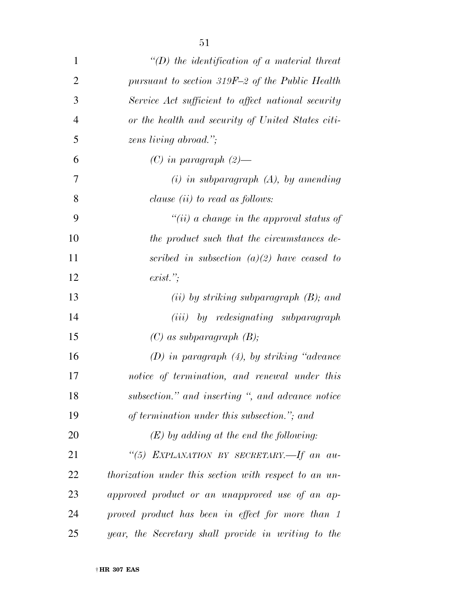| 1              | $\lq (D)$ the identification of a material threat     |
|----------------|-------------------------------------------------------|
| $\overline{2}$ | pursuant to section 319F-2 of the Public Health       |
| 3              | Service Act sufficient to affect national security    |
| $\overline{4}$ | or the health and security of United States citi-     |
| 5              | zens living abroad.";                                 |
| 6              | $(C)$ in paragraph $(2)$ —                            |
| 7              | $(i)$ in subparagraph $(A)$ , by amending             |
| 8              | clause $(ii)$ to read as follows:                     |
| 9              | "(ii) a change in the approval status of              |
| 10             | the product such that the circumstances de-           |
| 11             | scribed in subsection $(a)(2)$ have ceased to         |
| 12             | exist.                                                |
| 13             | $(ii)$ by striking subparagraph $(B)$ ; and           |
| 14             | (iii) by redesignating subparagraph                   |
| 15             | $(C)$ as subparagraph $(B)$ ;                         |
| 16             | $(D)$ in paragraph $(4)$ , by striking "advance"      |
| 17             | notice of termination, and renewal under this         |
| 18             | subsection." and inserting ", and advance notice      |
| 19             | of termination under this subsection."; and           |
| 20             | $(E)$ by adding at the end the following:             |
| 21             | "(5) EXPLANATION BY SECRETARY.—If an au-              |
| 22             | thorization under this section with respect to an un- |
| 23             | approved product or an unapproved use of an ap-       |
| 24             | proved product has been in effect for more than 1     |
| 25             | year, the Secretary shall provide in writing to the   |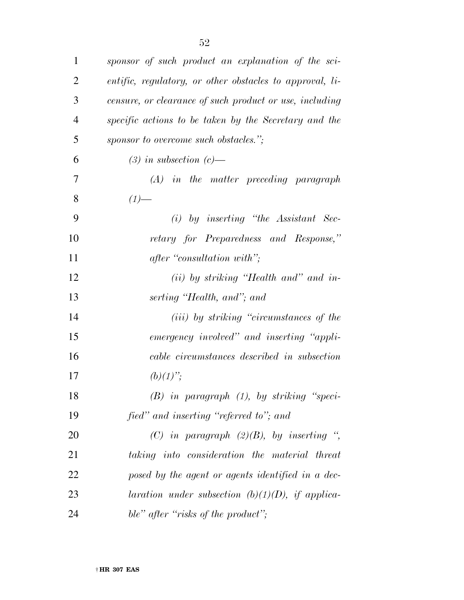| $\mathbf{1}$   | sponsor of such product an explanation of the sci-              |
|----------------|-----------------------------------------------------------------|
| 2              | <i>entific, regulatory, or other obstacles to approval, li-</i> |
| 3              | censure, or clearance of such product or use, including         |
| $\overline{4}$ | specific actions to be taken by the Secretary and the           |
| 5              | sponsor to overcome such obstacles.";                           |
| 6              | $(3)$ in subsection $(c)$ —                                     |
| 7              | $(A)$ in the matter preceding paragraph                         |
| 8              | $(1)$ —                                                         |
| 9              | $(i)$ by inserting "the Assistant Sec-                          |
| 10             | retary for Preparedness and Response,"                          |
| 11             | after "consultation with";                                      |
| 12             | $(ii)$ by striking "Health and" and in-                         |
| 13             | serting "Health, and"; and                                      |
| 14             | ( <i>iii</i> ) by striking "circumstances of the                |
| 15             | emergency involved" and inserting "appli-                       |
| 16             | cable circumstances described in subsection                     |
| 17             | $(b)(1)$ ";                                                     |
| 18             | $(B)$ in paragraph $(1)$ , by striking "speci-                  |
| 19             | fied" and inserting "referred to"; and                          |
| 20             | (C) in paragraph $(2)(B)$ , by inserting ",                     |
| 21             | taking into consideration the material threat                   |
| 22             | posed by the agent or agents identified in a dec-               |
| 23             | laration under subsection $(b)(1)(D)$ , if applica-             |
| 24             | ble" after "risks of the product";                              |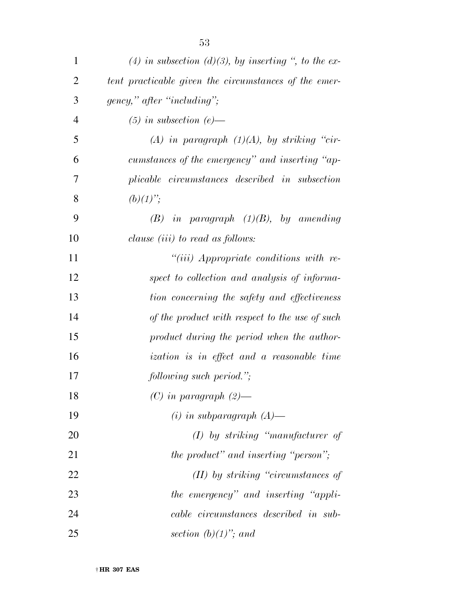| $\mathbf{1}$   | (4) in subsection (d)(3), by inserting ", to the ex-  |
|----------------|-------------------------------------------------------|
| $\overline{2}$ | tent practicable given the circumstances of the emer- |
| 3              | gency," after "including";                            |
| $\overline{4}$ | $(5)$ in subsection (e)—                              |
| 5              | (A) in paragraph $(1)(A)$ , by striking "cir-         |
| 6              | cumstances of the emergency" and inserting "ap-       |
| 7              | plicable circumstances described in subsection        |
| 8              | $(b)(1)$ ";                                           |
| 9              | $(B)$ in paragraph $(1)(B)$ , by amending             |
| 10             | clause <i>(iii)</i> to read as <i>follows</i> :       |
| 11             | $``(iii)$ Appropriate conditions with re-             |
| 12             | spect to collection and analysis of informa-          |
| 13             | tion concerning the safety and effectiveness          |
| 14             | of the product with respect to the use of such        |
| 15             | product during the period when the author-            |
| 16             | <i>ization is in effect and a reasonable time</i>     |
| 17             | following such period.";                              |
| 18             | $(C)$ in paragraph $(2)$ —                            |
| 19             | $(i)$ in subparagraph $(A)$ —                         |
| 20             | $(I)$ by striking "manufacturer of                    |
| 21             | the product" and inserting "person";                  |
| 22             | (II) by striking "circumstances of                    |
| 23             | the emergency" and inserting "appli-                  |
| 24             | cable circumstances described in sub-                 |
| 25             | section $(b)(1)$ "; and                               |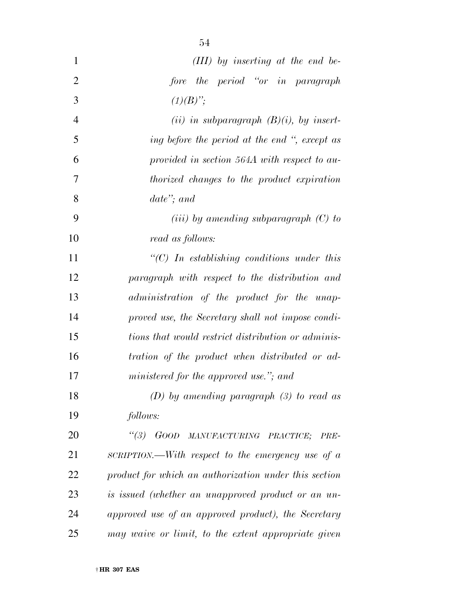| $\mathbf{1}$   | $(III)$ by inserting at the end be-                   |
|----------------|-------------------------------------------------------|
| $\overline{2}$ | the period "or in paragraph"<br>fore                  |
| 3              | $(1)(B)$ ";                                           |
| $\overline{4}$ | (ii) in subparagraph $(B)(i)$ , by insert-            |
| 5              | ing before the period at the end ", except as         |
| 6              | provided in section 564A with respect to au-          |
| 7              | <i>thorized changes</i> to the product expiration     |
| 8              | $date";$ and                                          |
| 9              | (iii) by amending subparagraph $(C)$ to               |
| 10             | read as follows:                                      |
| 11             | " $(C)$ In establishing conditions under this         |
| 12             | paragraph with respect to the distribution and        |
| 13             | administration of the product for the unap-           |
| 14             | proved use, the Secretary shall not impose condi-     |
| 15             | tions that would restrict distribution or adminis-    |
| 16             | tration of the product when distributed or ad-        |
| 17             | ministered for the approved use."; and                |
| 18             | (D) by amending paragraph $(3)$ to read as            |
| 19             | follows:                                              |
| 20             | $\lq(3)$<br>GOOD MANUFACTURING PRACTICE;<br>PRE-      |
| 21             | SCRIPTION.—With respect to the emergency use of $a$   |
| 22             | product for which an authorization under this section |
| 23             | is issued (whether an unapproved product or an un-    |
| 24             | approved use of an approved product), the Secretary   |
| 25             | may waive or limit, to the extent appropriate given   |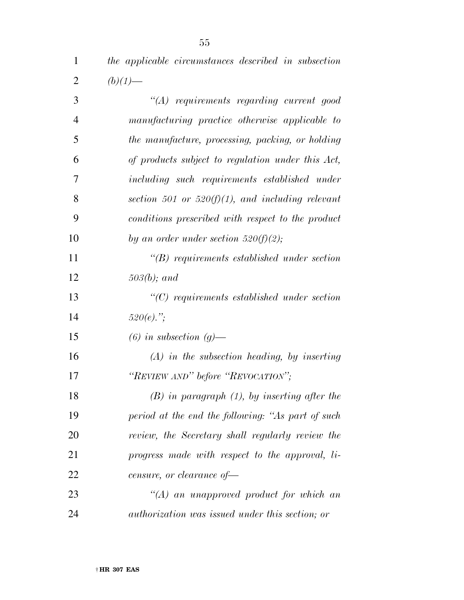| $\overline{4}$ | manufacturing practice otherwise applicable to         |
|----------------|--------------------------------------------------------|
| 5              | the manufacture, processing, packing, or holding       |
| 6              | of products subject to regulation under this Act,      |
| 7              | including such requirements established under          |
| 8              | section 501 or 520 $(f)(1)$ , and including relevant   |
| 9              | conditions prescribed with respect to the product      |
| 10             | by an order under section $520(f)(2)$ ;                |
| 11             | $\lq\lq B$ requirements established under section      |
| 12             | $503(b)$ ; and                                         |
| 13             | $\lq\lq C$ requirements established under section      |
| 14             | $520(e)$ .";                                           |
| 15             | $(6)$ in subsection $(g)$ —                            |
| 16             | $(A)$ in the subsection heading, by inserting          |
| 17             | "REVIEW AND" before "REVOCATION";                      |
| 18             | $(B)$ in paragraph $(1)$ , by inserting after the      |
| 19             | period at the end the following: "As part of such      |
| 20             | review, the Secretary shall regularly review the       |
| 21             | progress made with respect to the approval, li-        |
| 22             | censure, or clearance of-                              |
| 23             | $\lq (A)$ an unapproved product for which an           |
| 24             | <i>authorization was issued under this section; or</i> |
|                |                                                        |
|                |                                                        |

 *the applicable circumstances described in subsection*  2  $(b)(1)$ —

*''(A) requirements regarding current good*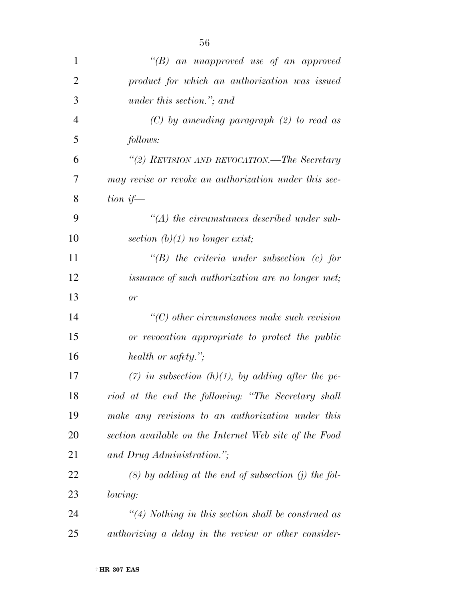| $\mathbf{1}$   | "(B) an unapproved use of an approved                       |
|----------------|-------------------------------------------------------------|
| $\overline{2}$ | product for which an authorization was issued               |
| 3              | under this section."; and                                   |
| 4              | $(C)$ by amending paragraph $(2)$ to read as                |
| 5              | follows:                                                    |
| 6              | "(2) REVISION AND REVOCATION.—The Secretary                 |
| 7              | may revise or revoke an authorization under this sec-       |
| 8              | tion if—                                                    |
| 9              | $\lq (A)$ the circumstances described under sub-            |
| 10             | section $(b)(1)$ no longer exist;                           |
| 11             | $\lq\lq B$ ) the criteria under subsection (c) for          |
| 12             | <i>issuance of such authorization are no longer met;</i>    |
| 13             | or                                                          |
| 14             | $\lq\lq$ other circumstances make such revision             |
| 15             | or revocation appropriate to protect the public             |
| 16             | health or safety.";                                         |
| 17             | (7) in subsection (h)(1), by adding after the pe-           |
| 18             | riod at the end the following: "The Secretary shall         |
| 19             | make any revisions to an authorization under this           |
| 20             | section available on the Internet Web site of the Food      |
| 21             | and Drug Administration.";                                  |
| 22             | $(8)$ by adding at the end of subsection (j) the fol-       |
| 23             | <i>lowing:</i>                                              |
| 24             | $\lq(4)$ Nothing in this section shall be construed as      |
| 25             | <i>authorizing a delay in the review or other consider-</i> |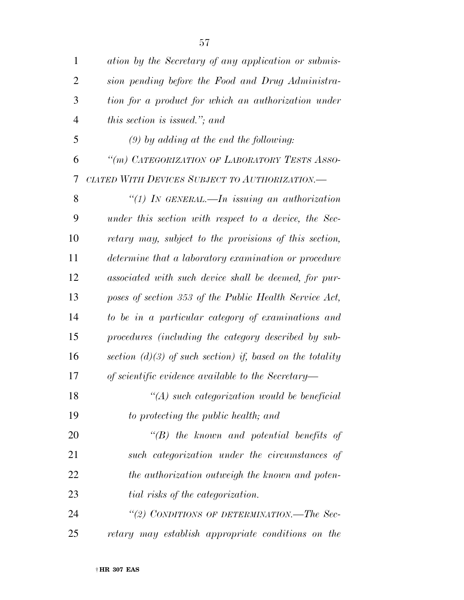| $\mathbf{1}$   | ation by the Secretary of any application or submis-        |
|----------------|-------------------------------------------------------------|
| $\overline{2}$ | sion pending before the Food and Drug Administra-           |
| 3              | tion for a product for which an authorization under         |
| 4              | this section is issued."; and                               |
| 5              | $(9)$ by adding at the end the following:                   |
| 6              | "(m) CATEGORIZATION OF LABORATORY TESTS ASSO-               |
| 7              | CIATED WITH DEVICES SUBJECT TO AUTHORIZATION.—              |
| 8              | "(1) In GENERAL.—In issuing an authorization                |
| 9              | under this section with respect to a device, the Sec-       |
| 10             | retary may, subject to the provisions of this section,      |
| 11             | determine that a laboratory examination or procedure        |
| 12             | associated with such device shall be deemed, for pur-       |
| 13             | poses of section 353 of the Public Health Service Act,      |
| 14             | to be in a particular category of examinations and          |
| 15             | procedures (including the category described by sub-        |
| 16             | section $(d)(3)$ of such section) if, based on the totality |
| 17             | of scientific evidence available to the Secretary-          |
| 18             | $\lq (A)$ such categorization would be beneficial           |
| 19             | to protecting the public health; and                        |
| 20             | $\lq\lq B$ ) the known and potential benefits of            |
| 21             | such categorization under the circumstances of              |
| 22             | the authorization outweigh the known and poten-             |
| 23             | tial risks of the categorization.                           |
| 24             | "(2) CONDITIONS OF DETERMINATION.-The Sec-                  |
| 25             | retary may establish appropriate conditions on the          |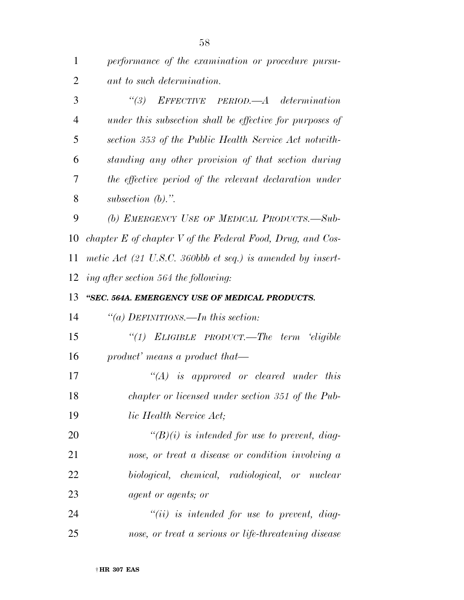*performance of the examination or procedure pursu-ant to such determination.* 

 *''(3) EFFECTIVE PERIOD.—A determination under this subsection shall be effective for purposes of section 353 of the Public Health Service Act notwith- standing any other provision of that section during the effective period of the relevant declaration under subsection (b).''.* 

 *(b) EMERGENCY USE OF MEDICAL PRODUCTS.—Sub- chapter E of chapter V of the Federal Food, Drug, and Cos- metic Act (21 U.S.C. 360bbb et seq.) is amended by insert-ing after section 564 the following:* 

#### *''SEC. 564A. EMERGENCY USE OF MEDICAL PRODUCTS.*

*''(a) DEFINITIONS.—In this section:* 

 *''(1) ELIGIBLE PRODUCT.—The term 'eligible product' means a product that—* 

 *''(A) is approved or cleared under this chapter or licensed under section 351 of the Pub-lic Health Service Act;* 

 *''(B)(i) is intended for use to prevent, diag- nose, or treat a disease or condition involving a biological, chemical, radiological, or nuclear agent or agents; or* 

 *''(ii) is intended for use to prevent, diag-nose, or treat a serious or life-threatening disease*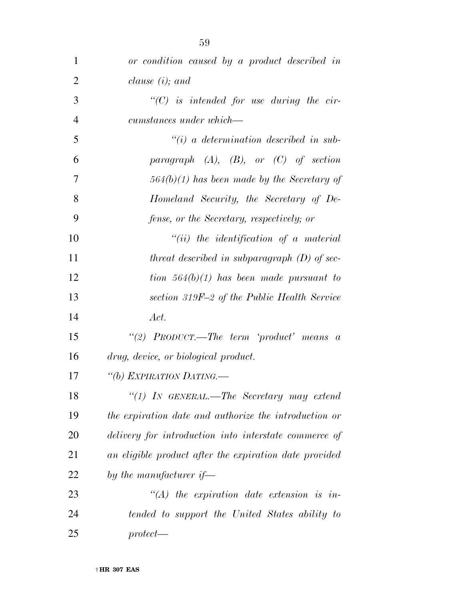| $\mathbf{1}$   | or condition caused by a product described in          |
|----------------|--------------------------------------------------------|
| $\overline{2}$ | clause $(i)$ ; and                                     |
| 3              | $\lq\lq C$ is intended for use during the cir-         |
| $\overline{4}$ | cumstances under which—                                |
| 5              | $\tilde{f}(i)$ a determination described in sub-       |
| 6              | paragraph $(A)$ , $(B)$ , or $(C)$ of section          |
| $\overline{7}$ | $564(b)(1)$ has been made by the Secretary of          |
| 8              | Homeland Security, the Secretary of De-                |
| 9              | fense, or the Secretary, respectively; or              |
| 10             | $``(ii)$ the identification of a material              |
| 11             | threat described in subparagraph $(D)$ of sec-         |
| 12             | tion $564(b)(1)$ has been made pursuant to             |
| 13             | section 319F-2 of the Public Health Service            |
| 14             | Act.                                                   |
| 15             | "(2) $PRODUCT.$ —The term 'product' means a            |
| 16             | drug, device, or biological product.                   |
| 17             | "(b) EXPIRATION DATING.—                               |
| 18             | $\lq(1)$ IN GENERAL.—The Secretary may extend          |
| 19             | the expiration date and authorize the introduction or  |
| 20             | delivery for introduction into interstate commerce of  |
| 21             | an eligible product after the expiration date provided |
| 22             | by the manufacturer if—                                |
| 23             | $\lq\lq (A)$ the expiration date extension is in-      |
| 24             | tended to support the United States ability to         |
| 25             | $protect$ —                                            |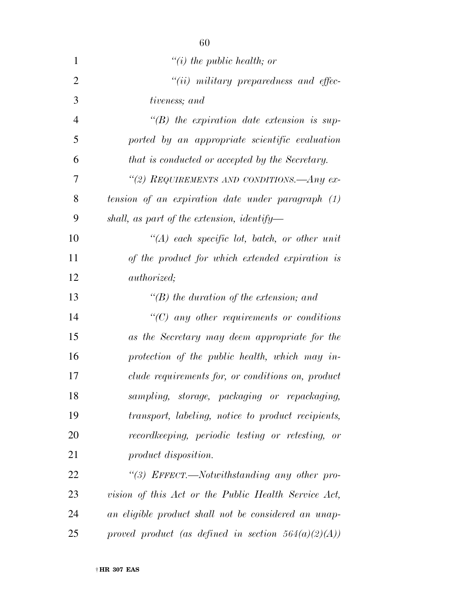| $\mathbf{1}$   | $\lq\lq(i)$ the public health; or                      |
|----------------|--------------------------------------------------------|
| $\overline{2}$ | $``(ii)$ military preparedness and effec-              |
| 3              | tiveness; and                                          |
| 4              | $\lq\lq(B)$ the expiration date extension is sup-      |
| 5              | ported by an appropriate scientific evaluation         |
| 6              | that is conducted or accepted by the Secretary.        |
| 7              | "(2) REQUIREMENTS AND CONDITIONS.—Any ex-              |
| 8              | tension of an expiration date under paragraph $(1)$    |
| 9              | shall, as part of the extension, identify—             |
| 10             | $\lq (A)$ each specific lot, batch, or other unit      |
| 11             | of the product for which extended expiration is        |
| 12             | <i>authorized</i> ;                                    |
| 13             | $\lq\lq(B)$ the duration of the extension; and         |
| 14             | $\lq\lq C$ any other requirements or conditions        |
| 15             | as the Secretary may deem appropriate for the          |
| 16             | protection of the public health, which may in-         |
| 17             | clude requirements for, or conditions on, product      |
| 18             | sampling, storage, packaging or repackaging,           |
| 19             | transport, labeling, notice to product recipients,     |
| 20             | recordkeeping, periodic testing or retesting, or       |
| 21             | product disposition.                                   |
| 22             | "(3) EFFECT.—Notwithstanding any other pro-            |
| 23             | vision of this Act or the Public Health Service Act,   |
| 24             | an eligible product shall not be considered an unap-   |
| 25             | proved product (as defined in section $564(a)(2)(A)$ ) |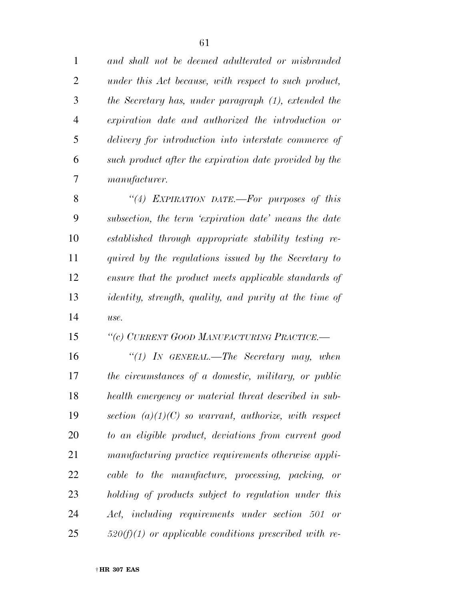*and shall not be deemed adulterated or misbranded under this Act because, with respect to such product, the Secretary has, under paragraph (1), extended the expiration date and authorized the introduction or delivery for introduction into interstate commerce of such product after the expiration date provided by the manufacturer.* 

 *''(4) EXPIRATION DATE.—For purposes of this subsection, the term 'expiration date' means the date established through appropriate stability testing re- quired by the regulations issued by the Secretary to ensure that the product meets applicable standards of identity, strength, quality, and purity at the time of use.* 

#### *''(c) CURRENT GOOD MANUFACTURING PRACTICE.—*

 *''(1) IN GENERAL.—The Secretary may, when the circumstances of a domestic, military, or public health emergency or material threat described in sub- section (a)(1)(C) so warrant, authorize, with respect to an eligible product, deviations from current good manufacturing practice requirements otherwise appli- cable to the manufacture, processing, packing, or holding of products subject to regulation under this Act, including requirements under section 501 or 520(f)(1) or applicable conditions prescribed with re-*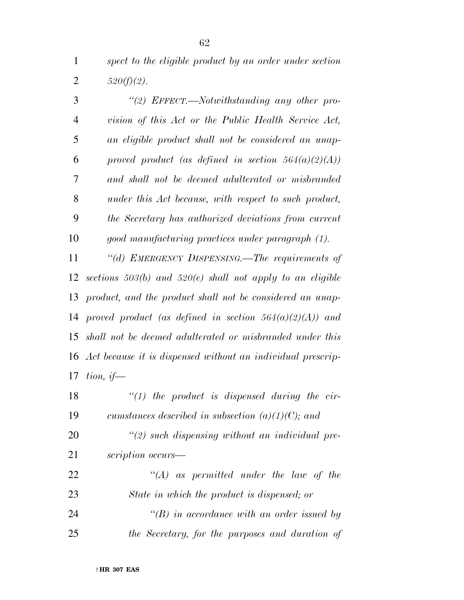*spect to the eligible product by an order under section*  2  $520(f)(2)$ .

 *''(2) EFFECT.—Notwithstanding any other pro- vision of this Act or the Public Health Service Act, an eligible product shall not be considered an unap- proved product (as defined in section 564(a)(2)(A)) and shall not be deemed adulterated or misbranded under this Act because, with respect to such product, the Secretary has authorized deviations from current good manufacturing practices under paragraph (1).* 

 *''(d) EMERGENCY DISPENSING.—The requirements of sections 503(b) and 520(e) shall not apply to an eligible product, and the product shall not be considered an unap- proved product (as defined in section 564(a)(2)(A)) and shall not be deemed adulterated or misbranded under this Act because it is dispensed without an individual prescrip-tion, if—* 

 *''(1) the product is dispensed during the cir- cumstances described in subsection (a)(1)(C); and ''(2) such dispensing without an individual pre- scription occurs— ''(A) as permitted under the law of the State in which the product is dispensed; or ''(B) in accordance with an order issued by the Secretary, for the purposes and duration of*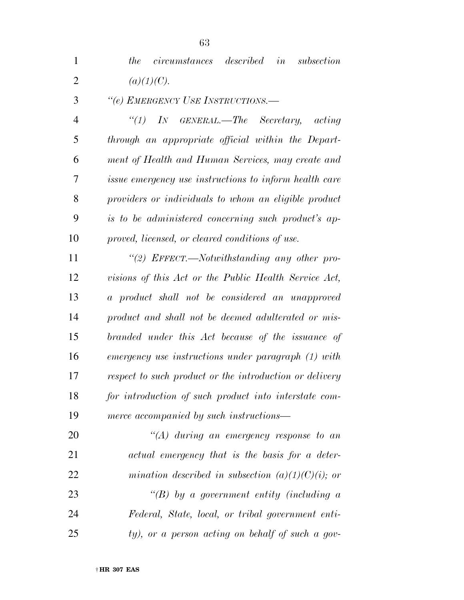*the circumstances described in subsection*  2  $(a)(1)(C)$ .

*''(e) EMERGENCY USE INSTRUCTIONS.—* 

 *''(1) IN GENERAL.—The Secretary, acting through an appropriate official within the Depart- ment of Health and Human Services, may create and issue emergency use instructions to inform health care providers or individuals to whom an eligible product is to be administered concerning such product's ap-proved, licensed, or cleared conditions of use.* 

 *''(2) EFFECT.—Notwithstanding any other pro- visions of this Act or the Public Health Service Act, a product shall not be considered an unapproved product and shall not be deemed adulterated or mis- branded under this Act because of the issuance of emergency use instructions under paragraph (1) with respect to such product or the introduction or delivery for introduction of such product into interstate com-merce accompanied by such instructions—* 

 *''(A) during an emergency response to an actual emergency that is the basis for a deter- mination described in subsection (a)(1)(C)(i); or ''(B) by a government entity (including a Federal, State, local, or tribal government enti-ty), or a person acting on behalf of such a gov-*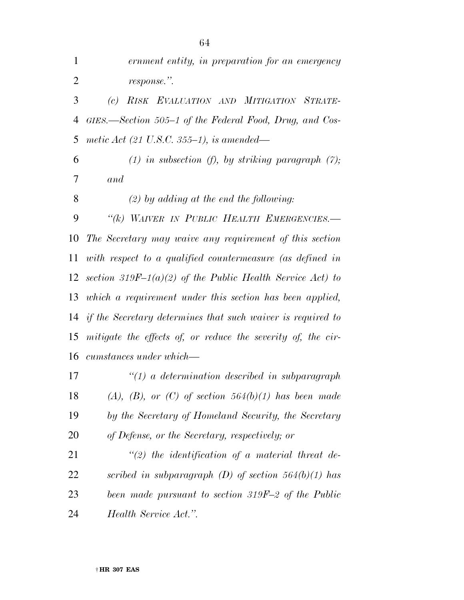| $\mathbf{1}$   | ernment entity, in preparation for an emergency                    |
|----------------|--------------------------------------------------------------------|
| $\overline{2}$ | response.".                                                        |
| 3              | RISK EVALUATION AND MITIGATION STRATE-<br>(c)                      |
| 4              | GIES.—Section 505–1 of the Federal Food, Drug, and Cos-            |
| 5              | metic Act (21 U.S.C. 355–1), is amended—                           |
| 6              | $(1)$ in subsection $(f)$ , by striking paragraph $(7)$ ;          |
| 7              | and                                                                |
| 8              | $(2)$ by adding at the end the following:                          |
| 9              | "(k) WAIVER IN PUBLIC HEALTH EMERGENCIES.-                         |
| 10             | The Secretary may waive any requirement of this section            |
| 11             | with respect to a qualified countermeasure (as defined in          |
| 12             | section 319F-1(a)(2) of the Public Health Service Act) to          |
| 13             | which a requirement under this section has been applied,           |
| 14             | <i>if the Secretary determines that such waiver is required to</i> |
| 15             | mitigate the effects of, or reduce the severity of, the cir-       |
|                | 16 cumstances under which—                                         |
| 17             | $\lq(1)$ a determination described in subparagraph                 |
| 18             | $(A), (B), or (C)$ of section 564(b)(1) has been made              |
| 19             | by the Secretary of Homeland Security, the Secretary               |
| 20             | of Defense, or the Secretary, respectively; or                     |
| 21             | $\lq(2)$ the identification of a material threat de-               |
| 22             | scribed in subparagraph $(D)$ of section 564 $(b)(1)$ has          |
| 23             | been made pursuant to section 319F-2 of the Public                 |
| 24             | Health Service Act.".                                              |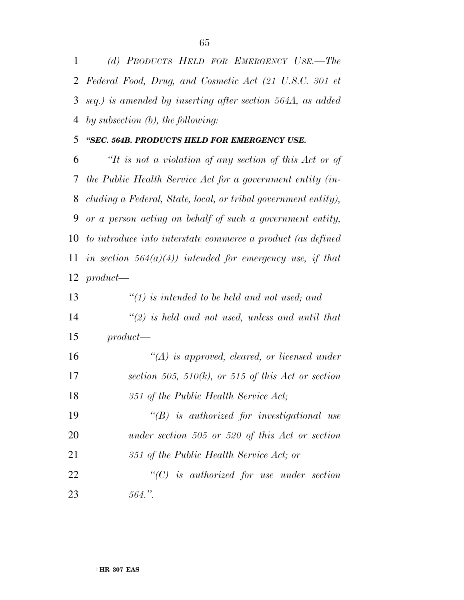*(d) PRODUCTS HELD FOR EMERGENCY USE.—The Federal Food, Drug, and Cosmetic Act (21 U.S.C. 301 et seq.) is amended by inserting after section 564A, as added by subsection (b), the following:* 

#### *''SEC. 564B. PRODUCTS HELD FOR EMERGENCY USE.*

 *''It is not a violation of any section of this Act or of the Public Health Service Act for a government entity (in- cluding a Federal, State, local, or tribal government entity), or a person acting on behalf of such a government entity, to introduce into interstate commerce a product (as defined in section 564(a)(4)) intended for emergency use, if that product—* 

| 13 | $\lq(1)$ is intended to be held and not used; and    |
|----|------------------------------------------------------|
| 14 | $\lq(2)$ is held and not used, unless and until that |
| 15 | $product$ —                                          |
| 16 | $\lq (A)$ is approved, cleared, or licensed under    |
| 17 | section 505, 510(k), or 515 of this Act or section   |
| 18 | 351 of the Public Health Service Act;                |
| 19 | $\lq\lq B$ is authorized for investigational use     |
| 20 | under section $505$ or $520$ of this Act or section  |
| 21 | 351 of the Public Health Service Act; or             |
| 22 | $\lq\lq C$ is authorized for use under section       |
| 23 | $564$ ."                                             |
|    |                                                      |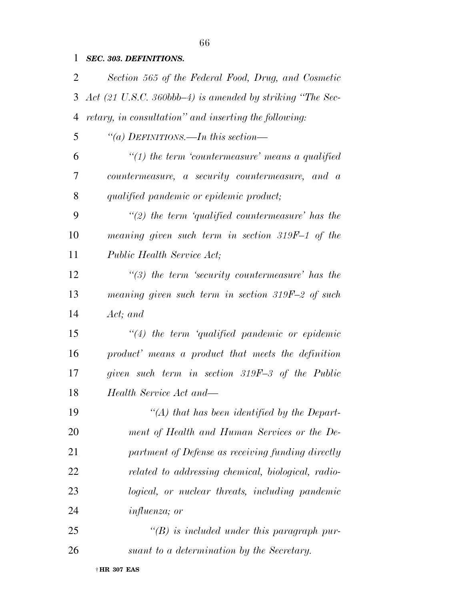### *SEC. 303. DEFINITIONS.*

| 2  | Section 565 of the Federal Food, Drug, and Cosmetic                  |
|----|----------------------------------------------------------------------|
| 3  | Act $(21 \text{ U.S.C. } 360bbb-4)$ is amended by striking "The Sec- |
| 4  | retary, in consultation" and inserting the following:                |
| 5  | "(a) DEFINITIONS.—In this section—                                   |
| 6  | $\lq(1)$ the term 'countermeasure' means a qualified                 |
| 7  | countermeasure, a security countermeasure, and a                     |
| 8  | qualified pandemic or epidemic product;                              |
| 9  | $\lq(2)$ the term 'qualified countermeasure' has the                 |
| 10 | meaning given such term in section $319F-1$ of the                   |
| 11 | Public Health Service Act;                                           |
| 12 | $\lq(3)$ the term 'security countermeasure' has the                  |
| 13 | meaning given such term in section $319F-2$ of such                  |
| 14 | Act; and                                                             |
| 15 | $\lq(4)$ the term 'qualified pandemic or epidemic'                   |
| 16 | product' means a product that meets the definition                   |
| 17 | given such term in section 319F-3 of the Public                      |
| 18 | Health Service Act and—                                              |
| 19 | $\lq (A)$ that has been identified by the Depart-                    |
| 20 | ment of Health and Human Services or the De-                         |
| 21 | partment of Defense as receiving funding directly                    |
| 22 | related to addressing chemical, biological, radio-                   |
| 23 | logical, or nuclear threats, including pandemic                      |
| 24 | <i>influenza</i> ; or                                                |
| 25 | $\lq (B)$ is included under this paragraph pur-                      |
| 26 | suant to a determination by the Secretary.                           |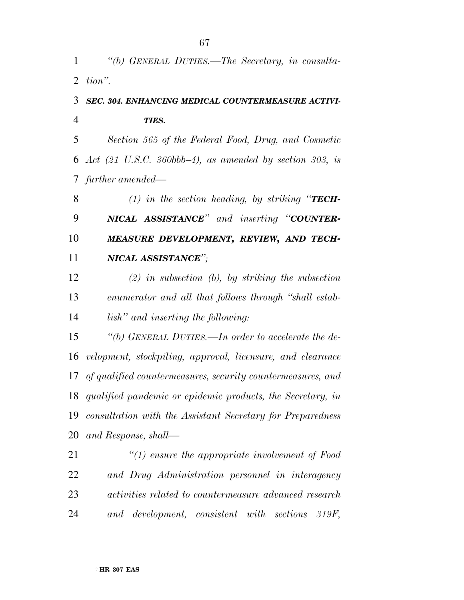*''(b) GENERAL DUTIES.—The Secretary, in consulta-tion''.* 

## *SEC. 304. ENHANCING MEDICAL COUNTERMEASURE ACTIVI-TIES.*

 *Section 565 of the Federal Food, Drug, and Cosmetic Act (21 U.S.C. 360bbb–4), as amended by section 303, is further amended—* 

 *(1) in the section heading, by striking ''TECH- NICAL ASSISTANCE'' and inserting ''COUNTER- MEASURE DEVELOPMENT, REVIEW, AND TECH-NICAL ASSISTANCE'';* 

 *(2) in subsection (b), by striking the subsection enumerator and all that follows through ''shall estab-lish'' and inserting the following:* 

 *''(b) GENERAL DUTIES.—In order to accelerate the de- velopment, stockpiling, approval, licensure, and clearance of qualified countermeasures, security countermeasures, and qualified pandemic or epidemic products, the Secretary, in consultation with the Assistant Secretary for Preparedness and Response, shall—* 

 *''(1) ensure the appropriate involvement of Food and Drug Administration personnel in interagency activities related to countermeasure advanced research and development, consistent with sections 319F,*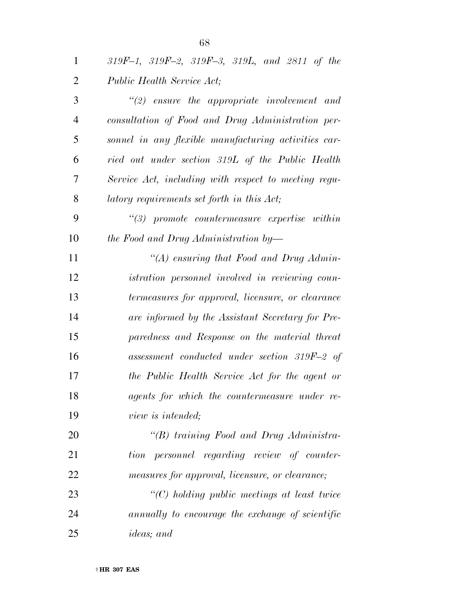| $\mathbf{1}$   | $319F-1$ , $319F-2$ , $319F-3$ , $319L$ , and $2811$ of the |
|----------------|-------------------------------------------------------------|
| $\overline{2}$ | Public Health Service Act;                                  |
| 3              | $\lq(2)$ ensure the appropriate involvement and             |
| $\overline{4}$ | consultation of Food and Drug Administration per-           |
| 5              | sonnel in any flexible manufacturing activities car-        |
| 6              | ried out under section 319L of the Public Health            |
| 7              | Service Act, including with respect to meeting regu-        |
| 8              | latory requirements set forth in this Act;                  |
| 9              | $\lq(3)$ promote countermeasure expertise within            |
| 10             | the Food and Drug Administration by—                        |
| 11             | "(A) ensuring that Food and Drug Admin-                     |
| 12             | <i>istration personnel involved in reviewing coun-</i>      |
| 13             | termeasures for approval, licensure, or clearance           |
| 14             | are informed by the Assistant Secretary for Pre-            |
| 15             | paredness and Response on the material threat               |
| 16             | $assessment$ conducted under section 319F-2 of              |
| 17             | the Public Health Service Act for the agent or              |
| 18             | agents for which the countermeasure under re-               |
| 19             | view is intended;                                           |
| 20             | "(B) training Food and Drug Administra-                     |
| 21             | personnel regarding review of counter-<br>tion              |
| 22             | measures for approval, licensure, or clearance;             |
| 23             | $\lq\lq C$ ) holding public meetings at least twice         |
| 24             | annually to encourage the exchange of scientific            |
|                |                                                             |

*ideas; and*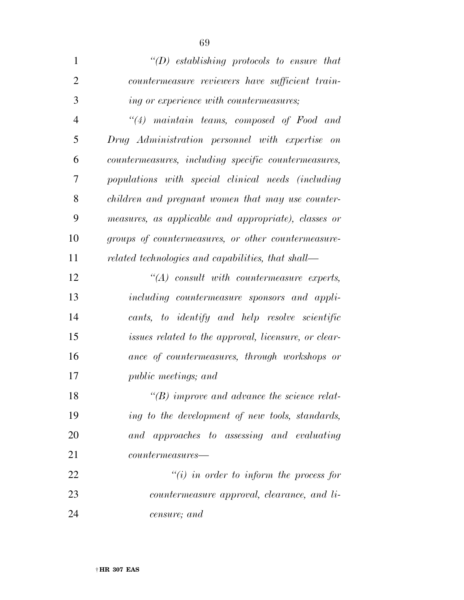| $\mathbf{1}$   | $\lq\lq(D)$ establishing protocols to ensure that    |
|----------------|------------------------------------------------------|
| $\overline{2}$ | countermeasure reviewers have sufficient train-      |
| 3              | <i>ing or experience with countermeasures;</i>       |
| $\overline{4}$ | $\lq(4)$ maintain teams, composed of Food and        |
| 5              | Drug Administration personnel with expertise on      |
| 6              | countermeasures, including specific countermeasures, |
| 7              | populations with special clinical needs (including   |
| 8              | children and pregnant women that may use counter-    |
| 9              | measures, as applicable and appropriate), classes or |
| 10             | groups of countermeasures, or other countermeasure-  |
| 11             | related technologies and capabilities, that shall—   |
| 12             | $\lq\lq (A)$ consult with countermeasure experts,    |
| 13             | including countermeasure sponsors and appli-         |
| 14             | cants, to identify and help resolve scientific       |
| 15             | issues related to the approval, licensure, or clear- |
| 16             | ance of countermeasures, through workshops or        |
| 17             | <i>public meetings; and</i>                          |
| 18             | $\lq\lq(B)$ improve and advance the science relat-   |
| 19             | ing to the development of new tools, standards,      |
| 20             | and approaches to assessing and evaluating           |
| 21             | $countermeasures$ — $-$                              |
| 22             | $\tilde{f}(i)$ in order to inform the process for    |
| 23             | countermeasure approval, clearance, and li-          |
| 24             | censure; and                                         |

† **HR 307 EAS**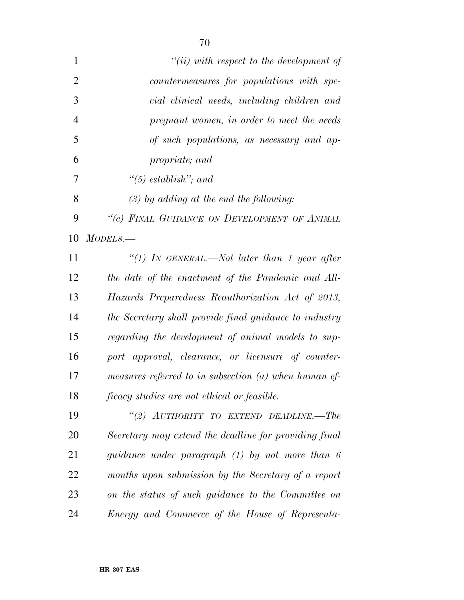| $\mathbf{1}$   | $``(ii) with respect to the development of$             |
|----------------|---------------------------------------------------------|
| $\overline{2}$ | countermeasures for populations with spe-               |
| 3              | cial clinical needs, including children and             |
| $\overline{4}$ | pregnant women, in order to meet the needs              |
| 5              | of such populations, as necessary and ap-               |
| 6              | propriate; and                                          |
| 7              | $\lq(5)$ establish"; and                                |
| 8              | $(3)$ by adding at the end the following:               |
| 9              | "(c) FINAL GUIDANCE ON DEVELOPMENT OF ANIMAL            |
| 10             | MODELS.                                                 |
| 11             | "(1) In GENERAL.—Not later than 1 year after            |
| 12             | the date of the enactment of the Pandemic and All-      |
| 13             | Hazards Preparedness Reauthorization Act of 2013,       |
| 14             | the Secretary shall provide final guidance to industry  |
| 15             | regarding the development of animal models to sup-      |
| 16             | port approval, clearance, or licensure of counter-      |
| 17             | measures referred to in subsection $(a)$ when human ef- |
| 18             | <i>ficacy studies are not ethical or feasible.</i>      |
| 19             | "(2) AUTHORITY TO EXTEND DEADLINE.-The                  |
| 20             | Secretary may extend the deadline for providing final   |
| 21             | guidance under paragraph (1) by not more than 6         |
| 22             | months upon submission by the Secretary of a report     |
| 23             | on the status of such guidance to the Committee on      |
| 24             | Energy and Commerce of the House of Representa-         |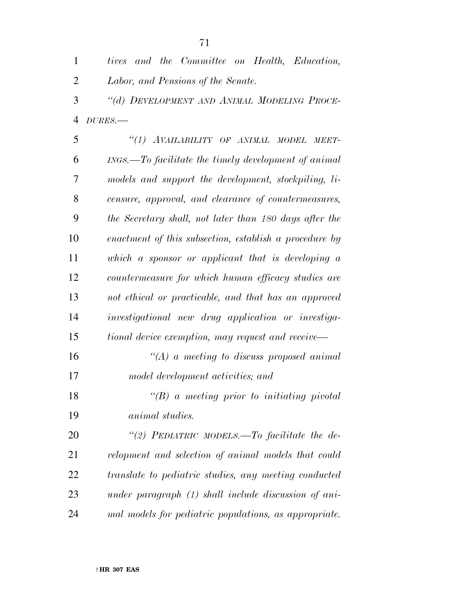| $\mathbf{1}$   | tives and the Committee on Health, Education,          |
|----------------|--------------------------------------------------------|
| $\overline{2}$ | Labor, and Pensions of the Senate.                     |
| 3              | "(d) DEVELOPMENT AND ANIMAL MODELING PROCE-            |
| $\overline{4}$ | $DURES$ .                                              |
| 5              | "(1) AVAILABILITY OF ANIMAL MODEL<br>MEET-             |
| 6              | INGS.—To facilitate the timely development of animal   |
| 7              | models and support the development, stockpiling, li-   |
| 8              | censure, approval, and clearance of countermeasures,   |
| 9              | the Secretary shall, not later than 180 days after the |
| 10             | enactment of this subsection, establish a procedure by |
| 11             | which a sponsor or applicant that is developing a      |
| 12             | countermeasure for which human efficacy studies are    |
| 13             | not ethical or practicable, and that has an approved   |
| 14             | investigational new drug application or investiga-     |
| 15             | tional device exemption, may request and receive—      |
| 16             | "(A) a meeting to discuss proposed animal              |
| 17             | model development activities; and                      |
| 18             | $\lq\lq (B)$ a meeting prior to initiating pivotal     |
| 19             | animal studies.                                        |
| 20             | "(2) PEDIATRIC MODELS.—To facilitate the de-           |
| 21             | velopment and selection of animal models that could    |
| 22             | translate to pediatric studies, any meeting conducted  |
| 23             | under paragraph (1) shall include discussion of ani-   |
| 24             | mal models for pediatric populations, as appropriate.  |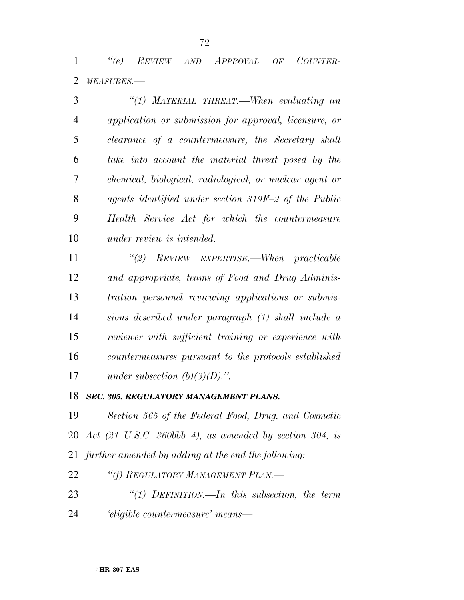*''(e) REVIEW AND APPROVAL OF COUNTER-MEASURES.—* 

| 3  | "(1) MATERIAL THREAT.—When evaluating an                |
|----|---------------------------------------------------------|
| 4  | application or submission for approval, licensure, or   |
| 5  | clearance of a countermeasure, the Secretary shall      |
| 6  | take into account the material threat posed by the      |
| 7  | chemical, biological, radiological, or nuclear agent or |
| 8  | agents identified under section 319F-2 of the Public    |
| 9  | Health Service Act for which the countermeasure         |
| 10 | <i>under review is intended.</i>                        |

 *''(2) REVIEW EXPERTISE.—When practicable and appropriate, teams of Food and Drug Adminis- tration personnel reviewing applications or submis- sions described under paragraph (1) shall include a reviewer with sufficient training or experience with countermeasures pursuant to the protocols established under subsection (b)(3)(D).''.* 

*SEC. 305. REGULATORY MANAGEMENT PLANS.* 

 *Section 565 of the Federal Food, Drug, and Cosmetic Act (21 U.S.C. 360bbb–4), as amended by section 304, is further amended by adding at the end the following:* 

*''(f) REGULATORY MANAGEMENT PLAN.—* 

 *''(1) DEFINITION.—In this subsection, the term 'eligible countermeasure' means—*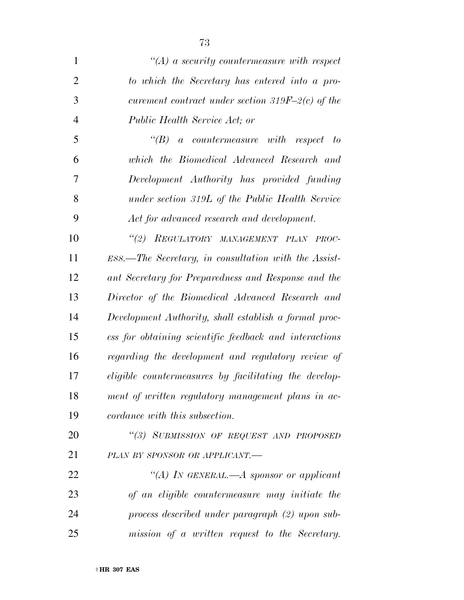| $\mathbf{1}$   | $\lq (A)$ a security countermeasure with respect        |
|----------------|---------------------------------------------------------|
| $\overline{2}$ | to which the Secretary has entered into a pro-          |
| 3              | curement contract under section 319F-2(c) of the        |
| $\overline{4}$ | Public Health Service Act; or                           |
| 5              | $\lq(B)$<br>a countermeasure with respect to            |
| 6              | which the Biomedical Advanced Research and              |
| 7              | Development Authority has provided funding              |
| 8              | under section 319L of the Public Health Service         |
| 9              | Act for advanced research and development.              |
| 10             | "(2) REGULATORY MANAGEMENT PLAN PROC-                   |
| 11             | $ESS$ . The Secretary, in consultation with the Assist- |
| 12             | ant Secretary for Preparedness and Response and the     |
| 13             | Director of the Biomedical Advanced Research and        |
| 14             | Development Authority, shall establish a formal proc-   |
| 15             | ess for obtaining scientific feedback and interactions  |
| 16             | regarding the development and regulatory review of      |
| 17             | eligible countermeasures by facilitating the develop-   |
| 18             | ment of written regulatory management plans in ac-      |
| 19             | cordance with this subsection.                          |

 *''(3) SUBMISSION OF REQUEST AND PROPOSED PLAN BY SPONSOR OR APPLICANT.—* 

 *''(A) IN GENERAL.—A sponsor or applicant of an eligible countermeasure may initiate the process described under paragraph (2) upon sub-mission of a written request to the Secretary.*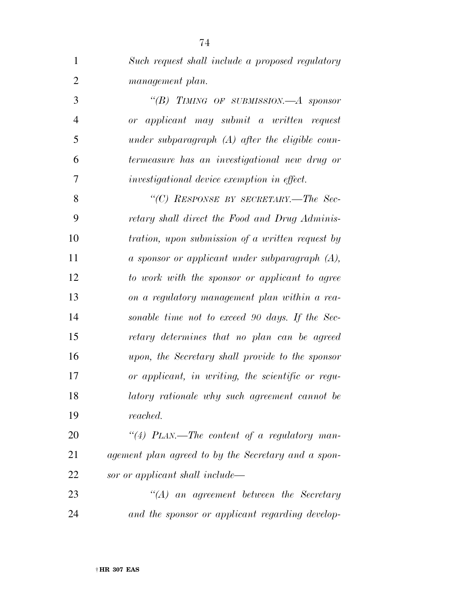| $\mathbf{1}$   | Such request shall include a proposed regulatory        |
|----------------|---------------------------------------------------------|
| $\overline{2}$ | management plan.                                        |
| 3              | "(B) TIMING OF SUBMISSION.—A sponsor                    |
| $\overline{4}$ | or applicant may submit a written request               |
| 5              | under subparagraph $(A)$ after the eligible coun-       |
| 6              | termeasure has an investigational new drug or           |
| 7              | investigational device exemption in effect.             |
| 8              | "(C) RESPONSE BY SECRETARY.—The Sec-                    |
| 9              | retary shall direct the Food and Drug Adminis-          |
| 10             | <i>tration, upon submission of a written request by</i> |
| 11             | a sponsor or applicant under subparagraph $(A)$ ,       |
| 12             | to work with the sponsor or applicant to agree          |
| 13             | on a regulatory management plan within a rea-           |
| 14             | sonable time not to exceed 90 days. If the Sec-         |
| 15             | retary determines that no plan can be agreed            |
| 16             | upon, the Secretary shall provide to the sponsor        |
| 17             | or applicant, in writing, the scientific or regu-       |
| 18             | latory rationale why such agreement cannot be           |
| 19             | reached.                                                |
| 20             | "(4) PLAN.—The content of a regulatory man-             |
| 21             | agement plan agreed to by the Secretary and a spon-     |
| 22             | sor or applicant shall include—                         |
| 23             | $\lq\lq (A)$ an agreement between the Secretary         |
| 24             | and the sponsor or applicant regarding develop-         |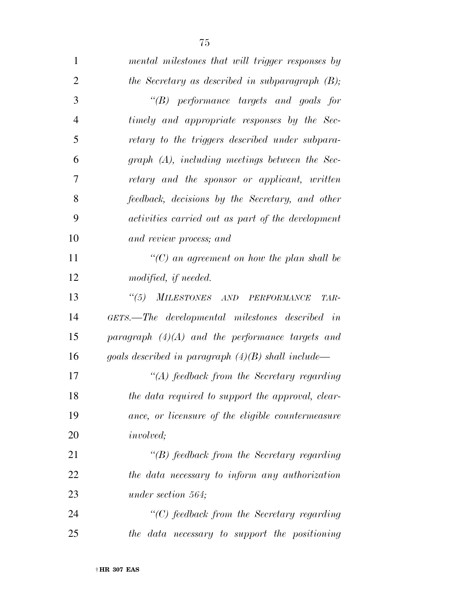| $\mathbf{1}$   | mental milestones that will trigger responses by     |
|----------------|------------------------------------------------------|
| $\overline{2}$ | the Secretary as described in subparagraph $(B)$ ;   |
| 3              | $\lq\lq(B)$ performance targets and goals for        |
| $\overline{4}$ | timely and appropriate responses by the Sec-         |
| 5              | retary to the triggers described under subpara-      |
| 6              | $graph(A)$ , including meetings between the Sec-     |
| 7              | retary and the sponsor or applicant, written         |
| 8              | feedback, decisions by the Secretary, and other      |
| 9              | activities carried out as part of the development    |
| 10             | and review process; and                              |
| 11             | "(C) an agreement on how the plan shall be           |
| 12             | modified, if needed.                                 |
| 13             | "(5) MILESTONES AND PERFORMANCE<br>TAR-              |
| 14             | GETS.—The developmental milestones described in      |
| 15             | paragraph $(4)(A)$ and the performance targets and   |
| 16             | goals described in paragraph $(4)(B)$ shall include— |
| 17             | $\lq (A)$ feedback from the Secretary regarding      |
| 18             | the data required to support the approval, clear-    |
| 19             | ance, or licensure of the eligible countermeasure    |
| 20             | <i>involved</i> ;                                    |
| 21             | $\lq\lq(B)$ feedback from the Secretary regarding    |
| 22             | the data necessary to inform any authorization       |
| 23             | under section 564;                                   |
| 24             | $\lq\lq C$ feedback from the Secretary regarding     |
| 25             | the data necessary to support the positioning        |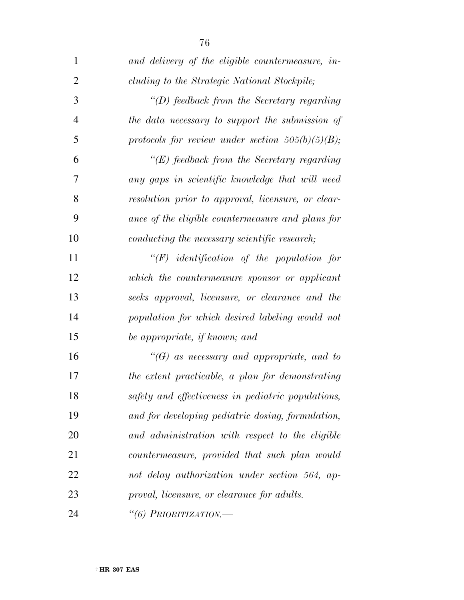| $\mathbf{1}$   | and delivery of the eligible countermeasure, in-    |
|----------------|-----------------------------------------------------|
| $\overline{2}$ | cluding to the Strategic National Stockpile;        |
| 3              | $\lq (D)$ feedback from the Secretary regarding     |
| $\overline{4}$ | the data necessary to support the submission of     |
| 5              | protocols for review under section $505(b)(5)(B)$ ; |
| 6              | $\lq\lq(E)$ feedback from the Secretary regarding   |
| 7              | any gaps in scientific knowledge that will need     |
| 8              | resolution prior to approval, licensure, or clear-  |
| 9              | ance of the eligible countermeasure and plans for   |
| 10             | conducting the necessary scientific research;       |
| 11             | $\lq\lq(F)$ identification of the population for    |
| 12             | which the countermeasure sponsor or applicant       |
| 13             | seeks approval, licensure, or clearance and the     |
| 14             | population for which desired labeling would not     |
| 15             | be appropriate, if known; and                       |
| 16             | $\lq\lq(G)$ as necessary and appropriate, and to    |
| 17             | the extent practicable, a plan for demonstrating    |
| 18             | safety and effectiveness in pediatric populations,  |
| 19             | and for developing pediatric dosing, formulation,   |
| 20             | and administration with respect to the eligible     |
| 21             | countermeasure, provided that such plan would       |
| 22             | not delay authorization under section 564, ap-      |
| 23             | proval, licensure, or clearance for adults.         |
| 24             | "(6) PRIORITIZATION.-                               |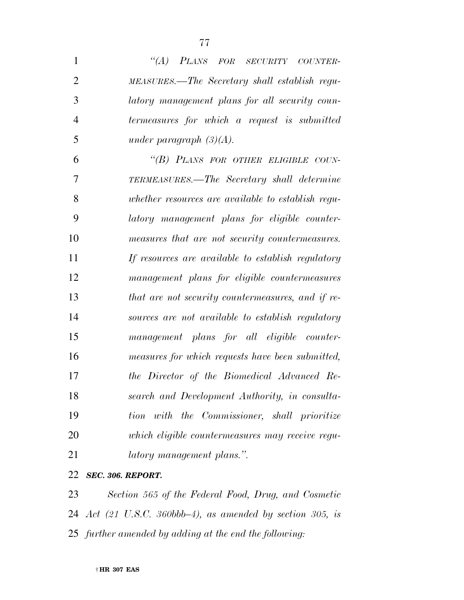| $\mathbf{1}$   | "(A) PLANS FOR SECURITY COUNTER-                   |
|----------------|----------------------------------------------------|
| $\overline{2}$ | MEASURES.—The Secretary shall establish regu-      |
| 3              | latory management plans for all security coun-     |
| $\overline{4}$ | termeasures for which a request is submitted       |
| 5              | under paragraph $(3)(A)$ .                         |
| 6              | "(B) PLANS FOR OTHER ELIGIBLE COUN-                |
| 7              | TERMEASURES.—The Secretary shall determine         |
| 8              | whether resources are available to establish regu- |
| 9              | latory management plans for eligible counter-      |
| 10             | measures that are not security countermeasures.    |
| 11             | If resources are available to establish regulatory |
| 12             | management plans for eligible countermeasures      |
| 13             | that are not security countermeasures, and if re-  |
| 14             | sources are not available to establish regulatory  |
| 15             | management plans for all eligible counter-         |
| 16             | measures for which requests have been submitted,   |
| 17             | the Director of the Biomedical Advanced Re-        |
| 18             | search and Development Authority, in consulta-     |
| 19             | tion with the Commissioner, shall prioritize       |
| 20             | which eligible countermeasures may receive regu-   |
| 21             | latory management plans.".                         |
|                |                                                    |

## *SEC. 306. REPORT.*

 *Section 565 of the Federal Food, Drug, and Cosmetic Act (21 U.S.C. 360bbb–4), as amended by section 305, is further amended by adding at the end the following:*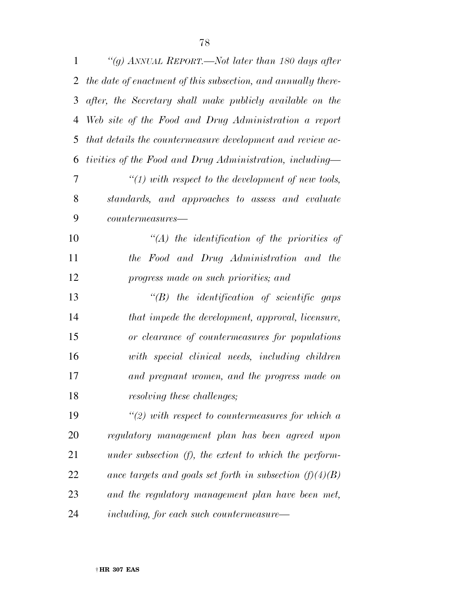| $\mathbf{1}$ | "(g) ANNUAL REPORT.—Not later than 180 days after             |
|--------------|---------------------------------------------------------------|
| 2            | the date of enactment of this subsection, and annually there- |
| 3            | after, the Secretary shall make publicly available on the     |
| 4            | Web site of the Food and Drug Administration a report         |
| 5            | that details the countermeasure development and review ac-    |
| 6            | tivities of the Food and Drug Administration, including—      |
| 7            | $"(1)$ with respect to the development of new tools,          |
| 8            | standards, and approaches to assess and evaluate              |
| 9            | $countermeasures$ —                                           |
| 10           | $\lq (A)$ the identification of the priorities of             |
| 11           | the Food and Drug Administration and the                      |
| 12           | progress made on such priorities; and                         |
| 13           | $\lq\lq B$ the identification of scientific gaps              |
| 14           | that impede the development, approval, licensure,             |
| 15           | or clearance of countermeasures for populations               |
| 16           | with special clinical needs, including children               |
| 17           | and pregnant women, and the progress made on                  |
| 18           | resolving these challenges;                                   |
| 19           | $\lq(2)$ with respect to countermeasures for which a          |
| 20           | regulatory management plan has been agreed upon               |
| 21           | under subsection $(f)$ , the extent to which the perform-     |
| 22           | ance targets and goals set forth in subsection $(f)(4)(B)$    |
| 23           | and the regulatory management plan have been met,             |
| 24           | including, for each such countermeasure—                      |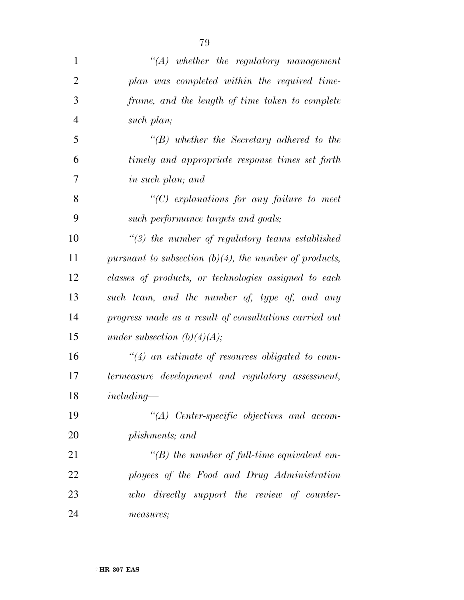| 1              | $\lq\lq (A)$ whether the regulatory management            |
|----------------|-----------------------------------------------------------|
| $\overline{2}$ | plan was completed within the required time-              |
| 3              | frame, and the length of time taken to complete           |
| $\overline{4}$ | such plan;                                                |
| 5              | $\lq\lq(B)$ whether the Secretary adhered to the          |
| 6              | timely and appropriate response times set forth           |
| 7              | <i>in such plan; and</i>                                  |
| 8              | $\lq\lq C$ explanations for any failure to meet           |
| 9              | such performance targets and goals;                       |
| 10             | $\lq(3)$ the number of regulatory teams established       |
| 11             | pursuant to subsection $(b)(4)$ , the number of products, |
| 12             | classes of products, or technologies assigned to each     |
| 13             | such team, and the number of, type of, and any            |
| 14             | progress made as a result of consultations carried out    |
| 15             | under subsection $(b)(4)(A);$                             |
| 16             | $\lq(4)$ an estimate of resources obligated to coun-      |
| 17             | termeasure development and regulatory assessment,         |
| 18             | $including-$                                              |
| 19             | $\lq\lq (A)$ Center-specific objectives and accom-        |
| 20             | plishments; and                                           |
| 21             | $\lq\lq(B)$ the number of full-time equivalent em-        |
| 22             | ployees of the Food and Drug Administration               |
| 23             | who directly support the review of counter-               |
| 24             | measures;                                                 |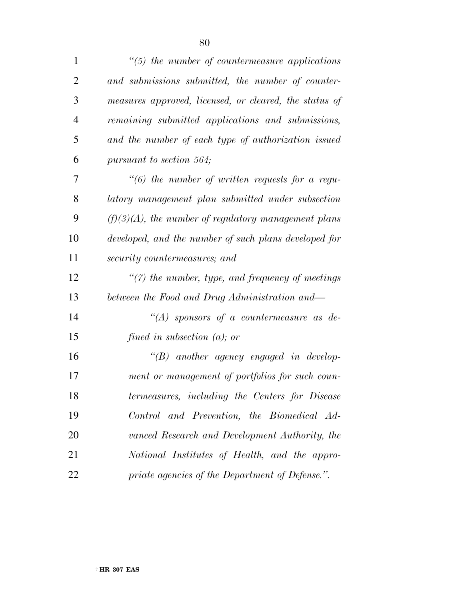| $\mathbf{1}$   | $\lq(5)$ the number of countermeasure applications     |
|----------------|--------------------------------------------------------|
| 2              | and submissions submitted, the number of counter-      |
| 3              | measures approved, licensed, or cleared, the status of |
| $\overline{4}$ | remaining submitted applications and submissions,      |
| 5              | and the number of each type of authorization issued    |

*pursuant to section 564;* 

 *''(6) the number of written requests for a regu- latory management plan submitted under subsection (f)(3)(A), the number of regulatory management plans developed, and the number of such plans developed for security countermeasures; and* 

 *''(7) the number, type, and frequency of meetings between the Food and Drug Administration and—* 

 *''(A) sponsors of a countermeasure as de-fined in subsection (a); or* 

 *''(B) another agency engaged in develop- ment or management of portfolios for such coun- termeasures, including the Centers for Disease Control and Prevention, the Biomedical Ad- vanced Research and Development Authority, the National Institutes of Health, and the appro-priate agencies of the Department of Defense.''.*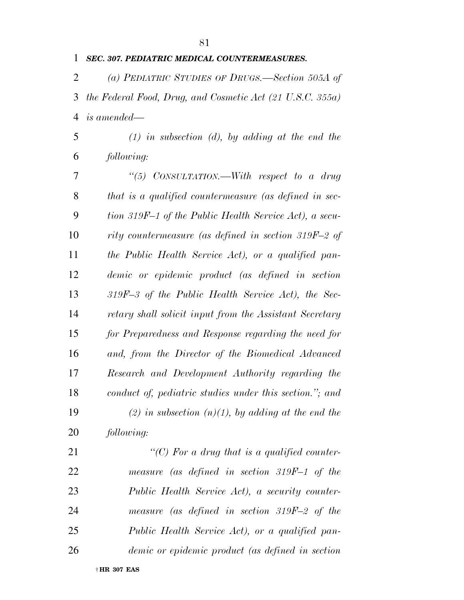## *SEC. 307. PEDIATRIC MEDICAL COUNTERMEASURES.*

 *(a) PEDIATRIC STUDIES OF DRUGS.—Section 505A of the Federal Food, Drug, and Cosmetic Act (21 U.S.C. 355a) is amended—* 

 *(1) in subsection (d), by adding at the end the following:* 

 *''(5) CONSULTATION.—With respect to a drug that is a qualified countermeasure (as defined in sec- tion 319F–1 of the Public Health Service Act), a secu- rity countermeasure (as defined in section 319F–2 of the Public Health Service Act), or a qualified pan- demic or epidemic product (as defined in section 319F–3 of the Public Health Service Act), the Sec- retary shall solicit input from the Assistant Secretary for Preparedness and Response regarding the need for and, from the Director of the Biomedical Advanced Research and Development Authority regarding the conduct of, pediatric studies under this section.''; and (2) in subsection (n)(1), by adding at the end the following:* 

 *''(C) For a drug that is a qualified counter- measure (as defined in section 319F–1 of the Public Health Service Act), a security counter- measure (as defined in section 319F–2 of the Public Health Service Act), or a qualified pan-demic or epidemic product (as defined in section*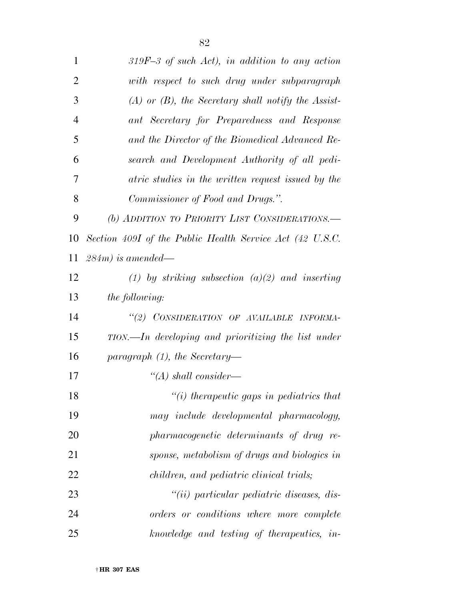| 1              | $319F-3$ of such Act), in addition to any action         |
|----------------|----------------------------------------------------------|
| $\overline{2}$ | with respect to such drug under subparagraph             |
| 3              | $(A)$ or $(B)$ , the Secretary shall notify the Assist-  |
| $\overline{4}$ | ant Secretary for Preparedness and Response              |
| 5              | and the Director of the Biomedical Advanced Re-          |
| 6              | search and Development Authority of all pedi-            |
| 7              | atric studies in the written request issued by the       |
| 8              | Commissioner of Food and Drugs.".                        |
| 9              | (b) ADDITION TO PRIORITY LIST CONSIDERATIONS.            |
| 10             | Section 409I of the Public Health Service Act (42 U.S.C. |
| 11             | $284m$ ) is amended—                                     |
| 12             | (1) by striking subsection (a)(2) and inserting          |
| 13             | <i>the following:</i>                                    |
| 14             | "(2) CONSIDERATION OF AVAILABLE INFORMA-                 |
| 15             | TION.—In developing and prioritizing the list under      |
| 16             | paragraph $(1)$ , the Secretary-                         |
| 17             | $\lq (A)$ shall consider—                                |
| 18             | $\lq\lq(i)$ therapeutic gaps in pediatrics that          |
| 19             | may include developmental pharmacology,                  |
| 20             | pharmacogenetic determinants of drug re-                 |
| 21             | sponse, metabolism of drugs and biologics in             |
| 22             | children, and pediatric clinical trials;                 |
| 23             | "(ii) particular pediatric diseases, dis-                |
| 24             | orders or conditions where more complete                 |
| 25             | knowledge and testing of therapeutics, in-               |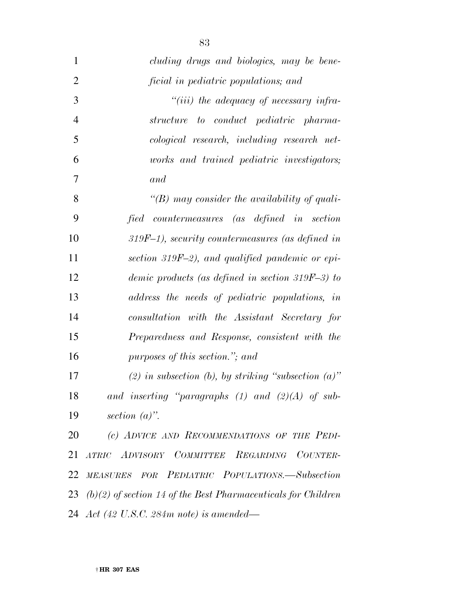| $\mathbf{1}$   | cluding drugs and biologics, may be bene-                        |
|----------------|------------------------------------------------------------------|
| $\overline{2}$ | ficial in pediatric populations; and                             |
| 3              | "(iii) the adequacy of necessary infra-                          |
| $\overline{4}$ | structure to conduct pediatric pharma-                           |
| 5              | cological research, including research net-                      |
| 6              | works and trained pediatric investigators;                       |
| 7              | and                                                              |
| 8              | "(B) may consider the availability of quali-                     |
| 9              | fied countermeasures (as defined in section                      |
| 10             | $319F-1$ , security countermeasures (as defined in               |
| 11             | section 319F-2), and qualified pandemic or epi-                  |
| 12             | demic products (as defined in section 319F-3) to                 |
| 13             | address the needs of pediatric populations, in                   |
| 14             | consultation with the Assistant Secretary for                    |
| 15             | Preparedness and Response, consistent with the                   |
| 16             | purposes of this section."; and                                  |
| 17             | (2) in subsection (b), by striking "subsection $(a)$ "           |
| 18             | and inserting "paragraphs $(1)$ and $(2)(A)$ of sub-             |
| 19             | section $(a)$ ".                                                 |
| 20             | (c) ADVICE AND RECOMMENDATIONS OF THE PEDI-                      |
| 21             | ATRIC ADVISORY COMMITTEE REGARDING COUNTER-                      |
| 22             | MEASURES FOR PEDIATRIC POPULATIONS.-Subsection                   |
|                | 23 (b)(2) of section 14 of the Best Pharmaceuticals for Children |
|                | 24 Act (42 U.S.C. 284m note) is amended—                         |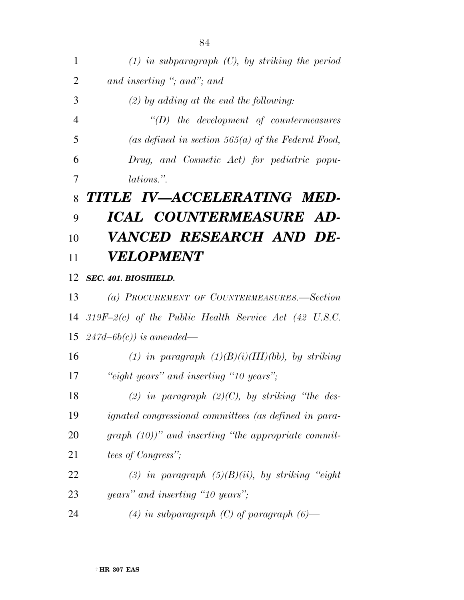| 1              | $(1)$ in subparagraph $(C)$ , by striking the period         |
|----------------|--------------------------------------------------------------|
| $\overline{2}$ | and inserting "; and"; and                                   |
| 3              | $(2)$ by adding at the end the following:                    |
| $\overline{4}$ | $\lq\lq(D)$ the development of countermeasures               |
| 5              | (as defined in section $565(a)$ of the Federal Food,         |
| 6              | Drug, and Cosmetic Act) for pediatric popu-                  |
| 7              | <i>lations.</i> "                                            |
| 8              | TITLE IV—ACCELERATING MED-                                   |
| 9              | ICAL COUNTERMEASURE AD-                                      |
| 10             | VANCED RESEARCH AND DE-                                      |
| 11             | <i><b>VELOPMENT</b></i>                                      |
| 12             | SEC. 401. BIOSHIELD.                                         |
| 13             | (a) PROCUREMENT OF COUNTERMEASURES.—Section                  |
| 14             | $319F-2(c)$ of the Public Health Service Act (42 U.S.C.      |
| 15             | $247d-6b(c)$ ) is amended—                                   |
| 16             | (1) in paragraph $(1)(B)(i)(III)(bb)$ , by striking          |
| 17             | "eight years" and inserting "10 years";                      |
| 18             | (2) in paragraph $(2)(C)$ , by striking "the des-            |
| 19             | <i>ignated congressional committees (as defined in para-</i> |
| 20             | $graph (10))$ " and inserting "the appropriate commit-       |
| 21             | <i>tees of Congress</i> ";                                   |
| 22             | (3) in paragraph $(5)(B)(ii)$ , by striking "eight           |
| 23             | years" and inserting "10 years";                             |
| 24             | (4) in subparagraph (C) of paragraph $(6)$ —                 |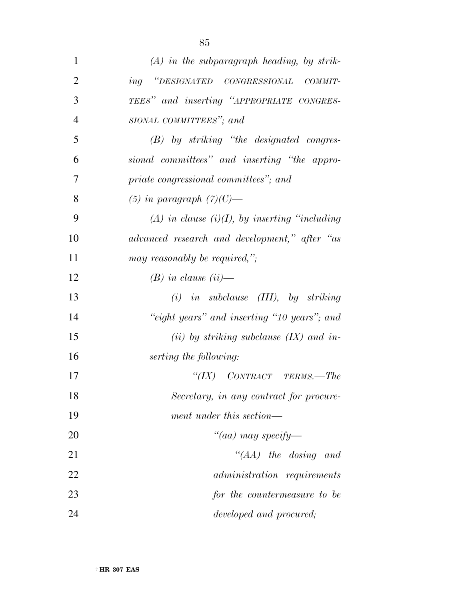| 1              | $(A)$ in the subparagraph heading, by strik-        |
|----------------|-----------------------------------------------------|
| $\overline{2}$ | ing "DESIGNATED CONGRESSIONAL COMMIT-               |
| 3              | TEES" and inserting "APPROPRIATE CONGRES-           |
| $\overline{4}$ | SIONAL COMMITTEES"; and                             |
| 5              | $(B)$ by striking "the designated congres-          |
| 6              | sional committees" and inserting "the appro-        |
| 7              | priate congressional committees"; and               |
| 8              | $(5)$ in paragraph $(7)(C)$ —                       |
| 9              | $(A)$ in clause $(i)(I)$ , by inserting "including" |
| 10             | advanced research and development," after "as       |
| 11             | may reasonably be required,";                       |
| 12             | $(B)$ in clause (ii)—                               |
| 13             | $(i)$ in subclause $(III)$ , by striking            |
| 14             | "eight years" and inserting "10 years"; and         |
| 15             | (ii) by striking subclause $(IX)$ and in-           |
| 16             | serting the following:                              |
| 17             | "(IX) CONTRACT TERMS.—The                           |
| 18             | Secretary, in any contract for procure-             |
| 19             | ment under this section—                            |
| 20             | "(aa) may specify—                                  |
| 21             | "(AA) the dosing and                                |
| 22             | <i>administration</i> requirements                  |
| 23             | for the countermeasure to be                        |
| 24             | developed and procured;                             |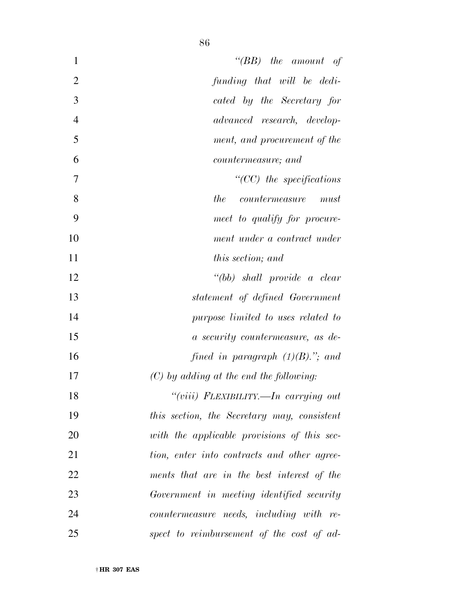| $\mathbf{1}$   | " $(BB)$ the amount of                      |
|----------------|---------------------------------------------|
| $\overline{2}$ | funding that will be dedi-                  |
| 3              | cated by the Secretary for                  |
| $\overline{4}$ | advanced research, develop-                 |
| 5              | ment, and procurement of the                |
| 6              | <i>countermeasure</i> ; and                 |
| 7              | $"({\rm CC})$ the specifications            |
| 8              | the<br>countermeasure<br>must               |
| 9              | meet to qualify for procure-                |
| 10             | ment under a contract under                 |
| 11             | this section; and                           |
| 12             | $``(bb)$ shall provide a clear              |
| 13             | statement of defined Government             |
| 14             | purpose limited to uses related to          |
| 15             | a security countermeasure, as de-           |
| 16             | fined in paragraph $(1)(B)$ ."; and         |
| 17             | $(C)$ by adding at the end the following:   |
| 18             | "(viii) FLEXIBILITY.—In carrying out        |
| 19             | this section, the Secretary may, consistent |
| 20             | with the applicable provisions of this sec- |
| 21             | tion, enter into contracts and other agree- |
| 22             | ments that are in the best interest of the  |
| 23             | Government in meeting identified security   |
| 24             | countermeasure needs, including with re-    |
| 25             | spect to reimbursement of the cost of ad-   |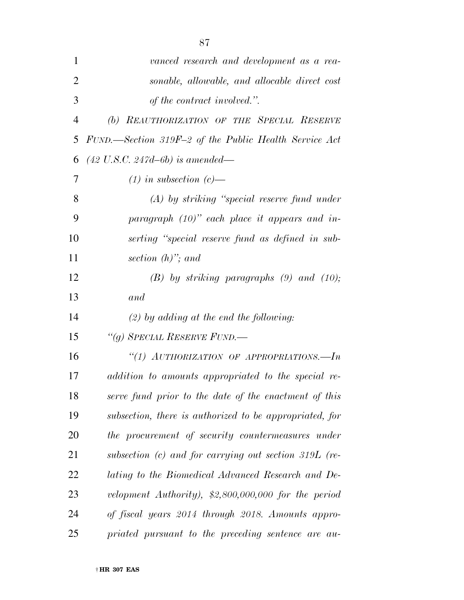| $\mathbf{1}$   | vanced research and development as a rea-               |
|----------------|---------------------------------------------------------|
| $\overline{2}$ | sonable, allowable, and allocable direct cost           |
| 3              | of the contract involved.".                             |
| 4              | (b) REAUTHORIZATION OF THE SPECIAL RESERVE              |
| 5              | FUND.—Section 319F-2 of the Public Health Service Act   |
| 6              | $(42 \text{ U.S.C. } 247d - 6b)$ is amended—            |
| 7              | $(1)$ in subsection $(c)$ —                             |
| 8              | $(A)$ by striking "special reserve fund under           |
| 9              | paragraph $(10)$ " each place it appears and in-        |
| 10             | serting "special reserve fund as defined in sub-        |
| 11             | section $(h)$ "; and                                    |
| 12             | $(B)$ by striking paragraphs $(9)$ and $(10)$ ;         |
| 13             | and                                                     |
| 14             | $(2)$ by adding at the end the following:               |
| 15             | "(g) SPECIAL RESERVE FUND.-                             |
| 16             | "(1) AUTHORIZATION OF APPROPRIATIONS.-- $In$            |
| 17             | addition to amounts appropriated to the special re-     |
| 18             | serve fund prior to the date of the enactment of this   |
| 19             | subsection, there is authorized to be appropriated, for |
| 20             | the procurement of security countermeasures under       |
| 21             | subsection (c) and for carrying out section 319L (re-   |
| 22             | lating to the Biomedical Advanced Research and De-      |
| 23             | velopment Authority), $$2,800,000,000$ for the period   |
| 24             | of fiscal years 2014 through 2018. Amounts appro-       |
| 25             | priated pursuant to the preceding sentence are au-      |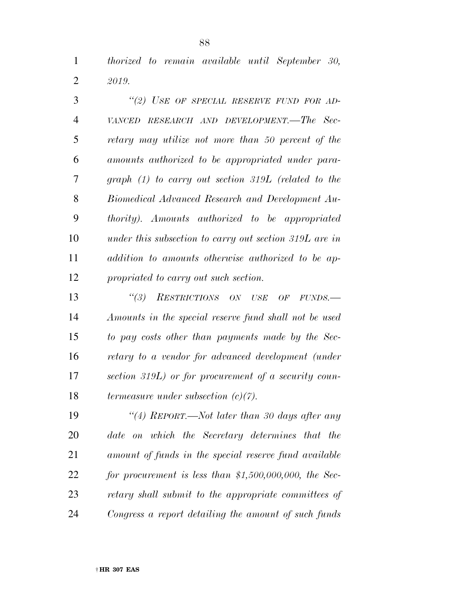*thorized to remain available until September 30, 2019.* 

 *''(2) USE OF SPECIAL RESERVE FUND FOR AD- VANCED RESEARCH AND DEVELOPMENT.—The Sec- retary may utilize not more than 50 percent of the amounts authorized to be appropriated under para- graph (1) to carry out section 319L (related to the Biomedical Advanced Research and Development Au- thority). Amounts authorized to be appropriated under this subsection to carry out section 319L are in addition to amounts otherwise authorized to be ap-propriated to carry out such section.* 

 *''(3) RESTRICTIONS ON USE OF FUNDS.— Amounts in the special reserve fund shall not be used to pay costs other than payments made by the Sec- retary to a vendor for advanced development (under section 319L) or for procurement of a security coun-termeasure under subsection (c)(7).* 

 *''(4) REPORT.—Not later than 30 days after any date on which the Secretary determines that the amount of funds in the special reserve fund available for procurement is less than \$1,500,000,000, the Sec- retary shall submit to the appropriate committees of Congress a report detailing the amount of such funds*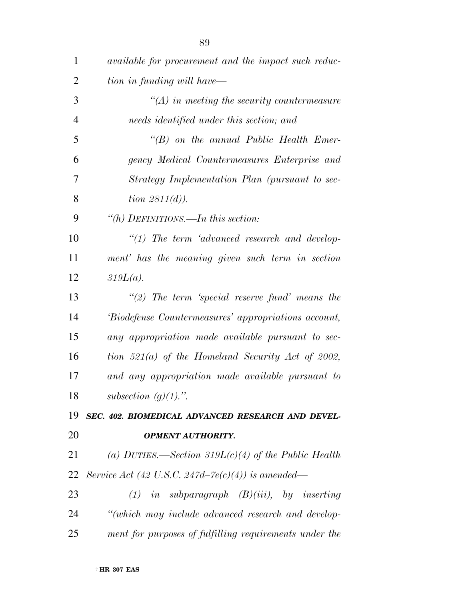| $\mathbf{1}$   | <i>available for procurement and the impact such reduc-</i> |
|----------------|-------------------------------------------------------------|
| $\overline{2}$ | tion in funding will have—                                  |
| 3              | $\mathcal{H}(A)$ in meeting the security countermeasure     |
| $\overline{4}$ | needs identified under this section; and                    |
| 5              | $\lq\lq B$ on the annual Public Health Emer-                |
| 6              | gency Medical Countermeasures Enterprise and                |
| 7              | Strategy Implementation Plan (pursuant to sec-              |
| 8              | <i>tion</i> $2811(d)$ .                                     |
| 9              | "(h) DEFINITIONS.—In this section:                          |
| 10             | $"(1)$ The term 'advanced research and develop-             |
| 11             | ment' has the meaning given such term in section            |
| 12             | $319L(a)$ .                                                 |
| 13             | $\lq(2)$ The term 'special reserve fund' means the          |
| 14             | 'Biodefense Countermeasures' appropriations account,        |
| 15             | any appropriation made available pursuant to sec-           |
| 16             | tion 521(a) of the Homeland Security Act of 2002,           |
| 17             | and any appropriation made available pursuant to            |
| 18             | subsection $(g)(1)$ .".                                     |
| 19             | SEC. 402. BIOMEDICAL ADVANCED RESEARCH AND DEVEL-           |
| 20             | <b>OPMENT AUTHORITY.</b>                                    |
| 21             | (a) DUTIES.—Section 319 $L(c)(4)$ of the Public Health      |
| 22             | Service Act (42 U.S.C. 247d–7e(c)(4)) is amended—           |
| 23             | $(1)$ in subparagraph $(B)(iii)$ , by inserting             |
| 24             | "(which may include advanced research and develop-          |
| 25             | ment for purposes of fulfilling requirements under the      |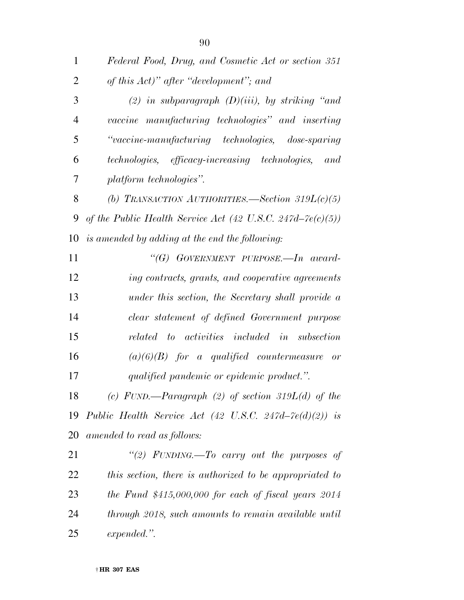| $\mathbf{1}$   | Federal Food, Drug, and Cosmetic Act or section 351        |
|----------------|------------------------------------------------------------|
| $\overline{2}$ | of this Act)" after "development"; and                     |
| 3              | (2) in subparagraph $(D)(iii)$ , by striking "and          |
| 4              | vaccine manufacturing technologies" and inserting          |
| 5              | "vaccine-manufacturing technologies, dose-sparing          |
| 6              | technologies, efficacy-increasing technologies, and        |
| 7              | platform technologies".                                    |
| 8              | (b) TRANSACTION AUTHORITIES. Section 319 $L(c)(5)$         |
| 9              | of the Public Health Service Act (42 U.S.C. 247d–7e(c)(5)) |
| 10             | is amended by adding at the end the following:             |
| 11             | " $(G)$ GOVERNMENT PURPOSE.—In award-                      |
| 12             | ing contracts, grants, and cooperative agreements          |
| 13             | under this section, the Secretary shall provide a          |
| 14             | clear statement of defined Government purpose              |
| 15             | related to activities included in subsection               |
| 16             | $(a)(6)(B)$ for a qualified countermeasure or              |
| 17             | qualified pandemic or epidemic product.".                  |
| 18             | (c) FUND.—Paragraph (2) of section 319 $L(d)$ of the       |
|                | 19 Public Health Service Act (42 U.S.C. 247d-7e(d)(2)) is  |
| 20             | amended to read as follows:                                |
| 21             | "(2) FUNDING.—To carry out the purposes of                 |

 *this section, there is authorized to be appropriated to the Fund \$415,000,000 for each of fiscal years 2014 through 2018, such amounts to remain available until expended.''.*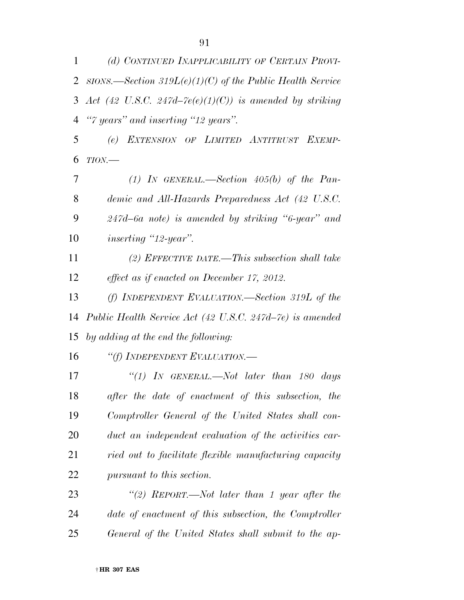*(d) CONTINUED INAPPLICABILITY OF CERTAIN PROVI-*

|                | 2 sions.—Section 319 $L(e)(1)(C)$ of the Public Health Service |
|----------------|----------------------------------------------------------------|
| 3              | Act (42 U.S.C. 247d–7e(e)(1)(C)) is amended by striking        |
| $\overline{4}$ | "7 years" and inserting "12 years".                            |
| 5              | EXTENSION OF LIMITED ANTITRUST EXEMP-<br>(e)                   |
| 6              | $TION$ —                                                       |
| 7              | (1) IN GENERAL.—Section $405(b)$ of the Pan-                   |
| 8              | demic and All-Hazards Preparedness Act (42 U.S.C.              |
| 9              | $247d - 6a$ note) is amended by striking "6-year" and          |
| 10             | <i>inserting</i> "12-year".                                    |
| 11             | (2) EFFECTIVE DATE.—This subsection shall take                 |
| 12             | effect as if enacted on December 17, 2012.                     |
| 13             | (f) INDEPENDENT EVALUATION.—Section 319L of the                |
| 14             | Public Health Service Act (42 U.S.C. 247d–7e) is amended       |
| 15             | by adding at the end the following:                            |
| 16             | "(f) INDEPENDENT EVALUATION.—                                  |
| 17             | "(1) In GENERAL.—Not later than 180 days                       |
| 18             | after the date of enactment of this subsection, the            |
| 19             | Comptroller General of the United States shall con-            |
| 20             | duct an independent evaluation of the activities car-          |
| 21             | ried out to facilitate flexible manufacturing capacity         |
| 22             | pursuant to this section.                                      |
| 23             | "(2) REPORT.—Not later than 1 year after the                   |
| 24             | date of enactment of this subsection, the Comptroller          |
| 25             | General of the United States shall submit to the ap-           |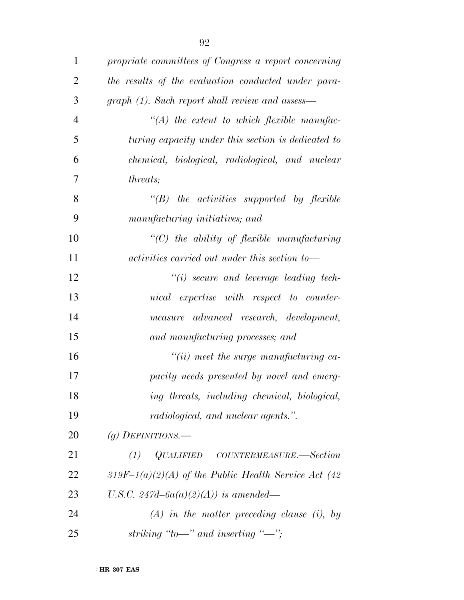| $\mathbf{1}$   | propriate committees of Congress a report concerning |
|----------------|------------------------------------------------------|
| $\overline{2}$ | the results of the evaluation conducted under para-  |
| 3              | graph (1). Such report shall review and assess—      |
| $\overline{4}$ | $\lq (A)$ the extent to which flexible manufac-      |
| 5              | turing capacity under this section is dedicated to   |
| 6              | chemical, biological, radiological, and nuclear      |
| 7              | <i>threats</i> ;                                     |
| 8              | $\lq\lq B$ ) the activities supported by flexible    |
| 9              | manufacturing initiatives; and                       |
| 10             | $"$ (C) the ability of flexible manufacturing        |
| 11             | activities carried out under this section to-        |
| 12             | $"(i)$ secure and leverage leading tech-             |
| 13             | nical expertise with respect to counter-             |
| 14             | measure advanced research, development,              |
| 15             | and manufacturing processes; and                     |
| 16             | $"(ii)$ meet the surge manufacturing ca-             |
| 17             | pacity needs presented by novel and emerg-           |
| 18             | ing threats, including chemical, biological,         |
| 19             | <i>radiological, and nuclear agents.</i> ".          |
| 20             | (g) DEFINITIONS.—                                    |
| 21             | $QUALIFIED$ COUNTERMEASURE.—Section<br>(1)           |
| 22             | 319F-1(a)(2)(A) of the Public Health Service Act (42 |
| 23             | U.S.C. 247d-6a(a)(2)(A)) is amended—                 |
| 24             | $(A)$ in the matter preceding clause (i), by         |
| 25             | striking "to—" and inserting "—";                    |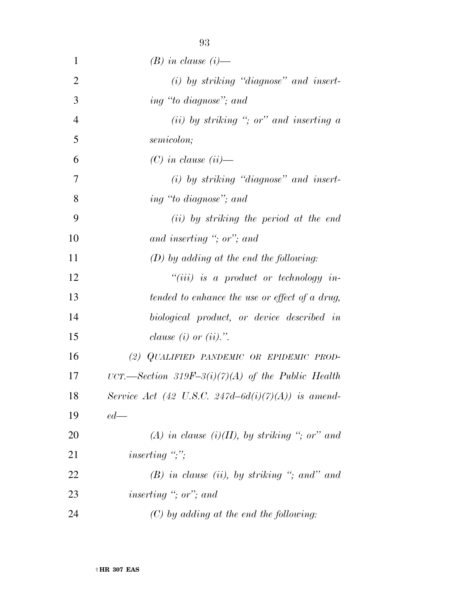| $\mathbf{1}$   | $(B)$ in clause $(i)$ —                            |
|----------------|----------------------------------------------------|
| $\overline{2}$ | $(i)$ by striking "diagnose" and insert-           |
| 3              | ing "to diagnose"; and                             |
| $\overline{4}$ | (ii) by striking "; or" and inserting $\alpha$     |
| 5              | semicolon;                                         |
| 6              | $(C)$ in clause $(ii)$ —                           |
| 7              | $(i)$ by striking "diagnose" and insert-           |
| 8              | ing "to diagnose"; and                             |
| 9              | ( <i>ii</i> ) by striking the period at the end    |
| 10             | and inserting "; or"; and                          |
| 11             | $(D)$ by adding at the end the following:          |
| 12             | $``(iii)$ is a product or technology in-           |
| 13             | tended to enhance the use or effect of a drug,     |
| 14             | biological product, or device described in         |
| 15             | clause $(i)$ or $(ii)$ .".                         |
| 16             | (2) QUALIFIED PANDEMIC OR EPIDEMIC PROD-           |
| 17             | UCT.—Section 319F-3(i)(7)(A) of the Public Health  |
| 18             | Service Act (42 U.S.C. 247d-6d(i)(7)(A)) is amend- |
| 19             | $ed$ —                                             |
| 20             | (A) in clause (i)(II), by striking "; or" and      |
| 21             | inserting $\dddot{\cdot}$ ;                        |
| 22             | $(B)$ in clause (ii), by striking "; and" and      |
| 23             | inserting "; or"; and                              |
| 24             | $(C)$ by adding at the end the following:          |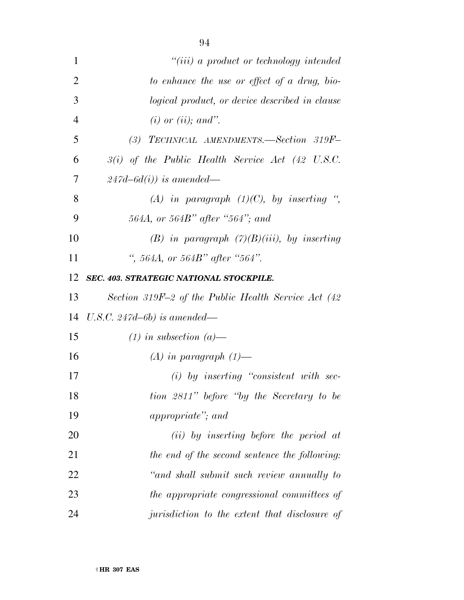| 1              | $``(iii)$ a product or technology intended           |
|----------------|------------------------------------------------------|
| $\overline{2}$ | to enhance the use or effect of a drug, bio-         |
| 3              | logical product, or device described in clause       |
| $\overline{4}$ | $(i)$ or $(ii)$ ; and".                              |
| 5              | (3) TECHNICAL AMENDMENTS.—Section 319F-              |
| 6              | $3(i)$ of the Public Health Service Act (42 U.S.C.   |
| 7              | $247d - 6d(i)$ is amended—                           |
| 8              | (A) in paragraph $(1)(C)$ , by inserting ",          |
| 9              | 564A, or 564B" after "564"; and                      |
| 10             | (B) in paragraph $(7)(B)(iii)$ , by inserting        |
| 11             | ", 564A, or 564B" after "564".                       |
| 12             | SEC. 403. STRATEGIC NATIONAL STOCKPILE.              |
| 13             | Section 319F-2 of the Public Health Service Act (42) |
| 14             | U.S.C. 247d-6b) is amended—                          |
| 15             | $(1)$ in subsection $(a)$ —                          |
| 16             | $(A)$ in paragraph $(1)$ —                           |
| 17             | $(i)$ by inserting "consistent with sec-             |
| 18             | tion 2811" before "by the Secretary to be            |
| 19             | <i>appropriate</i> "; and                            |
| 20             | $(ii)$ by inserting before the period at             |
| 21             | the end of the second sentence the following:        |
| 22             | "and shall submit such review annually to            |
| 23             | the appropriate congressional committees of          |
| 24             | jurisdiction to the extent that disclosure of        |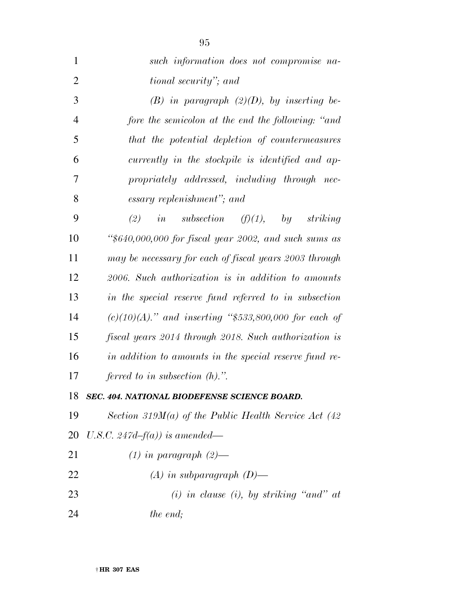| $\mathbf{1}$   | such information does not compromise na-                 |
|----------------|----------------------------------------------------------|
| $\overline{2}$ | tional security"; and                                    |
| 3              | $(B)$ in paragraph $(2)(D)$ , by inserting be-           |
| $\overline{4}$ | fore the semicolon at the end the following: "and        |
| 5              | that the potential depletion of countermeasures          |
| 6              | currently in the stockpile is identified and ap-         |
| 7              | propriately addressed, including through nec-            |
| 8              | essary replenishment"; and                               |
| 9              | (2)<br><i>in</i> subsection $(f)(1)$ , by<br>striking    |
| 10             | " $$640,000,000$ for fiscal year 2002, and such sums as  |
| 11             | may be necessary for each of fiscal years 2003 through   |
| 12             | 2006. Such authorization is in addition to amounts       |
| 13             | in the special reserve fund referred to in subsection    |
| 14             | $(c)(10)(A)$ ." and inserting "\$533,800,000 for each of |
| 15             | fiscal years 2014 through 2018. Such authorization is    |
| 16             | in addition to amounts in the special reserve fund re-   |
| 17             | ferred to in subsection $(h)$ .".                        |
| 18             | SEC. 404. NATIONAL BIODEFENSE SCIENCE BOARD.             |
| 19             | Section 319 $M(a)$ of the Public Health Service Act (42) |
| 20             | U.S.C. 247d–f(a)) is amended—                            |
| 21             | $(1)$ in paragraph $(2)$ —                               |
| 22             | $(A)$ in subparagraph $(D)$ —                            |
| 23             | $(i)$ in clause $(i)$ , by striking "and" at             |
| 24             | the end;                                                 |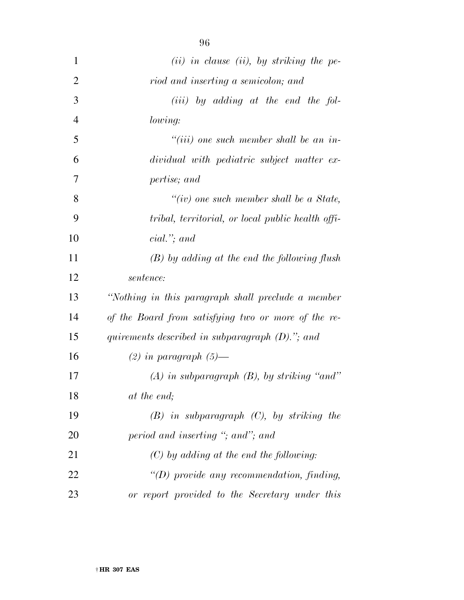| 1              | $(ii)$ in clause (ii), by striking the pe-          |
|----------------|-----------------------------------------------------|
| $\overline{2}$ | riod and inserting a semicolon; and                 |
| 3              | $(iii)$ by adding at the end the fol-               |
| $\overline{4}$ | lowing:                                             |
| 5              | $``(iii)$ one such member shall be an in-           |
| 6              | dividual with pediatric subject matter ex-          |
| 7              | pertise; and                                        |
| 8              | "(iv) one such member shall be a State,             |
| 9              | tribal, territorial, or local public health offi-   |
| 10             | $cial.'$ ; and                                      |
| 11             | $(B)$ by adding at the end the following flush      |
| 12             | sentence:                                           |
| 13             | "Nothing in this paragraph shall preclude a member  |
| 14             | of the Board from satisfying two or more of the re- |
| 15             | quirements described in subparagraph $(D)$ ."; and  |
| 16             | $(2)$ in paragraph $(5)$ —                          |
| 17             | $(A)$ in subparagraph $(B)$ , by striking "and"     |
| 18             | at the end;                                         |
| 19             | $(B)$ in subparagraph $(C)$ , by striking the       |
| 20             | period and inserting "; and"; and                   |
| 21             | $(C)$ by adding at the end the following:           |
| 22             | $\lq (D)$ provide any recommendation, finding,      |
| 23             | or report provided to the Secretary under this      |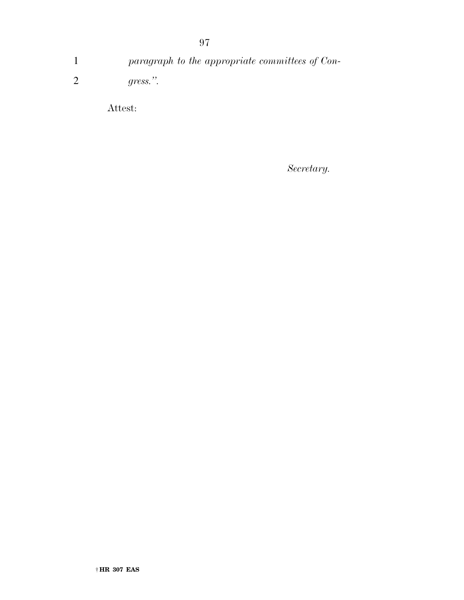1 *paragraph to the appropriate committees of Con-*2 *gress.''.* 

Attest:

*Secretary.*